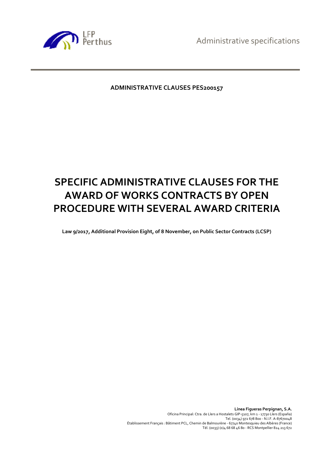Administrative specifications



# **ADMINISTRATIVE CLAUSES PES200157**

# **SPECIFIC ADMINISTRATIVE CLAUSES FOR THE AWARD OF WORKS CONTRACTS BY OPEN PROCEDURE WITH SEVERAL AWARD CRITERIA**

**Law 9/2017, Additional Provision Eight, of 8 November, on Public Sector Contracts (LCSP)**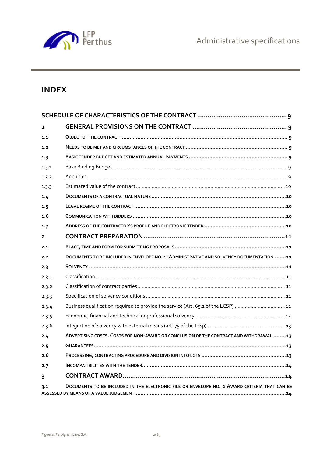

# **INDEX**

| 1                       |                                                                                              |  |  |  |
|-------------------------|----------------------------------------------------------------------------------------------|--|--|--|
| 1.1                     |                                                                                              |  |  |  |
| 1.2                     |                                                                                              |  |  |  |
| 1.3                     |                                                                                              |  |  |  |
| 1.3.1                   |                                                                                              |  |  |  |
| 1.3.2                   |                                                                                              |  |  |  |
| 1.3.3                   |                                                                                              |  |  |  |
| 1.4                     |                                                                                              |  |  |  |
| 1.5                     |                                                                                              |  |  |  |
| 1.6                     |                                                                                              |  |  |  |
| 1.7                     |                                                                                              |  |  |  |
| $\overline{\mathbf{2}}$ |                                                                                              |  |  |  |
| 2.1                     |                                                                                              |  |  |  |
| 2.2                     | DOCUMENTS TO BE INCLUDED IN ENVELOPE NO. 1: ADMINISTRATIVE AND SOLVENCY DOCUMENTATION 11     |  |  |  |
| 2.3                     |                                                                                              |  |  |  |
| 2.3.1                   |                                                                                              |  |  |  |
| 2.3.2                   |                                                                                              |  |  |  |
| 2.3.3                   |                                                                                              |  |  |  |
| 2.3.4                   | Business qualification required to provide the service (Art. 65.2 of the LCSP)  12           |  |  |  |
| 2.3.5                   |                                                                                              |  |  |  |
| 2.3.6                   |                                                                                              |  |  |  |
| 2.4                     | ADVERTISING COSTS. COSTS FOR NON-AWARD OR CONCLUSION OF THE CONTRACT AND WITHDRAWAL 13       |  |  |  |
| 2.5                     |                                                                                              |  |  |  |
| 2.6                     |                                                                                              |  |  |  |
| 2.7                     |                                                                                              |  |  |  |
| 3                       |                                                                                              |  |  |  |
| 3.1                     | DOCUMENTS TO BE INCLUDED IN THE ELECTRONIC FILE OR ENVELOPE NO. 2 AWARD CRITERIA THAT CAN BE |  |  |  |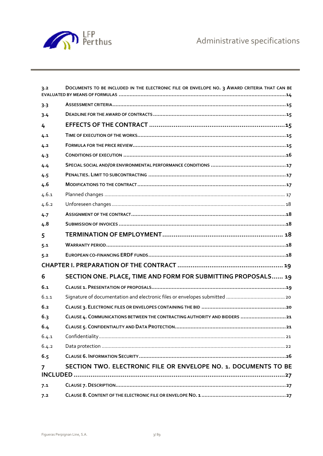

| 3.2   | DOCUMENTS TO BE INCLUDED IN THE ELECTRONIC FILE OR ENVELOPE NO. 3 AWARD CRITERIA THAT CAN BE |  |  |  |  |
|-------|----------------------------------------------------------------------------------------------|--|--|--|--|
| 3.3   |                                                                                              |  |  |  |  |
| 3.4   |                                                                                              |  |  |  |  |
| 4     |                                                                                              |  |  |  |  |
| 4.1   |                                                                                              |  |  |  |  |
| 4.2   |                                                                                              |  |  |  |  |
| 4.3   |                                                                                              |  |  |  |  |
| 4.4   |                                                                                              |  |  |  |  |
| 4.5   |                                                                                              |  |  |  |  |
| 4.6   |                                                                                              |  |  |  |  |
| 4.6.1 |                                                                                              |  |  |  |  |
| 4.6.2 |                                                                                              |  |  |  |  |
| 4.7   |                                                                                              |  |  |  |  |
| 4.8   |                                                                                              |  |  |  |  |
| 5     |                                                                                              |  |  |  |  |
| 5.1   |                                                                                              |  |  |  |  |
| 5.2   |                                                                                              |  |  |  |  |
|       |                                                                                              |  |  |  |  |
| 6     | SECTION ONE. PLACE, TIME AND FORM FOR SUBMITTING PROPOSALS 19                                |  |  |  |  |
| 6.1   |                                                                                              |  |  |  |  |
| 6.1.1 |                                                                                              |  |  |  |  |
| 6.2   |                                                                                              |  |  |  |  |
| 6.3   | CLAUSE 4. COMMUNICATIONS BETWEEN THE CONTRACTING AUTHORITY AND BIDDERS  21                   |  |  |  |  |
| 6.4   | . 21                                                                                         |  |  |  |  |
| 6.4.1 |                                                                                              |  |  |  |  |
| 6.4.2 |                                                                                              |  |  |  |  |
| 6.5   |                                                                                              |  |  |  |  |
| 7     | SECTION TWO. ELECTRONIC FILE OR ENVELOPE NO. 1. DOCUMENTS TO BE                              |  |  |  |  |
| 7.1   |                                                                                              |  |  |  |  |
| 7.2   |                                                                                              |  |  |  |  |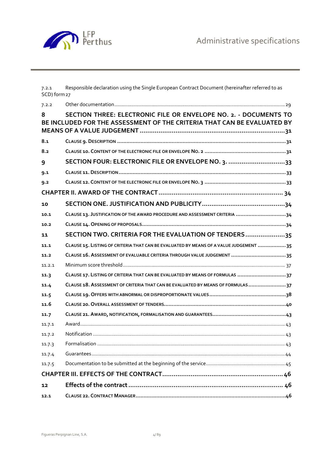

7.2.1 Responsible declaration using the Single European Contract Document (hereinafter referred to as SCD) form 27

| 7.2.2  |                                                                                                                                             |
|--------|---------------------------------------------------------------------------------------------------------------------------------------------|
| 8      | SECTION THREE: ELECTRONIC FILE OR ENVELOPE NO. 2. - DOCUMENTS TO<br>BE INCLUDED FOR THE ASSESSMENT OF THE CRITERIA THAT CAN BE EVALUATED BY |
| 8.1    |                                                                                                                                             |
| 8.2    |                                                                                                                                             |
| 9      | SECTION FOUR: ELECTRONIC FILE OR ENVELOPE NO. 3. 33                                                                                         |
| 9.1    |                                                                                                                                             |
| 9.2    |                                                                                                                                             |
|        |                                                                                                                                             |
| 10     |                                                                                                                                             |
| 10.1   | CLAUSE 13. JUSTIFICATION OF THE AWARD PROCEDURE AND ASSESSMENT CRITERIA 34                                                                  |
| 10.2   |                                                                                                                                             |
| 11     | SECTION TWO. CRITERIA FOR THE EVALUATION OF TENDERS35                                                                                       |
| 11.1   | CLAUSE 15. LISTING OF CRITERIA THAT CAN BE EVALUATED BY MEANS OF A VALUE JUDGEMENT  35                                                      |
| 11.2   | CLAUSE 16. ASSESSMENT OF EVALUABLE CRITERIA THROUGH VALUE JUDGEMENT  35                                                                     |
| 11.2.1 |                                                                                                                                             |
| 11.3   | CLAUSE 17. LISTING OF CRITERIA THAT CAN BE EVALUATED BY MEANS OF FORMULAS 37                                                                |
| 11.4   | CLAUSE 18. ASSESSMENT OF CRITERIA THAT CAN BE EVALUATED BY MEANS OF FORMULAS 37                                                             |
| 11.5   |                                                                                                                                             |
| 11.6   |                                                                                                                                             |
| 11.7   |                                                                                                                                             |
| 11.7.1 |                                                                                                                                             |
| 11.7.2 |                                                                                                                                             |
| 11.7.3 |                                                                                                                                             |
| 11.7.4 |                                                                                                                                             |
| 11.7.5 |                                                                                                                                             |
|        |                                                                                                                                             |
| 12     |                                                                                                                                             |
| 12.1   |                                                                                                                                             |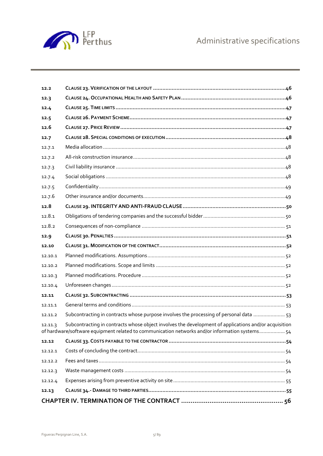

| 12.13   |                                                                                                                                                                                                        |  |  |
|---------|--------------------------------------------------------------------------------------------------------------------------------------------------------------------------------------------------------|--|--|
| 12.12.4 |                                                                                                                                                                                                        |  |  |
| 12.12.3 |                                                                                                                                                                                                        |  |  |
| 12.12.2 |                                                                                                                                                                                                        |  |  |
| 12.12.1 |                                                                                                                                                                                                        |  |  |
| 12.12   |                                                                                                                                                                                                        |  |  |
| 12.11.3 | Subcontracting in contracts whose object involves the development of applications and/or acquisition<br>of hardware/software equipment related to communication networks and/or information systems 54 |  |  |
| 12.11.2 | Subcontracting in contracts whose purpose involves the processing of personal data  53                                                                                                                 |  |  |
| 12.11.1 |                                                                                                                                                                                                        |  |  |
| 12.11   |                                                                                                                                                                                                        |  |  |
| 12.10.4 |                                                                                                                                                                                                        |  |  |
| 12.10.3 |                                                                                                                                                                                                        |  |  |
| 12.10.2 |                                                                                                                                                                                                        |  |  |
| 12.10.1 |                                                                                                                                                                                                        |  |  |
| 12.10   |                                                                                                                                                                                                        |  |  |
| 12.9    |                                                                                                                                                                                                        |  |  |
| 12.8.2  |                                                                                                                                                                                                        |  |  |
| 12.8.1  |                                                                                                                                                                                                        |  |  |
| 12.8    |                                                                                                                                                                                                        |  |  |
| 12.7.6  |                                                                                                                                                                                                        |  |  |
| 12.7.5  |                                                                                                                                                                                                        |  |  |
| 12.7.4  |                                                                                                                                                                                                        |  |  |
| 12.7.3  |                                                                                                                                                                                                        |  |  |
| 12.7.2  |                                                                                                                                                                                                        |  |  |
| 12.7.1  |                                                                                                                                                                                                        |  |  |
| 12.7    |                                                                                                                                                                                                        |  |  |
| 12.6    |                                                                                                                                                                                                        |  |  |
| 12.5    |                                                                                                                                                                                                        |  |  |
| 12.4    |                                                                                                                                                                                                        |  |  |
| 12.3    |                                                                                                                                                                                                        |  |  |
| 12.2    |                                                                                                                                                                                                        |  |  |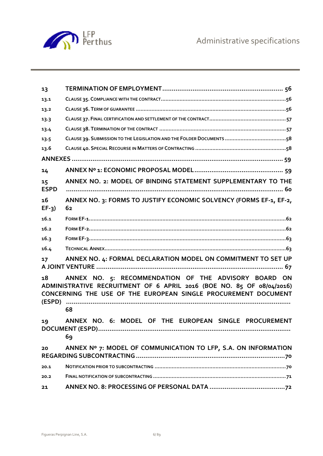

| 13                |                                                                                                                                                                                                       |
|-------------------|-------------------------------------------------------------------------------------------------------------------------------------------------------------------------------------------------------|
| 13.1              |                                                                                                                                                                                                       |
| 13.2              |                                                                                                                                                                                                       |
| 13.3              |                                                                                                                                                                                                       |
| 13.4              |                                                                                                                                                                                                       |
| 13.5              |                                                                                                                                                                                                       |
| 13.6              |                                                                                                                                                                                                       |
|                   |                                                                                                                                                                                                       |
| 14                |                                                                                                                                                                                                       |
| 15<br><b>ESPD</b> | ANNEX NO. 2: MODEL OF BINDING STATEMENT SUPPLEMENTARY TO THE                                                                                                                                          |
| 16<br>$EF-3)$     | ANNEX NO. 3: FORMS TO JUSTIFY ECONOMIC SOLVENCY (FORMS EF-1, EF-2,<br>62                                                                                                                              |
| 16.1              |                                                                                                                                                                                                       |
| 16.2              |                                                                                                                                                                                                       |
| 16.3              |                                                                                                                                                                                                       |
| 16.4              |                                                                                                                                                                                                       |
| 17                | ANNEX NO. 4: FORMAL DECLARATION MODEL ON COMMITMENT TO SET UP                                                                                                                                         |
| 18<br>(ESPD)      | ANNEX NO. 5: RECOMMENDATION OF THE ADVISORY BOARD ON<br>ADMINISTRATIVE RECRUITMENT OF 6 APRIL 2016 (BOE NO. 85 OF 08/04/2016)<br>CONCERNING THE USE OF THE EUROPEAN SINGLE PROCUREMENT DOCUMENT<br>68 |
| 19                | ANNEX NO. 6: MODEL OF THE EUROPEAN SINGLE PROCUREMENT<br>69                                                                                                                                           |
| 20                | ANNEX Nº 7: MODEL OF COMMUNICATION TO LFP, S.A. ON INFORMATION                                                                                                                                        |
| 20.1              |                                                                                                                                                                                                       |
| 20.2              |                                                                                                                                                                                                       |
| 21                |                                                                                                                                                                                                       |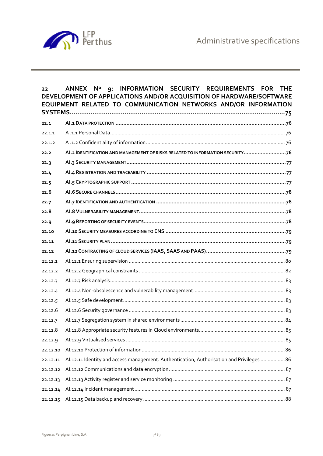

| 22       | INFORMATION SECURITY REQUIREMENTS FOR<br>ANNEX Nº<br>9:<br><b>THE</b><br>DEVELOPMENT OF APPLICATIONS AND/OR ACQUISITION OF HARDWARE/SOFTWARE<br>EQUIPMENT RELATED TO COMMUNICATION NETWORKS AND/OR INFORMATION |  |
|----------|----------------------------------------------------------------------------------------------------------------------------------------------------------------------------------------------------------------|--|
| 22.1     |                                                                                                                                                                                                                |  |
| 22.1.1   |                                                                                                                                                                                                                |  |
| 22.1.2   |                                                                                                                                                                                                                |  |
| 22.2     | AI.2 IDENTIFICATION AND MANAGEMENT OF RISKS RELATED TO INFORMATION SECURITY76                                                                                                                                  |  |
| 22.3     |                                                                                                                                                                                                                |  |
| 22.4     |                                                                                                                                                                                                                |  |
| 22.5     |                                                                                                                                                                                                                |  |
| 22.6     |                                                                                                                                                                                                                |  |
| 22.7     |                                                                                                                                                                                                                |  |
| 22.8     |                                                                                                                                                                                                                |  |
| 22.9     |                                                                                                                                                                                                                |  |
| 22.10    |                                                                                                                                                                                                                |  |
| 22.11    |                                                                                                                                                                                                                |  |
| 22.12    |                                                                                                                                                                                                                |  |
| 22.12.1  |                                                                                                                                                                                                                |  |
| 22.12.2  |                                                                                                                                                                                                                |  |
| 22.12.3  |                                                                                                                                                                                                                |  |
| 22.12.4  |                                                                                                                                                                                                                |  |
| 22.12.5  |                                                                                                                                                                                                                |  |
| 22.12.6  |                                                                                                                                                                                                                |  |
| 22.12.7  |                                                                                                                                                                                                                |  |
| 22.12.8  |                                                                                                                                                                                                                |  |
| 22.12.9  |                                                                                                                                                                                                                |  |
| 22.12.10 |                                                                                                                                                                                                                |  |
| 22.12.11 | Al.12.11 Identity and access management. Authentication, Authorisation and Privileges  86                                                                                                                      |  |
| 22.12.12 |                                                                                                                                                                                                                |  |
| 22.12.13 |                                                                                                                                                                                                                |  |
| 22.12.14 |                                                                                                                                                                                                                |  |
| 22.12.15 |                                                                                                                                                                                                                |  |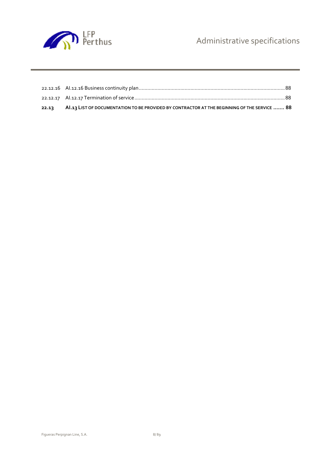

| 22.13 | AI.13 LIST OF DOCUMENTATION TO BE PROVIDED BY CONTRACTOR AT THE BEGINNING OF THE SERVICE  88 |
|-------|----------------------------------------------------------------------------------------------|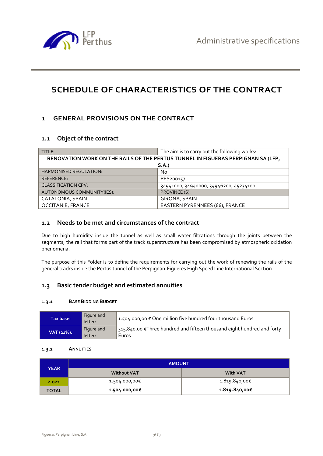

# **SCHEDULE OF CHARACTERISTICS OF THE CONTRACT**

# **1 GENERAL PROVISIONS ON THE CONTRACT**

# **1.1 Object of the contract**

| TITLE:                                                                           | The aim is to carry out the following works: |  |  |
|----------------------------------------------------------------------------------|----------------------------------------------|--|--|
| RENOVATION WORK ON THE RAILS OF THE PERTUS TUNNEL IN FIGUERAS PERPIGNAN SA (LFP, |                                              |  |  |
| S.A.                                                                             |                                              |  |  |
| <b>HARMONISED REGULATION:</b>                                                    | No                                           |  |  |
| REFERENCE:                                                                       | PES200157                                    |  |  |
| <b>CLASSIFICATION CPV:</b>                                                       | 34941000, 34940000, 34946200, 45234100       |  |  |
| AUTONOMOUS COMMUNITY(IES):                                                       | PROVINCE (S):                                |  |  |
| CATALONIA, SPAIN                                                                 | GIRONA, SPAIN                                |  |  |
| <b>OCCITANIE, FRANCE</b>                                                         | EASTERN PYRENNEES (66), FRANCE               |  |  |

# **1.2 Needs to be met and circumstances of the contract**

Due to high humidity inside the tunnel as well as small water filtrations through the joints between the segments, the rail that forms part of the track superstructure has been compromised by atmospheric oxidation phenomena.

The purpose of this Folder is to define the requirements for carrying out the work of renewing the rails of the general tracks inside the Pertús tunnel of the Perpignan-Figueres High Speed Line International Section.

# **1.3 Basic tender budget and estimated annuities**

#### **1.3.1 BASE BIDDING BUDGET**

| Tax base: ' | Figure and<br>letter: | $\vert$ 1.504.000,00 $\epsilon$ One million five hundred four thousand Euros     |
|-------------|-----------------------|----------------------------------------------------------------------------------|
| VAT (21%):  | Figure and<br>letter: | 315,840.00 € Three hundred and fifteen thousand eight hundred and forty<br>Euros |

#### **1.3.2 ANNUITIES**

| YEAR         | <b>AMOUNT</b>      |                 |  |
|--------------|--------------------|-----------------|--|
|              | <b>Without VAT</b> | <b>With VAT</b> |  |
| 2.021        | 1.504.000,00€      | 1.819.840,00€   |  |
| <b>TOTAL</b> | 1.504.000,00€      | 1.819.840,00€   |  |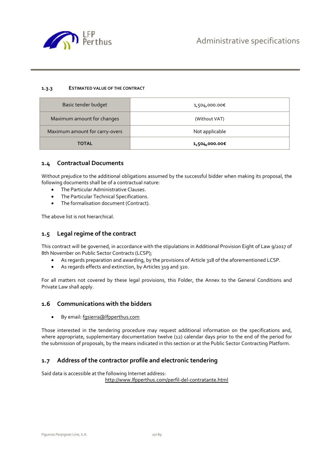

#### **1.3.3 ESTIMATED VALUE OF THE CONTRACT**

| Basic tender budget            | 1,504,000.00€  |
|--------------------------------|----------------|
| Maximum amount for changes     | (Without VAT)  |
| Maximum amount for carry-overs | Not applicable |
| <b>TOTAL</b>                   | 1,504,000.00€  |

### **1.4 Contractual Documents**

Without prejudice to the additional obligations assumed by the successful bidder when making its proposal, the following documents shall be of a contractual nature:

- The Particular Administrative Clauses.
- The Particular Technical Specifications.
- The formalisation document (Contract).

The above list is not hierarchical.

#### **1.5 Legal regime of the contract**

This contract will be governed, in accordance with the stipulations in Additional Provision Eight of Law 9/2017 of 8th November on Public Sector Contracts (LCSP);

- As regards preparation and awarding, by the provisions of Article 318 of the aforementioned LCSP.
- As regards effects and extinction, by Articles 319 and 320.

For all matters not covered by these legal provisions, this Folder, the Annex to the General Conditions and Private Law shall apply.

#### **1.6 Communications with the bidders**

By email: fgsierra@lfpperthus.com

Those interested in the tendering procedure may request additional information on the specifications and, where appropriate, supplementary documentation twelve (12) calendar days prior to the end of the period for the submission of proposals, by the means indicated in this section or at the Public Sector Contracting Platform.

# **1.7 Address of the contractor profile and electronic tendering**

Said data is accessible at the following Internet address:

http://www.lfpperthus.com/perfil-del-contratante.html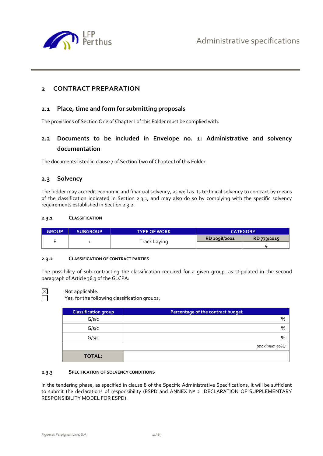

# **2 CONTRACT PREPARATION**

## **2.1 Place, time and form for submitting proposals**

The provisions of Section One of Chapter I of this Folder must be complied with.

# **2.2 Documents to be included in Envelope no. 1: Administrative and solvency documentation**

The documents listed in clause 7 of Section Two of Chapter I of this Folder.

### **2.3 Solvency**

The bidder may accredit economic and financial solvency, as well as its technical solvency to contract by means of the classification indicated in Section 2.3.1, and may also do so by complying with the specific solvency requirements established in Section 2.3.2.

#### **2.3.1 CLASSIFICATION**

| <b>GROUP</b> | <b>SUBGROUP</b> | <b>TYPE OF WORK</b> | <b>CATEGORY</b> |             |
|--------------|-----------------|---------------------|-----------------|-------------|
|              |                 | Track Laying        | RD 1098/2001    | RD 773/2015 |
|              |                 |                     |                 |             |

#### **2.3.2 CLASSIFICATION OF CONTRACT PARTIES**

The possibility of sub-contracting the classification required for a given group, as stipulated in the second paragraph of Article 36.3 of the GLCPA:



Not applicable.

Yes, for the following classification groups:

| <b>Classification group</b> | Percentage of the contract budget |
|-----------------------------|-----------------------------------|
| G/s/c                       | %                                 |
| G/s/c                       | $\%$                              |
| G/s/c                       | %                                 |
|                             | (maximum 50%)                     |
| <b>TOTAL:</b>               |                                   |

#### **2.3.3 SPECIFICATION OF SOLVENCY CONDITIONS**

In the tendering phase, as specified in clause 8 of the Specific Administrative Specifications, it will be sufficient to submit the declarations of responsibility (ESPD and ANNEX Nº 2 DECLARATION OF SUPPLEMENTARY RESPONSIBILITY MODEL FOR ESPD).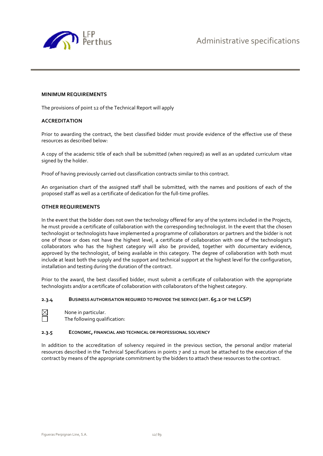

#### **MINIMUM REQUIREMENTS**

The provisions of point 12 of the Technical Report will apply

#### **ACCREDITATION**

Prior to awarding the contract, the best classified bidder must provide evidence of the effective use of these resources as described below:

A copy of the academic title of each shall be submitted (when required) as well as an updated curriculum vitae signed by the holder.

Proof of having previously carried out classification contracts similar to this contract.

An organisation chart of the assigned staff shall be submitted, with the names and positions of each of the proposed staff as well as a certificate of dedication for the full-time profiles.

#### **OTHER REQUIREMENTS**

In the event that the bidder does not own the technology offered for any of the systems included in the Projects, he must provide a certificate of collaboration with the corresponding technologist. In the event that the chosen technologist or technologists have implemented a programme of collaborators or partners and the bidder is not one of those or does not have the highest level, a certificate of collaboration with one of the technologist's collaborators who has the highest category will also be provided, together with documentary evidence, approved by the technologist, of being available in this category. The degree of collaboration with both must include at least both the supply and the support and technical support at the highest level for the configuration, installation and testing during the duration of the contract.

Prior to the award, the best classified bidder, must submit a certificate of collaboration with the appropriate technologists and/or a certificate of collaboration with collaborators of the highest category.

#### **2.3.4 BUSINESS AUTHORISATION REQUIRED TO PROVIDE THE SERVICE (ART. 65.2 OF THE LCSP)**



 $\boxtimes$  None in particular.

The following qualification:

#### **2.3.5 ECONOMIC, FINANCIAL AND TECHNICAL OR PROFESSIONAL SOLVENCY**

In addition to the accreditation of solvency required in the previous section, the personal and/or material resources described in the Technical Specifications in points 7 and 12 must be attached to the execution of the contract by means of the appropriate commitment by the bidders to attach these resources to the contract.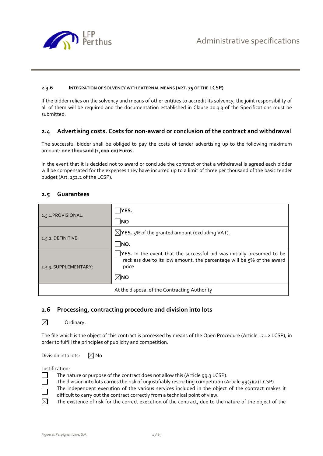

#### **2.3.6 INTEGRATION OF SOLVENCY WITH EXTERNAL MEANS (ART. 75 OF THE LCSP)**

If the bidder relies on the solvency and means of other entities to accredit its solvency, the joint responsibility of all of them will be required and the documentation established in Clause 20.3.3 of the Specifications must be submitted.

# **2.4 Advertising costs. Costs for non-award or conclusion of the contract and withdrawal**

The successful bidder shall be obliged to pay the costs of tender advertising up to the following maximum amount: one thousand (1,000.00) Euros.

In the event that it is decided not to award or conclude the contract or that a withdrawal is agreed each bidder will be compensated for the expenses they have incurred up to a limit of three per thousand of the basic tender budget (Art. 152.2 of the LCSP).

# **2.5 Guarantees**

| 2.5.1. PROVISIONAL:   | YES.                                                                                                                                                             |
|-----------------------|------------------------------------------------------------------------------------------------------------------------------------------------------------------|
|                       | <b>INO</b>                                                                                                                                                       |
| $2.5.2.$ DEFINITIVE:  | $\boxtimes$ <b>YES.</b> 5% of the granted amount (excluding VAT).                                                                                                |
|                       | INO.                                                                                                                                                             |
| 2.5.3. SUPPLEMENTARY: | <b>YES.</b> In the event that the successful bid was initially presumed to be<br>reckless due to its low amount, the percentage will be 5% of the award<br>price |
|                       | $\boxtimes$ мо                                                                                                                                                   |
|                       | At the disposal of the Contracting Authority                                                                                                                     |

# **2.6 Processing, contracting procedure and division into lots**

 $\boxtimes$  Ordinary.

The file which is the object of this contract is processed by means of the Open Procedure (Article 131.2 LCSP), in order to fulfill the principles of publicity and competition.

Division into lots:  $\boxtimes$  No

Justification:

- The nature or purpose of the contract does not allow this (Article 99.3 LCSP).
- The division into lots carries the risk of unjustifiably restricting competition (Article 99(3)(a) LCSP).
- The independent execution of the various services included in the object of the contract makes it difficult to carry out the contract correctly from a technical point of view.
- $\boxtimes$  The existence of risk for the correct execution of the contract, due to the nature of the object of the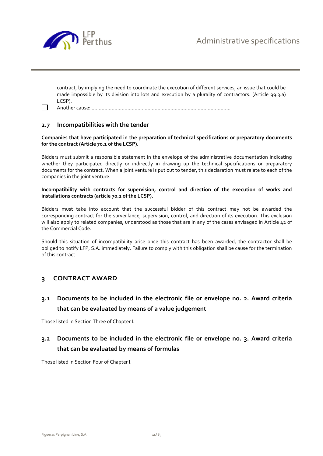

contract, by implying the need to coordinate the execution of different services, an issue that could be made impossible by its division into lots and execution by a plurality of contractors. (Article 99.3.a) LCSP).

Another cause: …………………………………………………………………………………….

### **2.7 Incompatibilities with the tender**

**Companies that have participated in the preparation of technical specifications or preparatory documents for the contract (Article 70.1 of the LCSP).** 

Bidders must submit a responsible statement in the envelope of the administrative documentation indicating whether they participated directly or indirectly in drawing up the technical specifications or preparatory documents for the contract. When a joint venture is put out to tender, this declaration must relate to each of the companies in the joint venture.

**Incompatibility with contracts for supervision, control and direction of the execution of works and installations contracts (article 70.2 of the LCSP).**

Bidders must take into account that the successful bidder of this contract may not be awarded the corresponding contract for the surveillance, supervision, control, and direction of its execution. This exclusion will also apply to related companies, understood as those that are in any of the cases envisaged in Article 42 of the Commercial Code.

Should this situation of incompatibility arise once this contract has been awarded, the contractor shall be obliged to notify LFP, S.A. immediately. Failure to comply with this obligation shall be cause for the termination of this contract.

# **3 CONTRACT AWARD**

**3.1 Documents to be included in the electronic file or envelope no. 2. Award criteria that can be evaluated by means of a value judgement** 

Those listed in Section Three of Chapter I.

# **3.2 Documents to be included in the electronic file or envelope no. 3. Award criteria that can be evaluated by means of formulas**

Those listed in Section Four of Chapter I.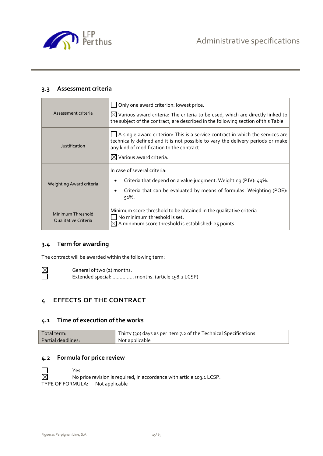

# **3.3 Assessment criteria**

| Assessment criteria                       | Only one award criterion: lowest price.<br>$\boxtimes$ Various award criteria: The criteria to be used, which are directly linked to                                                                           |
|-------------------------------------------|----------------------------------------------------------------------------------------------------------------------------------------------------------------------------------------------------------------|
|                                           | the subject of the contract, are described in the following section of this Table.                                                                                                                             |
| Justification                             | A single award criterion: This is a service contract in which the services are<br>technically defined and it is not possible to vary the delivery periods or make<br>any kind of modification to the contract. |
|                                           | $\boxtimes$ Various award criteria.                                                                                                                                                                            |
|                                           | In case of several criteria:                                                                                                                                                                                   |
| Weighting Award criteria                  | Criteria that depend on a value judgment. Weighting (PJV): 49%.                                                                                                                                                |
|                                           | Criteria that can be evaluated by means of formulas. Weighting (POE):<br>٠<br>51%.                                                                                                                             |
| Minimum Threshold<br>Qualitative Criteria | Minimum score threshold to be obtained in the qualitative criteria<br>No minimum threshold is set.                                                                                                             |

# **3.4 Term for awarding**

The contract will be awarded within the following term:

 $\boxtimes$  General of two (2) months.<br>Extended special: ............. Extended special: ............... months. (article 158.2 LCSP)

# **4 EFFECTS OF THE CONTRACT**

# **4.1 Time of execution of the works**

| Total term:               | Thirty (30) days as per item 7.2 of the Technical Specifications |
|---------------------------|------------------------------------------------------------------|
| <b>Partial deadlines:</b> | Not applicable                                                   |

# **4.2 Formula for price review**

 $\Box$  Yes<br>  $\boxtimes$  No r No price revision is required, in accordance with article 103.1 LCSP. TYPE OF FORMULA: Not applicable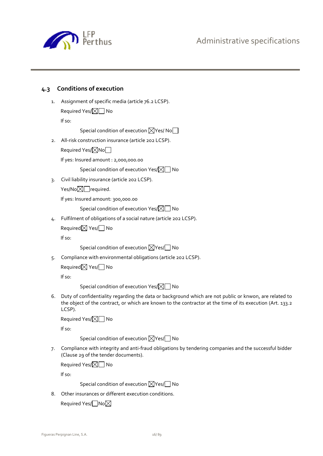Administrative specifications



# **4.3 Conditions of execution**

1. Assignment of specific media (article 76.2 LCSP). Required Yes/ $\times \mathbb{N}$  No

If so:

Special condition of execution  $\boxtimes$  Yes/ No $\Box$ 

2. All-risk construction insurance (article 202 LCSP).

Required Yes/ $\boxtimes$ No $\Box$ 

If yes: Insured amount : 2,000,000.00

Special condition of execution Yes/ $\boxtimes \Box$  No

3. Civil liability insurance (article 202 LCSP).

 $Yes/No \times True$ required.

If yes: Insured amount: 300,000.00

Special condition of execution Yes/ $\boxtimes$  No

4. Fulfilment of obligations of a social nature (article 202 LCSP).

Required $\boxtimes$  Yes/ $\Box$  No

If so:

Special condition of execution  $\boxtimes$  Yes/ $\Box$  No

5. Compliance with environmental obligations (article 202 LCSP).

Required $\boxtimes$  Yes/ $\Box$  No

If so:

Special condition of execution Yes/ $\boxtimes \Box$  No

6. Duty of confidentiality regarding the data or background which are not public or knwon, are related to the object of the contract, or which are known to the contractor at the time of its execution (Art. 133.2 LCSP).

Required Yes/ $\times$  No

If so:

Special condition of execution  $\boxtimes$  Yes/ $\Box$  No

7. Compliance with integrity and anti-fraud obligations by tendering companies and the successful bidder (Clause 29 of the tender documents).

Required Yes/ $\times$  No

If so:

Special condition of execution  $\boxtimes$  Yes/ $\Box$  No

8. Other insurances or different execution conditions.

Required Yes/ No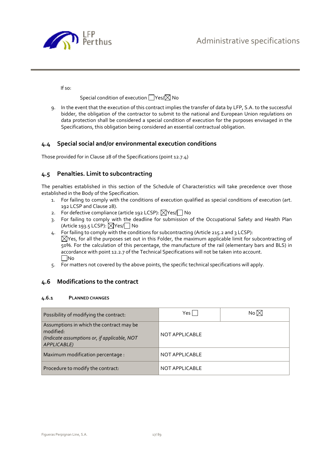

If so:

Special condition of execution  $\Box$  Yes/ $\boxtimes$  No

9. In the event that the execution of this contract implies the transfer of data by LFP, S.A. to the successful bidder, the obligation of the contractor to submit to the national and European Union regulations on data protection shall be considered a special condition of execution for the purposes envisaged in the Specifications, this obligation being considered an essential contractual obligation.

# **4.4 Special social and/or environmental execution conditions**

Those provided for in Clause 28 of the Specifications (point 12.7.4)

# **4.5 Penalties. Limit to subcontracting**

The penalties established in this section of the Schedule of Characteristics will take precedence over those established in the Body of the Specification.

- 1. For failing to comply with the conditions of execution qualified as special conditions of execution (art. 192 LCSP and Clause 28).
- 2. For defective compliance (article 192 LCSP):  $\boxtimes$ Yes/ $\Box$  No
- 3. For failing to comply with the deadline for submission of the Occupational Safety and Health Plan (Article 193.5 LCSP):  $\triangledown$ Yes/  $\triangledown$  No
- 4. For failing to comply with the conditions for subcontracting (Article 215.2 and 3 LCSP):  $\boxtimes$ Yes, for all the purposes set out in this Folder, the maximum applicable limit for subcontracting of 50%. For the calculation of this percentage, the manufacture of the rail (elementary bars and BLS) in accordance with point 12.2.7 of the Technical Specifications will not be taken into account.  $\Box$ No
- 5. For matters not covered by the above points, the specific technical specifications will apply.

# **4.6 Modifications to the contract**

#### **4.6.1 PLANNED CHANGES**

| Possibility of modifying the contract:                                                                               | Yes l          | No $\boxtimes$ |
|----------------------------------------------------------------------------------------------------------------------|----------------|----------------|
| Assumptions in which the contract may be<br>modified:<br>(Indicate assumptions or, if applicable, NOT<br>APPLICABLE) | NOT APPLICABLE |                |
| Maximum modification percentage :                                                                                    | NOT APPLICABLE |                |
| Procedure to modify the contract:                                                                                    | NOT APPLICABLE |                |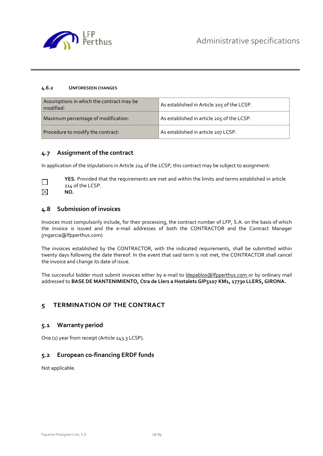

#### **4.6.2 UNFORESEEN CHANGES**

| Assumptions in which the contract may be<br>modified: | As established in Article 205 of the LCSP. |
|-------------------------------------------------------|--------------------------------------------|
| Maximum percentage of modification:                   | As established in article 205 of the LCSP. |
| Procedure to modify the contract:                     | As established in article 207 LCSP.        |

### **4.7 Assignment of the contract**

In application of the stipulations in Article 214 of the LCSP, this contract may be subject to assignment:



**YES.** Provided that the requirements are met and within the limits and terms established in article 214 of the LCSP. **NO.**

# **4.8 Submission of invoices**

Invoices must compulsorily include, for their processing, the contract number of LFP, S.A. on the basis of which the invoice is issued and the e-mail addresses of both the CONTRACTOR and the Contract Manager (mgarcia@lfpperthus.com)

The invoices established by the CONTRACTOR, with the indicated requirements, shall be submitted within twenty days following the date thereof. In the event that said term is not met, the CONTRACTOR shall cancel the invoice and change its date of issue.

The successful bidder must submit invoices either by e-mail to ldepablos@lfpperthus.com or by ordinary mail addressed to **BASE DE MANTENIMIENTO, Ctra de Llers a Hostalets GIP5107 KM1, 17730 LLERS, GIRONA.** 

# **5 TERMINATION OF THE CONTRACT**

#### **5.1 Warranty period**

One (1) year from receipt (Article 243.3 LCSP).

# **5.2 European co-financing ERDF funds**

Not applicable.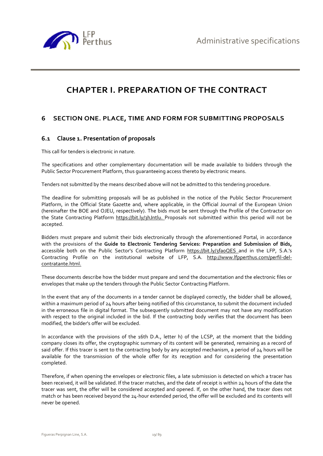

# **CHAPTER I. PREPARATION OF THE CONTRACT**

# **6 SECTION ONE. PLACE, TIME AND FORM FOR SUBMITTING PROPOSALS**

# **6.1 Clause 1. Presentation of proposals**

This call for tenders is electronic in nature.

The specifications and other complementary documentation will be made available to bidders through the Public Sector Procurement Platform, thus guaranteeing access thereto by electronic means.

Tenders not submitted by the means described above will not be admitted to this tendering procedure.

The deadline for submitting proposals will be as published in the notice of the Public Sector Procurement Platform, in the Official State Gazette and, where applicable, in the Official Journal of the European Union (hereinafter the BOE and OJEU, respectively). The bids must be sent through the Profile of the Contractor on the State Contracting Platform https://bit.ly/3hJntlu. Proposals not submitted within this period will not be accepted.

Bidders must prepare and submit their bids electronically through the aforementioned Portal, in accordance with the provisions of the **Guide to Electronic Tendering Services: Preparation and Submission of Bids,**  accessible both on the Public Sector's Contracting Platform https://bit.ly/3fa0QES and in the LFP, S.A.'s Contracting Profile on the institutional website of LFP, S.A. http://www.lfpperthus.com/perfil-delcontratante.html.

These documents describe how the bidder must prepare and send the documentation and the electronic files or envelopes that make up the tenders through the Public Sector Contracting Platform.

In the event that any of the documents in a tender cannot be displayed correctly, the bidder shall be allowed, within a maximum period of 24 hours after being notified of this circumstance, to submit the document included in the erroneous file in digital format. The subsequently submitted document may not have any modification with respect to the original included in the bid. If the contracting body verifies that the document has been modified, the bidder's offer will be excluded.

In accordance with the provisions of the 16th D.A., letter h) of the LCSP, at the moment that the bidding company closes its offer, the cryptographic summary of its content will be generated, remaining as a record of said offer. If this tracer is sent to the contracting body by any accepted mechanism, a period of 24 hours will be available for the transmission of the whole offer for its reception and for considering the presentation completed.

Therefore, if when opening the envelopes or electronic files, a late submission is detected on which a tracer has been received, it will be validated. If the tracer matches, and the date of receipt is within 24 hours of the date the tracer was sent, the offer will be considered accepted and opened. If, on the other hand, the tracer does not match or has been received beyond the 24-hour extended period, the offer will be excluded and its contents will never be opened.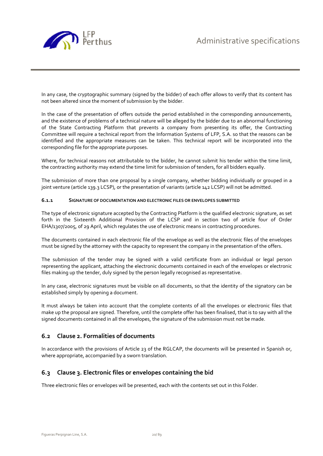

In any case, the cryptographic summary (signed by the bidder) of each offer allows to verify that its content has not been altered since the moment of submission by the bidder.

In the case of the presentation of offers outside the period established in the corresponding announcements, and the existence of problems of a technical nature will be alleged by the bidder due to an abnormal functioning of the State Contracting Platform that prevents a company from presenting its offer, the Contracting Committee will require a technical report from the Information Systems of LFP, S.A. so that the reasons can be identified and the appropriate measures can be taken. This technical report will be incorporated into the corresponding file for the appropriate purposes.

Where, for technical reasons not attributable to the bidder, he cannot submit his tender within the time limit, the contracting authority may extend the time limit for submission of tenders, for all bidders equally.

The submission of more than one proposal by a single company, whether bidding individually or grouped in a joint venture (article 139.3 LCSP), or the presentation of variants (article 142 LCSP) will not be admitted.

#### **6.1.1 SIGNATURE OF DOCUMENTATION AND ELECTRONIC FILES OR ENVELOPES SUBMITTED**

The type of electronic signature accepted by the Contracting Platform is the qualified electronic signature, as set forth in the Sixteenth Additional Provision of the LCSP and in section two of article four of Order EHA/1307/2005, of 29 April, which regulates the use of electronic means in contracting procedures.

The documents contained in each electronic file of the envelope as well as the electronic files of the envelopes must be signed by the attorney with the capacity to represent the company in the presentation of the offers.

The submission of the tender may be signed with a valid certificate from an individual or legal person representing the applicant, attaching the electronic documents contained in each of the envelopes or electronic files making up the tender, duly signed by the person legally recognised as representative.

In any case, electronic signatures must be visible on all documents, so that the identity of the signatory can be established simply by opening a document.

It must always be taken into account that the complete contents of all the envelopes or electronic files that make up the proposal are signed. Therefore, until the complete offer has been finalised, that is to say with all the signed documents contained in all the envelopes, the signature of the submission must not be made.

# **6.2 Clause 2. Formalities of documents**

In accordance with the provisions of Article 23 of the RGLCAP, the documents will be presented in Spanish or, where appropriate, accompanied by a sworn translation.

# **6.3 Clause 3. Electronic files or envelopes containing the bid**

Three electronic files or envelopes will be presented, each with the contents set out in this Folder.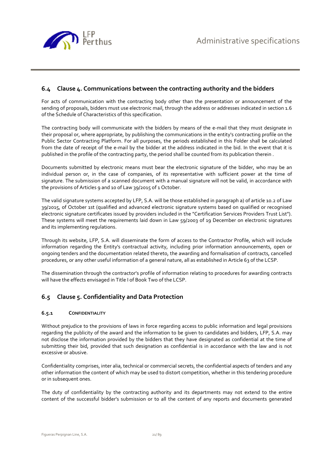

# **6.4 Clause 4. Communications between the contracting authority and the bidders**

For acts of communication with the contracting body other than the presentation or announcement of the sending of proposals, bidders must use electronic mail, through the address or addresses indicated in section 1.6 of the Schedule of Characteristics of this specification.

The contracting body will communicate with the bidders by means of the e-mail that they must designate in their proposal or, where appropriate, by publishing the communications in the entity's contracting profile on the Public Sector Contracting Platform. For all purposes, the periods established in this Folder shall be calculated from the date of receipt of the e-mail by the bidder at the address indicated in the bid. In the event that it is published in the profile of the contracting party, the period shall be counted from its publication therein .

Documents submitted by electronic means must bear the electronic signature of the bidder, who may be an individual person or, in the case of companies, of its representative with sufficient power at the time of signature. The submission of a scanned document with a manual signature will not be valid, in accordance with the provisions of Articles 9 and 10 of Law 39/2015 of 1 October.

The valid signature systems accepted by LFP, S.A. will be those established in paragraph a) of article 10.2 of Law 39/2015, of October 1st (qualified and advanced electronic signature systems based on qualified or recognised electronic signature certificates issued by providers included in the "Certification Services Providers Trust List"). These systems will meet the requirements laid down in Law 59/2003 of 19 December on electronic signatures and its implementing regulations.

Through its website, LFP, S.A. will disseminate the form of access to the Contractor Profile, which will include information regarding the Entity's contractual activity, including prior information announcements, open or ongoing tenders and the documentation related thereto, the awarding and formalisation of contracts, cancelled procedures, or any other useful information of a general nature, all as established in Article 63 of the LCSP.

The dissemination through the contractor's profile of information relating to procedures for awarding contracts will have the effects envisaged in Title I of Book Two of the LCSP.

# **6.5 Clause 5. Confidentiality and Data Protection**

#### **6.5.1 CONFIDENTIALITY**

Without prejudice to the provisions of laws in force regarding access to public information and legal provisions regarding the publicity of the award and the information to be given to candidates and bidders, LFP, S.A. may not disclose the information provided by the bidders that they have designated as confidential at the time of submitting their bid, provided that such designation as confidential is in accordance with the law and is not excessive or abusive.

Confidentiality comprises, inter alia, technical or commercial secrets, the confidential aspects of tenders and any other information the content of which may be used to distort competition, whether in this tendering procedure or in subsequent ones.

The duty of confidentiality by the contracting authority and its departments may not extend to the entire content of the successful bidder's submission or to all the content of any reports and documents generated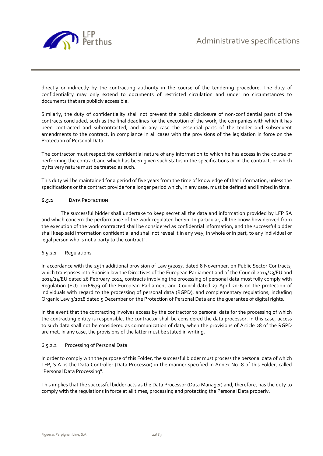

directly or indirectly by the contracting authority in the course of the tendering procedure. The duty of confidentiality may only extend to documents of restricted circulation and under no circumstances to documents that are publicly accessible.

Similarly, the duty of confidentiality shall not prevent the public disclosure of non-confidential parts of the contracts concluded, such as the final deadlines for the execution of the work, the companies with which it has been contracted and subcontracted, and in any case the essential parts of the tender and subsequent amendments to the contract, in compliance in all cases with the provisions of the legislation in force on the Protection of Personal Data.

The contractor must respect the confidential nature of any information to which he has access in the course of performing the contract and which has been given such status in the specifications or in the contract, or which by its very nature must be treated as such.

This duty will be maintained for a period of five years from the time of knowledge of that information, unless the specifications or the contract provide for a longer period which, in any case, must be defined and limited in time.

#### **6.5.2 DATA PROTECTION**

 The successful bidder shall undertake to keep secret all the data and information provided by LFP SA and which concern the performance of the work regulated herein. In particular, all the know-how derived from the execution of the work contracted shall be considered as confidential information, and the successful bidder shall keep said information confidential and shall not reveal it in any way, in whole or in part, to any individual or legal person who is not a party to the contract".

#### 6.5.2.1 Regulations

In accordance with the 25th additional provision of Law 9/2017, dated 8 November, on Public Sector Contracts, which transposes into Spanish law the Directives of the European Parliament and of the Council 2014/23/EU and 2014/24/EU dated 26 February 2014, contracts involving the processing of personal data must fully comply with Regulation (EU) 2016/679 of the European Parliament and Council dated 27 April 2016 on the protection of individuals with regard to the processing of personal data (RGPD), and complementary regulations, including Organic Law 3/2018 dated 5 December on the Protection of Personal Data and the guarantee of digital rights.

In the event that the contracting involves access by the contractor to personal data for the processing of which the contracting entity is responsible, the contractor shall be considered the data processor. In this case, access to such data shall not be considered as communication of data, when the provisions of Article 28 of the RGPD are met. In any case, the provisions of the latter must be stated in writing.

#### 6.5.2.2 Processing of Personal Data

In order to comply with the purpose of this Folder, the successful bidder must process the personal data of which LFP, S.A. is the Data Controller (Data Processor) in the manner specified in Annex No. 8 of this Folder, called "Personal Data Processing".

This implies that the successful bidder acts as the Data Processor (Data Manager) and, therefore, has the duty to comply with the regulations in force at all times, processing and protecting the Personal Data properly.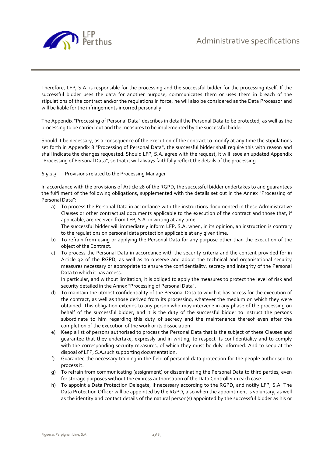

Therefore, LFP, S.A. is responsible for the processing and the successful bidder for the processing itself. If the successful bidder uses the data for another purpose, communicates them or uses them in breach of the stipulations of the contract and/or the regulations in force, he will also be considered as the Data Processor and will be liable for the infringements incurred personally.

The Appendix "Processing of Personal Data" describes in detail the Personal Data to be protected, as well as the processing to be carried out and the measures to be implemented by the successful bidder.

Should it be necessary, as a consequence of the execution of the contract to modify at any time the stipulations set forth in Appendix 8 "Processing of Personal Data", the successful bidder shall require this with reason and shall indicate the changes requested. Should LFP, S.A. agree with the request, it will issue an updated Appendix "Processing of Personal Data", so that it will always faithfully reflect the details of the processing.

#### 6.5.2.3 Provisions related to the Processing Manager

In accordance with the provisions of Article 28 of the RGPD, the successful bidder undertakes to and guarantees the fulfilment of the following obligations, supplemented with the details set out in the Annex "Processing of Personal Data":

- a) To process the Personal Data in accordance with the instructions documented in these Administrative Clauses or other contractual documents applicable to the execution of the contract and those that, if applicable, are received from LFP, S.A. in writing at any time. The successful bidder will immediately inform LFP, S.A. when, in its opinion, an instruction is contrary to the regulations on personal data protection applicable at any given time.
- b) To refrain from using or applying the Personal Data for any purpose other than the execution of the object of the Contract.
- c) To process the Personal Data in accordance with the security criteria and the content provided for in Article 32 of the RGPD, as well as to observe and adopt the technical and organisational security measures necessary or appropriate to ensure the confidentiality, secrecy and integrity of the Personal Data to which it has access.

In particular, and without limitation, it is obliged to apply the measures to protect the level of risk and security detailed in the Annex "Processing of Personal Data".

- d) To maintain the utmost confidentiality of the Personal Data to which it has access for the execution of the contract, as well as those derived from its processing, whatever the medium on which they were obtained. This obligation extends to any person who may intervene in any phase of the processing on behalf of the successful bidder, and it is the duty of the successful bidder to instruct the persons subordinate to him regarding this duty of secrecy and the maintenance thereof even after the completion of the execution of the work or its dissociation.
- e) Keep a list of persons authorised to process the Personal Data that is the subject of these Clauses and guarantee that they undertake, expressly and in writing, to respect its confidentiality and to comply with the corresponding security measures, of which they must be duly informed. And to keep at the dispoal of LFP, S.A.such supporting documentation.
- f) Guarantee the necessary training in the field of personal data protection for the people authorised to process it.
- g) To refrain from communicating (assignment) or disseminating the Personal Data to third parties, even for storage purposes without the express authorisation of the Data Controller in each case.
- h) To appoint a Data Protection Delegate, if necessary according to the RGPD, and notify LFP, S.A. The Data Protection Officer will be appointed by the RGPD, also when the appointment is voluntary, as well as the identity and contact details of the natural person(s) appointed by the successful bidder as his or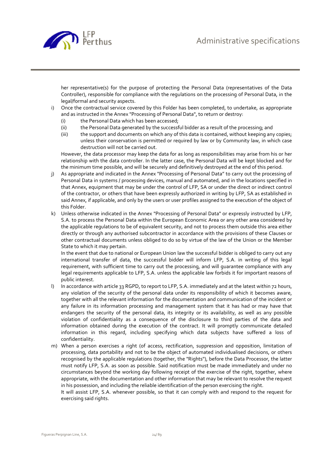

her representative(s) for the purpose of protecting the Personal Data (representatives of the Data Controller), responsible for compliance with the regulations on the processing of Personal Data, in the legal/formal and security aspects.

- i) Once the contractual service covered by this Folder has been completed, to undertake, as appropriate and as instructed in the Annex "Processing of Personal Data", to return or destroy:
	- (i) the Personal Data which has been accessed;
	- (ii) the Personal Data generated by the successful bidder as a result of the processing; and
	- (iii) the support and documents on which any of this data is contained, without keeping any copies; unless their conservation is permitted or required by law or by Community law, in which case destruction will not be carried out.

However, the data processor may keep the data for as long as responsibilities may arise from his or her relationship with the data controller. In the latter case, the Personal Data will be kept blocked and for the minimum time possible, and will be securely and definitively destroyed at the end of this period.

- j) As appropriate and indicated in the Annex "Processing of Personal Data" to carry out the processing of Personal Data in systems / processing devices, manual and automated, and in the locations specified in that Annex, equipment that may be under the control of LFP, SA or under the direct or indirect control of the contractor, or others that have been expressly authorized in writing by LFP, SA as established in said Annex, if applicable, and only by the users or user profiles assigned to the execution of the object of this Folder.
- k) Unless otherwise indicated in the Annex "Processing of Personal Data" or expressly instructed by LFP, S.A. to process the Personal Data within the European Economic Area or any other area considered by the applicable regulations to be of equivalent security, and not to process them outside this area either directly or through any authorised subcontractor in accordance with the provisions of these Clauses or other contractual documents unless obliged to do so by virtue of the law of the Union or the Member State to which it may pertain.

In the event that due to national or European Union law the successful bidder is obliged to carry out any international transfer of data, the successful bidder will inform LFP, S.A. in writing of this legal requirement, with sufficient time to carry out the processing, and will guarantee compliance with any legal requirements applicable to LFP, S.A. unless the applicable law forbids it for important reasons of public interest.

- l) In accordance with article 33 RGPD, to report to LFP, S.A. immediately and at the latest within 72 hours, any violation of the security of the personal data under its responsibility of which it becomes aware, together with all the relevant information for the documentation and communication of the incident or any failure in its information processing and management system that it has had or may have that endangers the security of the personal data, its integrity or its availability, as well as any possible violation of confidentiality as a consequence of the disclosure to third parties of the data and information obtained during the execution of the contract. It will promptly communicate detailed information in this regard, including specifying which data subjects have suffered a loss of confidentiality.
- m) When a person exercises a right (of access, rectification, suppression and opposition, limitation of processing, data portability and not to be the object of automated individualised decisions, or others recognised by the applicable regulations (together, the "Rights"), before the Data Processor, the latter must notify LFP, S.A. as soon as possible. Said notification must be made immediately and under no circumstances beyond the working day following receipt of the exercise of the right, together, where appropriate, with the documentation and other information that may be relevant to resolve the request in his possession, and including the reliable identification of the person exercising the right.

It will assist LFP, S.A. whenever possible, so that it can comply with and respond to the request for exercising said rights.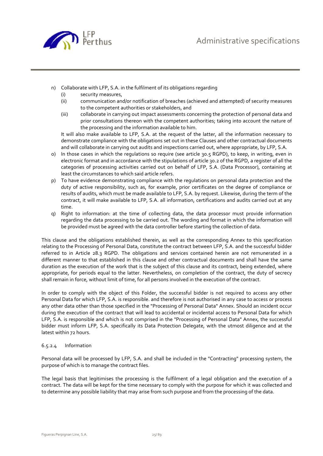

- n) Collaborate with LFP, S.A. in the fulfilment of its obligations regarding
	- (i) security measures,
	- (ii) communication and/or notification of breaches (achieved and attempted) of security measures to the competent authorities or stakeholders, and
	- (iii) collaborate in carrying out impact assessments concerning the protection of personal data and prior consultations thereon with the competent authorities; taking into account the nature of the processing and the information available to him.

It will also make available to LFP, S.A. at the request of the latter, all the information necessary to demonstrate compliance with the obligations set out in these Clauses and other contractual documents and will collaborate in carrying out audits and inspections carried out, where appropriate, by LFP, S.A.

- o) In those cases in which the regulations so require (see article 30.5 RGPD), to keep, in writing, even in electronic format and in accordance with the stipulations of article 30.2 of the RGPD, a register of all the categories of processing activities carried out on behalf of LFP, S.A. (Data Processor), containing at least the circumstances to which said article refers.
- p) To have evidence demonstrating compliance with the regulations on personal data protection and the duty of active responsibility, such as, for example, prior certificates on the degree of compliance or results of audits, which must be made available to LFP, S.A. by request. Likewise, during the term of the contract, it will make available to LFP, S.A. all information, certifications and audits carried out at any time.
- q) Right to information: at the time of collecting data, the data processor must provide information regarding the data processing to be carried out. The wording and format in which the information will be provided must be agreed with the data controller before starting the collection of data.

This clause and the obligations established therein, as well as the corresponding Annex to this specification relating to the Processing of Personal Data, constitute the contract between LFP, S.A. and the successful bidder referred to in Article 28.3 RGPD. The obligations and services contained herein are not remunerated in a different manner to that established in this clause and other contractual documents and shall have the same duration as the execution of the work that is the subject of this clause and its contract, being extended, where appropriate, for periods equal to the latter. Nevertheless, on completion of the contract, the duty of secrecy shall remain in force, without limit of time, for all persons involved in the execution of the contract.

In order to comply with the object of this Folder, the successful bidder is not required to access any other Personal Data for which LFP, S.A. is responsible. and therefore is not authorised in any case to access or process any other data other than those specified in the "Processing of Personal Data" Annex. Should an incident occur during the execution of the contract that will lead to accidental or incidental access to Personal Data for which LFP, S.A. is responsible and which is not comprised in the "Processing of Personal Data" Annex, the successful bidder must inform LFP, S.A. specifically its Data Protection Delegate, with the utmost diligence and at the latest within 72 hours.

#### 6.5.2.4 Information

Personal data will be processed by LFP, S.A. and shall be included in the "Contracting" processing system, the purpose of which is to manage the contract files.

The legal basis that legitimises the processing is the fulfilment of a legal obligation and the execution of a contract. The data will be kept for the time necessary to comply with the purpose for which it was collected and to determine any possible liability that may arise from such purpose and from the processing of the data.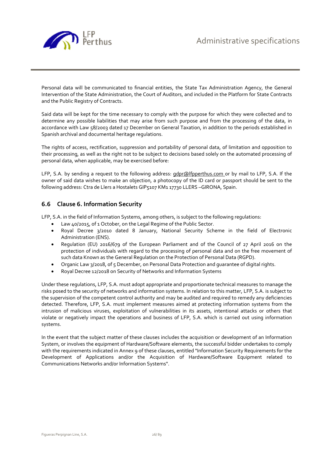

Personal data will be communicated to financial entities, the State Tax Administration Agency, the General Intervention of the State Administration, the Court of Auditors, and included in the Platform for State Contracts and the Public Registry of Contracts.

Said data will be kept for the time necessary to comply with the purpose for which they were collected and to determine any possible liabilities that may arise from such purpose and from the processing of the data, in accordance with Law 58/2003 dated 17 December on General Taxation, in addition to the periods established in Spanish archival and documental heritage regulations.

The rights of access, rectification, suppression and portability of personal data, of limitation and opposition to their processing, as well as the right not to be subject to decisions based solely on the automated processing of personal data, when applicable, may be exercised before:

LFP, S.A. by sending a request to the following address: gdpr@lfpperthus.com or by mail to LFP, S.A. If the owner of said data wishes to make an objection, a photocopy of the ID card or passport should be sent to the following address: Ctra de Llers a Hostalets GIP5107 KM1 17730 LLERS –GIRONA, Spain.

# **6.6 Clause 6. Information Security**

LFP, S.A. in the field of Information Systems, among others, is subject to the following regulations:

- Law 40/2015, of 1 October, on the Legal Regime of the Public Sector.
- Royal Decree 3/2010 dated 8 January, National Security Scheme in the field of Electronic Administration (ENS).
- Regulation (EU) 2016/679 of the European Parliament and of the Council of 27 April 2016 on the protection of individuals with regard to the processing of personal data and on the free movement of such data Known as the General Regulation on the Protection of Personal Data (RGPD).
- Organic Law 3/2018, of 5 December, on Personal Data Protection and guarantee of digital rights.
- Royal Decree 12/2018 on Security of Networks and Information Systems

Under these regulations, LFP, S.A. must adopt appropriate and proportionate technical measures to manage the risks posed to the security of networks and information systems. In relation to this matter, LFP, S.A. is subject to the supervision of the competent control authority and may be audited and required to remedy any deficiencies detected. Therefore, LFP, S.A. must implement measures aimed at protecting information systems from the intrusion of malicious viruses, exploitation of vulnerabilities in its assets, intentional attacks or others that violate or negatively impact the operations and business of LFP, S.A. which is carried out using information systems.

In the event that the subject matter of these clauses includes the acquisition or development of an Information System, or involves the equipment of Hardware/Software elements, the successful bidder undertakes to comply with the requirements indicated in Annex 9 of these clauses, entitled "Information Security Requirements for the Development of Applications and/or the Acquisition of Hardware/Software Equipment related to Communications Networks and/or Information Systems".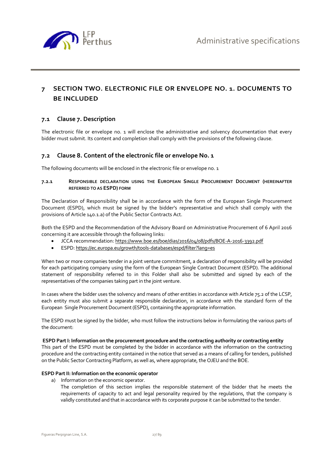

# **7 SECTION TWO. ELECTRONIC FILE OR ENVELOPE NO. 1. DOCUMENTS TO BE INCLUDED**

# **7.1 Clause 7. Description**

The electronic file or envelope no. 1 will enclose the administrative and solvency documentation that every bidder must submit. Its content and completion shall comply with the provisions of the following clause.

# **7.2 Clause 8. Content of the electronic file or envelope No. 1**

The following documents will be enclosed in the electronic file or envelope no. 1

#### **7.2.1 RESPONSIBLE DECLARATION USING THE EUROPEAN SINGLE PROCUREMENT DOCUMENT (HEREINAFTER REFERRED TO AS ESPD) FORM**

The Declaration of Responsibility shall be in accordance with the form of the European Single Procurement Document (ESPD), which must be signed by the bidder's representative and which shall comply with the provisions of Article 140.1.a) of the Public Sector Contracts Act.

Both the ESPD and the Recommendation of the Advisory Board on Administrative Procurement of 6 April 2016 concerning it are accessible through the following links:

- JCCA recommendation: https://www.boe.es/boe/dias/2016/04/08/pdfs/BOE-A-2016-3392.pdf
- ESPD: https://ec.europa.eu/growth/tools-databases/espd/filter?lang=es

When two or more companies tender in a joint venture commitment, a declaration of responsibility will be provided for each participating company using the form of the European Single Contract Document (ESPD). The additional statement of responsibility referred to in this Folder shall also be submitted and signed by each of the representatives of the companies taking part in the joint venture.

In cases where the bidder uses the solvency and means of other entities in accordance with Article 75.2 of the LCSP, each entity must also submit a separate responsible declaration, in accordance with the standard form of the European Single Procurement Document (ESPD), containing the appropriate information.

The ESPD must be signed by the bidder, who must follow the instructions below in formulating the various parts of the document:

#### **ESPD Part I: Information on the procurement procedure and the contracting authority or contracting entity**

This part of the ESPD must be completed by the bidder in accordance with the information on the contracting procedure and the contracting entity contained in the notice that served as a means of calling for tenders, published on the Public Sector Contracting Platform, as well as, where appropriate, the OJEU and the BOE.

#### **ESPD Part II: Information on the economic operator**

- a) Information on the economic operator.
	- The completion of this section implies the responsible statement of the bidder that he meets the requirements of capacity to act and legal personality required by the regulations, that the company is validly constituted and that in accordance with its corporate purpose it can be submitted to the tender.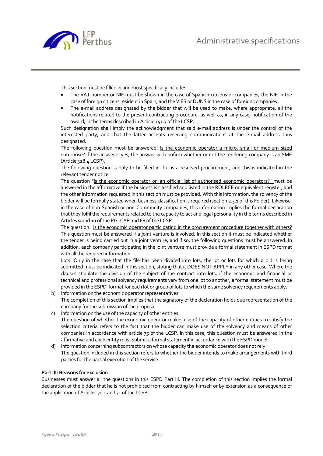

This section must be filled in and must specifically include:

- The VAT number or NIF must be shown in the case of Spanish citizens or companies, the NIE in the case of foreign citizens resident in Spain, and the VIES or DUNS in the case of foreign companies.
- The e-mail address designated by the bidder that will be used to make, where appropriate, all the notifications related to the present contracting procedure, as well as, in any case, notification of the award, in the terms described in Article 151.3 of the LCSP.

Such designation shall imply the acknowledgment that said e-mail address is under the control of the interested party, and that the latter accepts receiving communications at the e-mail address thus designated.

The following question must be answered: Is the economic operator a micro, small or medium sized enterprise? If the answer is yes, the answer will confirm whether or not the tendering company is an SME (Article 328.4 LCSP).

The following question is only to be filled in if it is a reserved procurement, and this is indicated in the relevant tender notice.

The question "Is the economic operator on an official list of authorised economic operators?" must be answered in the affirmative if the business is classified and listed in the ROLECE or equivalent register, and the other information requested in this section must be provided. With this information, the solvency of the bidder will be formally stated when business classification is required (section 2.3.1 of this Folder). Likewise, in the case of non-Spanish or non-Community companies, this information implies the formal declaration that they fulfil the requirements related to the capacity to act and legal personality in the terms described in Articles 9 and 10 of the RGLCAP and 68 of the LCSP.

The question: is the economic operator participating in the procurement procedure together with others? This question must be answered if a joint venture is involved. In this section it must be indicated whether the tender is being carried out in a joint venture, and if so, the following questions must be answered. In addition, each company participating in the joint venture must provide a formal statement in ESPD format with all the required information.

Lots: Only in the case that the file has been divided into lots, the lot or lots for which a bid is being submitted must be indicated in this section, stating that it DOES NOT APPLY in any other case. Where the clauses stipulate the division of the subject of the contract into lots, if the economic and financial or technical and professional solvency requirements vary from one lot to another, a formal statement must be provided in the ESPD format for each lot or group of lots to which the same solvency requirements apply.

- b) Information on the economic operator representatives. The completion of this section implies that the signatory of the declaration holds due representation of the company for the submission of the proposal.
- c) Information on the use of the capacity of other entities The question of whether the economic operator makes use of the capacity of other entities to satisfy the selection criteria refers to the fact that the bidder can make use of the solvency and means of other companies in accordance with article 75 of the LCSP. In this case, this question must be answered in the affirmative and each entity must submit a formal statement in accordance with the ESPD model.
- d) Information concerning subcontractors on whose capacity the economic operator does not rely. The question included in this section refers to whether the bidder intends to make arrangements with third parties for the partial execution of the service.

#### **Part III: Reasons for exclusion**

Businesses must answer all the questions in this ESPD Part III. The completion of this section implies the formal declaration of the bidder that he is not prohibited from contracting by himself or by extension as a consequence of the application of Articles 70.1 and 71 of the LCSP.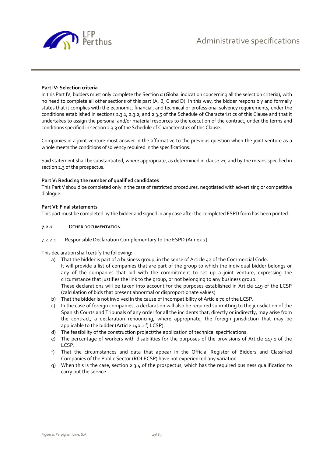

#### **Part IV: Selection criteria**

In this Part IV, bidders must only complete the Section  $\alpha$  (Global indication concerning all the selection criteria), with no need to complete all other sections of this part (A, B, C and D). In this way, the bidder responsibly and formally states that it complies with the economic, financial, and technical or professional solvency requirements, under the conditions established in sections 2.3.1, 2.3.2, and 2.3.5 of the Schedule of Characteristics of this Clause and that it undertakes to assign the personal and/or material resources to the execution of the contract, under the terms and conditions specified in section 2.3.3 of the Schedule of Characteristics of this Clause.

Companies in a joint venture must answer in the affirmative to the previous question when the joint venture as a whole meets the conditions of solvency required in the specifications.

Said statement shall be substantiated, where appropriate, as determined in clause 21, and by the means specified in section 2.3 of the prospectus.

#### **Part V: Reducing the number of qualified candidates**

This Part V should be completed only in the case of restricted procedures, negotiated with advertising or competitive dialogue.

#### **Part VI: Final statements**

This part must be completed by the bidder and signed in any case after the completed ESPD form has been printed.

#### **7.2.2 OTHER DOCUMENTATION**

#### 7.2.2.1 Responsible Declaration Complementary to the ESPD (Annex 2)

This declaration shall certify the following:

- a) That the bidder is part of a business group, in the sense of Article 42 of the Commercial Code. It will provide a list of companies that are part of the group to which the individual bidder belongs or any of the companies that bid with the commitment to set up a joint venture, expressing the circumstance that justifies the link to the group, or not belonging to any business group. These declarations will be taken into account for the purposes established in Article 149 of the LCSP (calculation of bids that present abnormal or disproportionate values)
- b) That the bidder is not involved in the cause of incompatibility of Article 70 of the LCSP.
- c) In the case of foreign companies, a declaration will also be required submitting to the jurisdiction of the Spanish Courts and Tribunals of any order for all the incidents that, directly or indirectly, may arise from the contract, a declaration renouncing, where appropriate, the foreign jurisdiction that may be applicable to the bidder (Article 140.1 f) LCSP).
- d) The feasibility of the construction project/the application of technical specifications.
- e) The percentage of workers with disabilities for the purposes of the provisions of Article 147.1 of the LCSP.
- f) That the circumstances and data that appear in the Official Register of Bidders and Classified Companies of the Public Sector (ROLECSP) have not experienced any variation.
- g) When this is the case, section 2.3.4 of the prospectus, which has the required business qualification to carry out the service.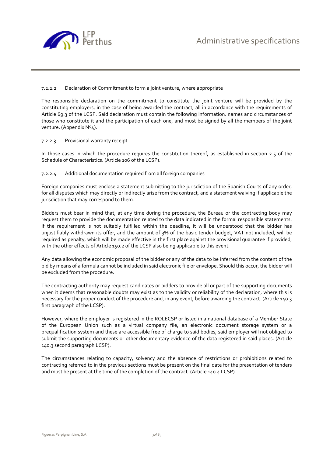

#### 7.2.2.2 Declaration of Commitment to form a joint venture, where appropriate

The responsible declaration on the commitment to constitute the joint venture will be provided by the constituting employers, in the case of being awarded the contract, all in accordance with the requirements of Article 69.3 of the LCSP. Said declaration must contain the following information: names and circumstances of those who constitute it and the participation of each one, and must be signed by all the members of the joint venture. (Appendix Nº4).

#### 7.2.2.3 Provisional warranty receipt

In those cases in which the procedure requires the constitution thereof, as established in section 2.5 of the Schedule of Characteristics. (Article 106 of the LCSP).

#### 7.2.2.4 Additional documentation required from all foreign companies

Foreign companies must enclose a statement submitting to the jurisdiction of the Spanish Courts of any order, for all disputes which may directly or indirectly arise from the contract, and a statement waiving if applicable the jurisdiction that may correspond to them.

Bidders must bear in mind that, at any time during the procedure, the Bureau or the contracting body may request them to provide the documentation related to the data indicated in the formal responsible statements. If the requirement is not suitably fulfilled within the deadline, it will be understood that the bidder has unjustifiably withdrawn its offer, and the amount of 3% of the basic tender budget, VAT not included, will be required as penalty, which will be made effective in the first place against the provisional guarantee if provided, with the other effects of Article 150.2 of the LCSP also being applicable to this event.

Any data allowing the economic proposal of the bidder or any of the data to be inferred from the content of the bid by means of a formula cannot be included in said electronic file or envelope. Should this occur, the bidder will be excluded from the procedure.

The contracting authority may request candidates or bidders to provide all or part of the supporting documents when it deems that reasonable doubts may exist as to the validity or reliability of the declaration, where this is necessary for the proper conduct of the procedure and, in any event, before awarding the contract. (Article 140.3 first paragraph of the LCSP).

However, where the employer is registered in the ROLECSP or listed in a national database of a Member State of the European Union such as a virtual company file, an electronic document storage system or a prequalification system and these are accessible free of charge to said bodies, said employer will not obliged to submit the supporting documents or other documentary evidence of the data registered in said places. (Article 140.3 second paragraph LCSP).

The circumstances relating to capacity, solvency and the absence of restrictions or prohibitions related to contracting referred to in the previous sections must be present on the final date for the presentation of tenders and must be present at the time of the completion of the contract. (Article 140.4 LCSP).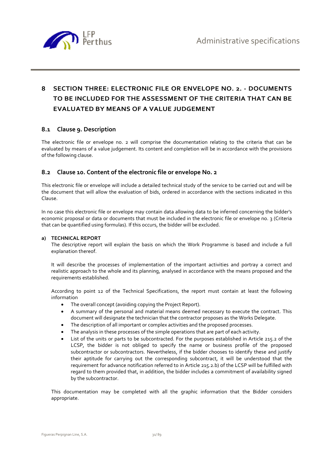

# **8 SECTION THREE: ELECTRONIC FILE OR ENVELOPE NO. 2. - DOCUMENTS TO BE INCLUDED FOR THE ASSESSMENT OF THE CRITERIA THAT CAN BE EVALUATED BY MEANS OF A VALUE JUDGEMENT**

# **8.1 Clause 9. Description**

The electronic file or envelope no. 2 will comprise the documentation relating to the criteria that can be evaluated by means of a value judgement. Its content and completion will be in accordance with the provisions of the following clause.

# **8.2 Clause 10. Content of the electronic file or envelope No. 2**

This electronic file or envelope will include a detailed technical study of the service to be carried out and will be the document that will allow the evaluation of bids, ordered in accordance with the sections indicated in this Clause.

In no case this electronic file or envelope may contain data allowing data to be inferred concerning the bidder's economic proposal or data or documents that must be included in the electronic file or envelope no. 3 (Criteria that can be quantified using formulas). If this occurs, the bidder will be excluded.

#### **a) TECHNICAL REPORT**

The descriptive report will explain the basis on which the Work Programme is based and include a full explanation thereof.

It will describe the processes of implementation of the important activities and portray a correct and realistic approach to the whole and its planning, analysed in accordance with the means proposed and the requirements established.

According to point 12 of the Technical Specifications, the report must contain at least the following information

- The overall concept (avoiding copying the Project Report).
- A summary of the personal and material means deemed necessary to execute the contract. This document will designate the technician that the contractor proposes as the Works Delegate.
- The description of all important or complex activities and the proposed processes.
- The analysis in these processes of the simple operations that are part of each activity.
- List of the units or parts to be subcontracted. For the purposes established in Article 215.2 of the LCSP, the bidder is not obliged to specify the name or business profile of the proposed subcontractor or subcontractors. Nevertheless, if the bidder chooses to identify these and justify their aptitude for carrying out the corresponding subcontract, it will be understood that the requirement for advance notification referred to in Article 215.2.b) of the LCSP will be fulfilled with regard to them provided that, in addition, the bidder includes a commitment of availability signed by the subcontractor.

This documentation may be completed with all the graphic information that the Bidder considers appropriate.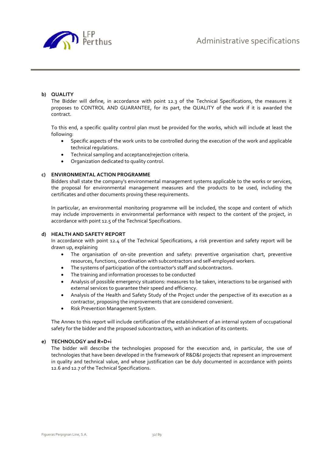

#### **b) QUALITY**

The Bidder will define, in accordance with point 12.3 of the Technical Specifications, the measures it proposes to CONTROL AND GUARANTEE, for its part, the QUALITY of the work if it is awarded the contract.

To this end, a specific quality control plan must be provided for the works, which will include at least the following:

- Specific aspects of the work units to be controlled during the execution of the work and applicable technical regulations.
- Technical sampling and acceptance/rejection criteria.
- Organization dedicated to quality control.

#### **c) ENVIRONMENTAL ACTION PROGRAMME**

Bidders shall state the company's environmental management systems applicable to the works or services, the proposal for environmental management measures and the products to be used, including the certificates and other documents proving these requirements.

In particular, an environmental monitoring programme will be included, the scope and content of which may include improvements in environmental performance with respect to the content of the project, in accordance with point 12.5 of the Technical Specifications.

#### **d) HEALTH AND SAFETY REPORT**

In accordance with point 12.4 of the Technical Specifications, a risk prevention and safety report will be drawn up, explaining

- The organisation of on-site prevention and safety: preventive organisation chart, preventive resources, functions, coordination with subcontractors and self-employed workers.
- The systems of participation of the contractor's staff and subcontractors.
- The training and information processes to be conducted
- Analysis of possible emergency situations: measures to be taken, interactions to be organised with external services to guarantee their speed and efficiency.
- Analysis of the Health and Safety Study of the Project under the perspective of its execution as a contractor, proposing the improvements that are considered convenient.
- Risk Prevention Management System.

The Annex to this report will include certification of the establishment of an internal system of occupational safety for the bidder and the proposed subcontractors, with an indication of its contents.

#### **e) TECHNOLOGY and R+D+i**

The bidder will describe the technologies proposed for the execution and, in particular, the use of technologies that have been developed in the framework of R&D&I projects that represent an improvement in quality and technical value, and whose justification can be duly documented in accordance with points 12.6 and 12.7 of the Technical Specifications.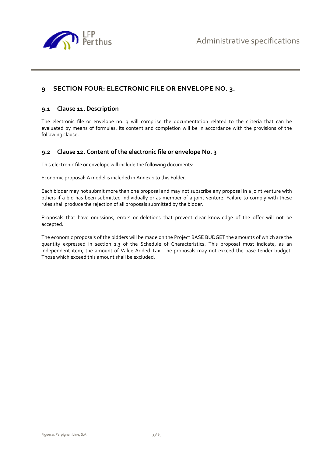

# **9 SECTION FOUR: ELECTRONIC FILE OR ENVELOPE NO. 3.**

## **9.1 Clause 11. Description**

The electronic file or envelope no. 3 will comprise the documentation related to the criteria that can be evaluated by means of formulas. Its content and completion will be in accordance with the provisions of the following clause.

# **9.2 Clause 12. Content of the electronic file or envelope No. 3**

This electronic file or envelope will include the following documents:

Economic proposal: A model is included in Annex 1 to this Folder.

Each bidder may not submit more than one proposal and may not subscribe any proposal in a joint venture with others if a bid has been submitted individually or as member of a joint venture. Failure to comply with these rules shall produce the rejection of all proposals submitted by the bidder.

Proposals that have omissions, errors or deletions that prevent clear knowledge of the offer will not be accepted.

The economic proposals of the bidders will be made on the Project BASE BUDGET the amounts of which are the quantity expressed in section 1.3 of the Schedule of Characteristics. This proposal must indicate, as an independent item, the amount of Value Added Tax. The proposals may not exceed the base tender budget. Those which exceed this amount shall be excluded.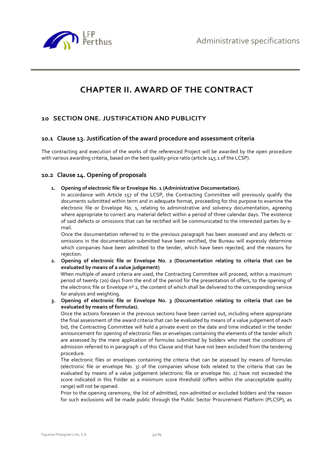

# **CHAPTER II. AWARD OF THE CONTRACT**

# **10 SECTION ONE. JUSTIFICATION AND PUBLICITY**

## **10.1 Clause 13. Justification of the award procedure and assessment criteria**

The contracting and execution of the works of the referenced Project will be awarded by the open procedure with various awarding criteria, based on the best quality-price ratio (article 145.1 of the LCSP).

### **10.2 Clause 14. Opening of proposals**

**1. Opening of electronic file or Envelope No. 1 (Administrative Documentation).** 

In accordance with Article 157 of the LCSP, the Contracting Committee will previously qualify the documents submitted within term and in adequate format, proceeding for this purpose to examine the electronic file or Envelope No. 1, relating to administrative and solvency documentation, agreeing where appropriate to correct any material defect within a period of three calendar days. The existence of said defects or omissions that can be rectified will be communicated to the interested parties by email.

Once the documentation referred to in the previous paragraph has been assessed and any defects or omissions in the documentation submitted have been rectified, the Bureau will expressly determine which companies have been admitted to the tender, which have been rejected, and the reasons for rejection.

**2. Opening of electronic file or Envelope No. 2 (Documentation relating to criteria that can be evaluated by means of a value judgement)** 

When multiple of award criteria are used, the Contracting Committee will proceed, within a maximum period of twenty (20) days from the end of the period for the presentation of offers, to the opening of the electronic file or Envelope nº 2, the content of which shall be delivered to the corresponding service for analysis and weighting.

**3. Opening of electronic file or Envelope No. 3 (Documentation relating to criteria that can be evaluated by means of formulas).** 

Once the actions foreseen in the previous sections have been carried out, including where appropriate the final assessment of the award criteria that can be evaluated by means of a value judgement of each bid, the Contracting Committee will hold a private event on the date and time indicated in the tender announcement for opening of electronic files or envelopes containing the elements of the tender which are assessed by the mere application of formulas submitted by bidders who meet the conditions of admission referred to in paragraph 1 of this Clause and that have not been excluded from the tendering procedure.

The electronic files or envelopes containing the criteria that can be assessed by means of formulas (electronic file or envelope No. 3) of the companies whose bids related to the criteria that can be evaluated by means of a value judgement (electronic file or envelope No. 2) have not exceeded the score indicated in this Folder as a minimum score threshold (offers within the unacceptable quality range) will not be opened.

Prior to the opening ceremony, the list of admitted, non-admitted or excluded bidders and the reason for such exclusions will be made public through the Public Sector Procurement Platform (PLCSP), as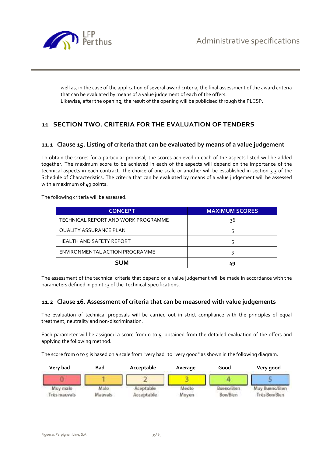

well as, in the case of the application of several award criteria, the final assessment of the award criteria that can be evaluated by means of a value judgement of each of the offers. Likewise, after the opening, the result of the opening will be publicised through the PLCSP.

# **11 SECTION TWO. CRITERIA FOR THE EVALUATION OF TENDERS**

# **11.1 Clause 15. Listing of criteria that can be evaluated by means of a value judgement**

To obtain the scores for a particular proposal, the scores achieved in each of the aspects listed will be added together. The maximum score to be achieved in each of the aspects will depend on the importance of the technical aspects in each contract. The choice of one scale or another will be established in section 3.3 of the Schedule of Characteristics. The criteria that can be evaluated by means of a value judgement will be assessed with a maximum of 49 points.

The following criteria will be assessed:

| <b>CONCEPT</b>                      | <b>MAXIMUM SCORES</b> |
|-------------------------------------|-----------------------|
| TECHNICAL REPORT AND WORK PROGRAMME | 36                    |
| <b>QUALITY ASSURANCE PLAN</b>       |                       |
| HEALTH AND SAFETY REPORT            |                       |
| ENVIRONMENTAL ACTION PROGRAMME      | ς                     |
| <b>SUM</b>                          | 49                    |

The assessment of the technical criteria that depend on a value judgement will be made in accordance with the parameters defined in point 13 of the Technical Specifications.

# **11.2 Clause 16. Assessment of criteria that can be measured with value judgements**

The evaluation of technical proposals will be carried out in strict compliance with the principles of equal treatment, neutrality and non-discrimination.

Each parameter will be assigned a score from o to 5, obtained from the detailed evaluation of the offers and applying the following method.

The score from 0 to 5 is based on a scale from "very bad" to "very good" as shown in the following diagram.

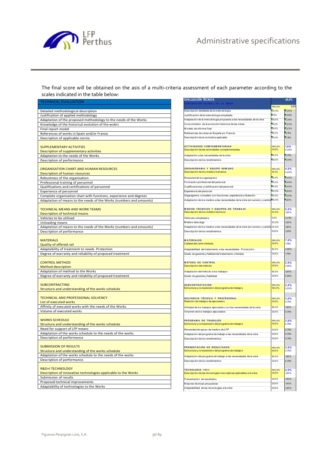

The final score will be obtained on the asis of a multi-criteria assessment of each parameter according to the scales indicated in the table below: J.

| <b>TECHNICAL EVALUATION</b>                                         |
|---------------------------------------------------------------------|
| Detailed methodological description                                 |
| Justification of applied methodology                                |
| Adaptation of the proposed methodology to the needs of the Works    |
| Knowledge of the historical evolution of the wokrs                  |
| Final report model                                                  |
| References of works in Spain and/or France                          |
| Description of applicable norms                                     |
|                                                                     |
| <b>SUPPLEMENTARY ACTIVITIES</b>                                     |
| Description of supplementary activities                             |
| Adaptation to the needs of the Works<br>Description of performance  |
|                                                                     |
| ORGANISATION CHART AND HUMAN RESOURCES                              |
| Description of human resources                                      |
| Robustness of the organisation                                      |
| Professional training of personnel                                  |
| Qualifications and certifications of personnel                      |
| Experience of personnel                                             |
| Complete organisation chart with functions, experience and degrees  |
| Adaptation of means to the needs of the Works (numbers and amounts) |
|                                                                     |
| <b>TECHNICAL MEANS AND WORK TEAMS</b>                               |
| Description of technical means                                      |
| Vehicles to be utilised                                             |
| Unloading means                                                     |
| Adaptation of means to the needs of the Works (numbers and amounts) |
| Description of performance                                          |
| <b>MATERIALS</b>                                                    |
| Quality of offered rail                                             |
| Adaptability of treatment to needs. Protection                      |
| Degree of warranty and reliability of proposed treatment            |
|                                                                     |
| <b>CONTROL METHOD</b>                                               |
| <b>Method description</b>                                           |
| Adaptation of method to the Works                                   |
| Degree of warranty and reliability of proposed treatment            |
| <b>SUBCONTRACTING</b>                                               |
| Structure and understanding of the works schedule                   |
|                                                                     |
| TECHNICAL AND PROFESSIONAL SOLVENCY                                 |
| List of executed works                                              |
| Affinity of executed works with the needs of the Works              |
| Volume of executed works                                            |
|                                                                     |
| <b>WORKS SCHEDULE</b>                                               |
| Structure and understanding of the works schedule                   |
| Need for support of LFP means                                       |
| Adaptation of the works schedule to the needs of the works          |
| Description of performance                                          |
| <b>SUBMISSION OF RESULTS</b>                                        |
| Structure and understanding of the works schedule                   |
| Adaptation of the works schedule to the needs of the works          |
| Description of performance                                          |
|                                                                     |
| <b>R&amp;D+I TECHNOLOGY</b>                                         |
| Description of innovative technologies applicable to the Works      |
| Submission of results                                               |
| Proposed technical improvements                                     |
| Adaptability of technologies to the Works                           |

| <b>EVALUACIÓN TÉCNICA</b>                                                                  |                 | 36,0%          |
|--------------------------------------------------------------------------------------------|-----------------|----------------|
|                                                                                            | 100.0%          | 1,5%           |
| Descripción detallada de la metodología                                                    | 20,0%           | 0,30%          |
| Justificación de la metodología empleada                                                   | 5.0%            | 0,08%          |
| Adaptación de la metodologia propuesta a las necesidades de la obra                        | 250%            | 0,38%          |
| Conocimiento de la evolución historica de las obras                                        | 15,0%           | 0,23%          |
| Modelo de informe final                                                                    | 15,0%           | 0,23%          |
| Referencias de obras en España y/o Francia                                                 | 10,0%           | 0.15%          |
| Descripción de la normativa aplicable                                                      | 10.0%           | 0,15%          |
|                                                                                            |                 |                |
| <b>ACTIVIDADES COMPLEMENTARIAS</b>                                                         | 100,0%          | 1,5%           |
| Descripción de las actividades complementarias                                             | 25,0%           | 0,38%          |
| Adaptación a las necesidades de la obra                                                    | 50,0%           | 0,75%          |
| Descripción de los rendimientos                                                            | 25,0%           | 0,38%          |
|                                                                                            |                 |                |
| ORGANIGRAMA Y EQUIPO HUMANO<br>Descripción de los medios humanos                           | 100.0%<br>10,0% | 4,0%<br>0,40%  |
|                                                                                            |                 |                |
| Robusted de la organización                                                                | 10,0%           | 0,40%          |
| Formación profesional del personal                                                         | 10,0%<br>10,0%  | 0,40%<br>0,40% |
| Cualificaciones y certificación del personal                                               |                 |                |
| Experiencia del personal                                                                   | 20,0%           | 0,80%          |
| Organigrama completo con funciones, experiencia y titulación                               | 10,0%           | 0,40%          |
| Adaptación de los medios a las necesidades de la obra (en numero y cantida 30,0%           |                 | 1,20%          |
| <b>MEDIOS TÉCNICOS Y EQUIPOS DE TRABAJO</b>                                                |                 |                |
| Descripción de los medios técnicos                                                         | 100,0%<br>20,0% | 5,0%<br>1.00%  |
| Vehiculos empleados                                                                        | 5.0%            | 0,25%          |
| Medios descarga                                                                            | 20,0%           | 1,00%          |
| Adaptación de los medios a las necesidades de la obra (en numero y cantida 30,0%           |                 | 1,50%          |
| Descripción de los rendimientos                                                            | 25,0%           | 1,25%          |
|                                                                                            |                 |                |
| <b>MATERIALES</b>                                                                          | 100,0%          | 7,0%           |
| Calidad del carril ofertado                                                                | 25,0%           | 1.75%          |
| Adaptabilidad del tratamiento a las necesidades. Protección.                               | 50,0%           | 3.50%          |
| Grado de garantia y fiabiliad del tratamiento ofertado                                     | 25,0%           | 1,75%          |
|                                                                                            |                 |                |
| <b>METODO DE CONTROL</b>                                                                   | 100.0%          | 2,0%           |
| Descripción del método                                                                     | 25,0%           | 0,50%          |
| Adaptación del método a los trabajos                                                       | 50.0%           | 1,00%          |
| Grado de garantia y fiabilidad                                                             | 25,0%           | 0,50%          |
|                                                                                            |                 |                |
| <b>SUBCONTRATACIÓN</b>                                                                     | 100,0%          | 2,0%           |
| Estructura y comprensión del programa de trabajos                                          | 100,0%          | 2,00%          |
|                                                                                            |                 |                |
| SOLVENCIA TÉCNICA Y PROFESIONAL                                                            | 100.0%          | 3,0%           |
| Relación de trabajos de ejecutados                                                         | 25,0%           | 0,75%          |
| Afinidad de los trabajos ejecutados con las necesidades de la obra                         | 50.0%           | 1,50%          |
| Volumen de los trabajos ejecutados                                                         | 25,0%           | 0,75%          |
|                                                                                            |                 |                |
| <b>PROGRAMA DE TRABAJOS</b>                                                                | 100,0%          | 3,0%           |
| Estructura y comprensión del programa de trabajos                                          | 25,0%           | 0,75%          |
| Necesidad de apoyo de medios de LFP                                                        | 25,0%           | 0,75%          |
| Adaptación del programa de trabajo a las necesidades de la obra                            | 25,0%           | 0,75%          |
| Descripción de los rendimientos                                                            | 25,0%           | 0,75%          |
|                                                                                            |                 |                |
| PRESENTACIÓN DE RESULTADOS<br>Estructura y comprensión del programa de trabajos            | 100,0%          | 3,0%           |
|                                                                                            | 25,0%           | 0,75%          |
| Adaptación del programa de trabajo a las necesidades de la obra                            | 50.0%           | 1.50%          |
| Descripción de los rendimientos                                                            | 25,0%           | 0,75%          |
|                                                                                            |                 |                |
| <b>TECNOLOGIA I+D+I</b><br>Descripción de las tecnologias innovadoras aplicables a la obra | 100,0%<br>25,0% | 4,0%<br>1,00%  |
|                                                                                            |                 |                |
| Presentación de resultados                                                                 | 25,0%           | 1,00%          |
| Mejoras técnicas propuestas                                                                | 25,0%           | 1,00%          |
| Adaptabilidad de las tecnologias a la obra                                                 | 25.0%           | 1,00%          |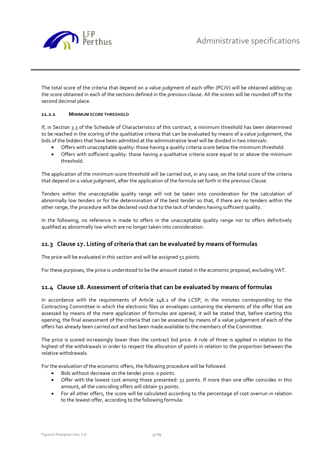

The total score of the criteria that depend on a value judgment of each offer (PCJV) will be obtained adding up the score obtained in each of the sections defined in the previous clause. All the scores will be rounded off to the second decimal place.

#### **11.2.1 MINIMUM SCORE THRESHOLD**

If, in Section 3.3 of the Schedule of Characteristics of this contract, a minimum threshold has been determined to be reached in the scoring of the qualitative criteria that can be evaluated by means of a value judgement, the bids of the bidders that have been admitted at the administrative level will be divided in two intervals:

- Offers with unacceptable quality: those having a quality criteria score below the minimum threshold.
- Offers with sufficient quality: those having a qualitative criteria score equal to or above the minimum threshold.

The application of the minimum score threshold will be carried out, in any case, on the total score of the criteria that depend on a value judgment, after the application of the formula set forth in the previous Clause.

Tenders within the unacceptable quality range will not be taken into consideration for the calculation of abnormally low tenders or for the determination of the best tender so that, if there are no tenders within the other range, the procedure will be declared void due to the lack of tenders having sufficient quality.

In the following, no reference is made to offers in the unacceptable quality range nor to offers definitively qualified as abnormally low which are no longer taken into consideration.

## **11.3 Clause 17. Listing of criteria that can be evaluated by means of formulas**

The price will be evaluated in this section and will be assigned 51 points.

For these purposes, the price is understood to be the amount stated in the economic proposal, excluding VAT.

## **11.4 Clause 18. Assessment of criteria that can be evaluated by means of formulas**

In accordance with the requirements of Article 146.2 of the LCSP, in the minutes corresponding to the Contracting Committee in which the electronic files or envelopes containing the elements of the offer that are assessed by means of the mere application of formulas are opened, it will be stated that, before starting this opening, the final assessment of the criteria that can be assessed by means of a value judgement of each of the offers has already been carried out and has been made available to the members of the Committee.

The price is scored increasingly lower than the contract bid price. A rule of three is applied in relation to the highest of the withdrawals in order to respect the allocation of points in relation to the proportion between the relative withdrawals.

For the evaluation of the economic offers, the following procedure will be followed:

- Bids without decrease on the tender price: 0 points.
- Offer with the lowest cost among those presented: 51 points. If more than one offer coincides in this amount, all the coinciding offers will obtain 51 points.
- For all other offers, the score will be calculated according to the percentage of cost overrun in relation to the lowest offer, according to the following formula: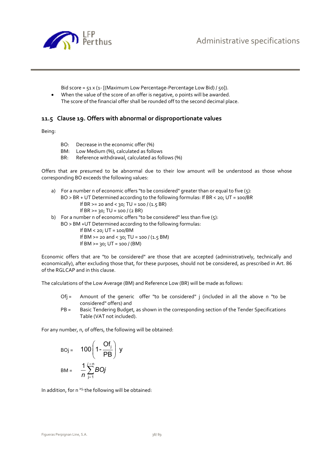

Bid score = 51 x (1- [(Maximum Low Percentage-Percentage Low Bid) / 50]).

When the value of the score of an offer is negative, o points will be awarded. The score of the financial offer shall be rounded off to the second decimal place.

## **11.5 Clause 19. Offers with abnormal or disproportionate values**

Being:

- BO: Decrease in the economic offer (%)
- BM: Low Medium (%), calculated as follows
- BR: Reference withdrawal, calculated as follows (%)

Offers that are presumed to be abnormal due to their low amount will be understood as those whose corresponding BO exceeds the following values:

- a) For a number n of economic offers "to be considered" greater than or equal to five (5): BO > BR + UT Determined according to the following formulas: If BR < 20; UT = 100/BR If BR  $>= 20$  and  $< 30$ ; TU = 100 / (1.5 BR)
	- If  $BR = 30$ ; TU = 100 / (2 BR)
- b) For a number n of economic offers "to be considered" less than five  $(s)$ :
- BO > BM +UT Determined according to the following formulas:
	- If BM < 20; UT = 100/BM If BM  $>= 20$  and  $< 30$ ; TU = 100 / (1.5 BM) If  $BM = 30$ ;  $UT = 100 / (BM)$

Economic offers that are "to be considered" are those that are accepted (administratively, technically and economically), after excluding those that, for these purposes, should not be considered, as prescribed in Art. 86 of the RGLCAP and in this clause.

The calculations of the Low Average (BM) and Reference Low (BR) will be made as follows:

- Of $j =$  Amount of the generic offer "to be considered" j (included in all the above n "to be considered" offers) and
- PB = Basic Tendering Budget, as shown in the corresponding section of the Tender Specifications Table (VAT not included).

For any number, n, of offers, the following will be obtained:

$$
BOj = 100 \left(1 - \frac{Of_j}{PB}\right) y
$$
  

$$
BM = \frac{1}{n} \sum_{j=1}^{j=n} BOj
$$

In addition, for n <sup>≥5,</sup> the following will be obtained: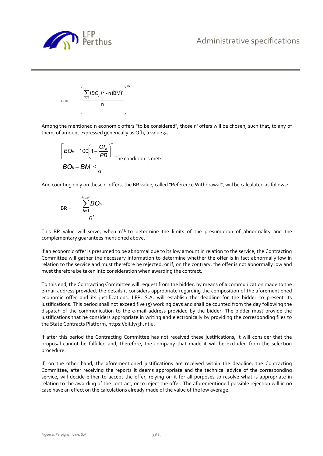

$$
\sigma = \left(\frac{\sum_{j=1}^{j=n} (BO_j)^2 - n (BM)^2}{n}\right)^{1/2}
$$

Among the mentioned n economic offers "to be considered", those n' offers will be chosen, such that, to any of them, of amount expressed generically as Ofh, a value oh

$$
\[BO_h = 100 \left(1 - \frac{Of_h}{PB}\right)\]_{\text{The condition is met:}}
$$

$$
|BO_h - BM| \le \frac{1}{\sigma}.
$$

And counting only on these n' offers, the BR value, called "Reference Withdrawal", will be calculated as follows:

$$
BR = \frac{\sum_{h=1}^{h=n'} BO_h}{n'}
$$

This BR value will serve, when  $n^2$ 5, to determine the limits of the presumption of abnormality and the complementary guarantees mentioned above.

If an economic offer is presumed to be abnormal due to its low amount in relation to the service, the Contracting Committee will gather the necessary information to determine whether the offer is in fact abnormally low in relation to the service and must therefore be rejected, or if, on the contrary, the offer is not abnormally low and must therefore be taken into consideration when awarding the contract.

To this end, the Contracting Committee will request from the bidder, by means of a communication made to the e-mail address provided, the details it considers appropriate regarding the composition of the aforementioned economic offer and its justifications. LFP, S.A. will establish the deadline for the bidder to present its justifications. This period shall not exceed five (5) working days and shall be counted from the day following the dispatch of the communication to the e-mail address provided by the bidder. The bidder must provide the justifications that he considers appropriate in writing and electronically by providing the corresponding files to the State Contracts Platform, https://bit.ly/3hJntlu.

If after this period the Contracting Committee has not received these justifications, it will consider that the proposal cannot be fulfilled and, therefore, the company that made it will be excluded from the selection procedure.

If, on the other hand, the aforementioned justifications are received within the deadline, the Contracting Committee, after receiving the reports it deems appropriate and the technical advice of the corresponding service, will decide either to accept the offer, relying on it for all purposes to resolve what is appropriate in relation to the awarding of the contract, or to reject the offer. The aforementioned possible rejection will in no case have an effect on the calculations already made of the value of the low average.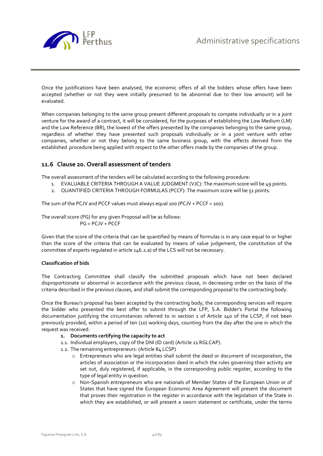

Once the justifications have been analysed, the economic offers of all the bidders whose offers have been accepted (whether or not they were initially presumed to be abnormal due to their low amount) will be evaluated.

When companies belonging to the same group present different proposals to compete individually or in a joint venture for the award of a contract, it will be considered, for the purposes of establishing the Low Medium (LM) and the Low Reference (BR), the lowest of the offers presented by the companies belonging to the same group, regardless of whether they have presented such proposals individually or in a joint venture with other companies, whether or not they belong to the same business group, with the effects derived from the established procedure being applied with respect to the other offers made by the companies of the group.

## **11.6 Clause 20. Overall assessment of tenders**

The overall assessment of the tenders will be calculated according to the following procedure:

- 1. EVALUABLE CRITERIA THROUGH A VALUE JUDGMENT (VJC): The maximum score will be 49 points.
- 2. QUANTIFIED CRITERIA THROUGH FORMULAS (PCCF): The maximum score will be 51 points.

The sum of the PCJV and PCCF values must always equal 100 (PCJV + PCCF = 100).

The overall score (PG) for any given Proposal will be as follows: PG = PCJV + PCCF

Given that the score of the criteria that can be quantified by means of formulas is in any case equal to or higher than the score of the criteria that can be evaluated by means of value judgement, the constitution of the committee of experts regulated in article 146.2.a) of the LCS will not be necessary.

#### **Classification of bids**

The Contracting Committee shall classify the submitted proposals which have not been declared disproportionate or abnormal in accordance with the previous clause, in decreasing order on the basis of the criteria described in the previous clauses, and shall submit the corresponding proposal to the contracting body.

Once the Bureau's proposal has been accepted by the contracting body, the corresponding services will require the bidder who presented the best offer to submit through the LFP, S.A. Bidder's Portal the following documentation justifying the circumstances referred to in section 1 of Article 140 of the LCSP, if not been previously provided, within a period of ten (10) working days, counting from the day after the one in which the request was received:

- **1. Documents certifying the capacity to act**
- 1.1. Individual employers, copy of the DNI (ID card) (Article 21 RGLCAP).
- 1.2. The remaining entrepreneurs: (Article 84 LCSP)
	- o Entrepreneurs who are legal entities shall submit the deed or document of incorporation, the articles of association or the incorporation deed in which the rules governing their activity are set out, duly registered, if applicable, in the corresponding public register, according to the type of legal entity in question.
	- o Non-Spanish entrepreneurs who are nationals of Member States of the European Union or of States that have signed the European Economic Area Agreement will present the document that proves their registration in the register in accordance with the legislation of the State in which they are established, or will present a sworn statement or certificate, under the terms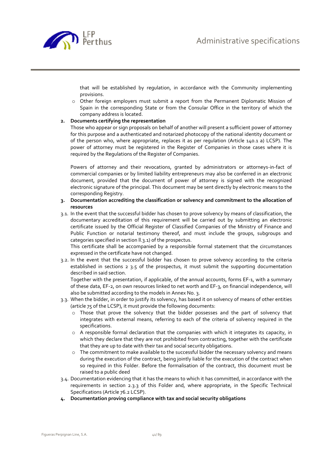

that will be established by regulation, in accordance with the Community implementing provisions.

o Other foreign employers must submit a report from the Permanent Diplomatic Mission of Spain in the corresponding State or from the Consular Office in the territory of which the company address is located.

#### **2. Documents certifying the representation**

Those who appear or sign proposals on behalf of another will present a sufficient power of attorney for this purpose and a authenticated and notarized photocopy of the national identity document or of the person who, where appropriate, replaces it as per regulation (Article 140.1 a) LCSP). The power of attorney must be registered in the Register of Companies in those cases where it is required by the Regulations of the Register of Companies.

Powers of attorney and their revocations, granted by administrators or attorneys-in-fact of commercial companies or by limited liability entrepreneurs may also be conferred in an electronic document, provided that the document of power of attorney is signed with the recognized electronic signature of the principal. This document may be sent directly by electronic means to the corresponding Registry.

#### **3. Documentation accrediting the classification or solvency and commitment to the allocation of resources**

3.1. In the event that the successful bidder has chosen to prove solvency by means of classification, the documentary accreditation of this requirement will be carried out by submitting an electronic certificate issued by the Official Register of Classified Companies of the Ministry of Finance and Public Function or notarial testimony thereof, and must include the groups, subgroups and categories specified in section ll.3.1) of the prospectus.

This certificate shall be accompanied by a responsible formal statement that the circumstances expressed in the certificate have not changed.

3.2. In the event that the successful bidder has chosen to prove solvency according to the criteria established in sections  $2, 3.5$  of the prospectus, it must submit the supporting documentation described in said section.

Together with the presentation, if applicable, of the annual accounts, forms EF-1, with a summary of these data, EF-2, on own resources linked to net worth and EF-3, on financial independence, will also be submitted according to the models in Annex No. 3.

- 3.3. When the bidder, in order to justify its solvency, has based it on solvency of means of other entities (article 75 of the LCSP), it must provide the following documents:
	- o Those that prove the solvency that the bidder possesses and the part of solvency that integrates with external means, referring to each of the criteria of solvency required in the specifications.
	- $\circ$  A responsible formal declaration that the companies with which it integrates its capacity, in which they declare that they are not prohibited from contracting, together with the certificate that they are up to date with their tax and social security obligations.
	- $\circ$  The commitment to make available to the successful bidder the necessary solvency and means during the execution of the contract, being jointly liable for the execution of the contract when so required in this Folder. Before the formalisation of the contract, this document must be raised to a public deed
- 3.4. Documentation evidencing that it has the means to which it has committed, in accordance with the requirements in section 2.3.3 of this Folder and, where appropriate, in the Specific Technical Specifications (Article 76.2 LCSP).
- **4. Documentation proving compliance with tax and social security obligations**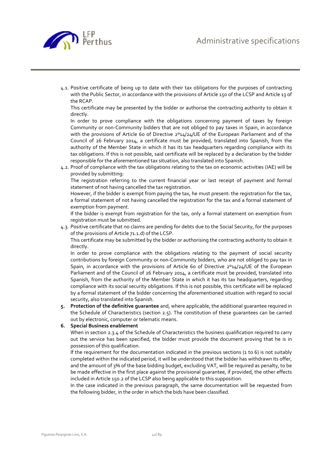

4.1. Positive certificate of being up to date with their tax obligations for the purposes of contracting with the Public Sector, in accordance with the provisions of Article 150 of the LCSP and Article 13 of the RCAP.

This certificate may be presented by the bidder or authorise the contracting authority to obtain it directly.

In order to prove compliance with the obligations concerning payment of taxes by foreign Community or non-Community bidders that are not obliged to pay taxes in Spain, in accordance with the provisions of Article 60 of Directive 2°14/24/UE of the European Parliament and of the Council of 26 February 2014, a certificate must be provided, translated into Spanish, from the authority of the Member State in which it has its tax headquarters regarding compliance with its tax obligations. If this is not possible, said certificate will be replaced by a declaration by the bidder responsible for the aforementioned tax situation, also translated into Spanish.

4.2. Proof of compliance with the tax obligations relating to the tax on economic activities (IAE) will be provided by submitting:

The registration referring to the current financial year or last receipt of payment and formal statement of not having cancelled the tax registration.

However, if the bidder is exempt from paying the tax, he must present: the registration for the tax, a formal statement of not having cancelled the registration for the tax and a formal statement of exemption from payment.

If the bidder is exempt from registration for the tax, only a formal statement on exemption from registration must be submitted.

4.3. Positive certificate that no claims are pending for debts due to the Social Security, for the purposes of the provisions of Article 71.1.d) of the LCSP.

This certificate may be submitted by the bidder or authorising the contracting authority to obtain it directly.

In order to prove compliance with the obligations relating to the payment of social security contributions by foreign Community or non-Community bidders, who are not obliged to pay tax in Spain, in accordance with the provisions of Article 60 of Directive  $2^014/24/\overline{UB}$  of the European Parliament and of the Council of 26 February 2014, a certificate must be provided, translated into Spanish, from the authority of the Member State in which it has its tax headquarters, regarding compliance with its social security obligations. If this is not possible, this certificate will be replaced by a formal statement of the bidder concerning the aforementioned situation with regard to social security, also translated into Spanish.

**5. Protection of the definitive guarantee** and, where applicable, the additional guarantee required in the Schedule of Characteristics (section 2.5). The constitution of these guarantees can be carried out by electronic, computer or telematic means.

#### **6. Special Business enablement**

When in section 2.3.4 of the Schedule of Characteristics the business qualification required to carry out the service has been specified, the bidder must provide the document proving that he is in possession of this qualification.

If the requirement for the documentation indicated in the previous sections (1 to 6) is not suitably completed within the indicated period, it will be understood that the bidder has withdrawn its offer, and the amount of 3% of the base bidding budget, excluding VAT, will be required as penalty, to be be made effective in the first place against the provisional guarantee, if provided, the other effects included in Article 150.2 of the LCSP also being applicable to this supposition.

In the case indicated in the previous paragraph, the same documentation will be requested from the following bidder, in the order in which the bids have been classified.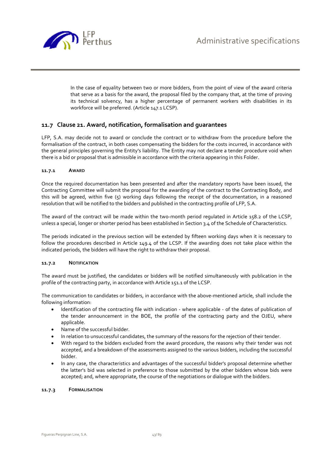

In the case of equality between two or more bidders, from the point of view of the award criteria that serve as a basis for the award, the proposal filed by the company that, at the time of proving its technical solvency, has a higher percentage of permanent workers with disabilities in its workforce will be preferred. (Article 147.1 LCSP).

## **11.7 Clause 21. Award, notification, formalisation and guarantees**

LFP, S.A. may decide not to award or conclude the contract or to withdraw from the procedure before the formalisation of the contract, in both cases compensating the bidders for the costs incurred, in accordance with the general principles governing the Entity's liability. The Entity may not declare a tender procedure void when there is a bid or proposal that is admissible in accordance with the criteria appearing in this Folder.

#### **11.7.1 AWARD**

Once the required documentation has been presented and after the mandatory reports have been issued, the Contracting Committee will submit the proposal for the awarding of the contract to the Contracting Body, and this will be agreed, within five (5) working days following the receipt of the documentation, in a reasoned resolution that will be notified to the bidders and published in the contracting profile of LFP, S.A.

The award of the contract will be made within the two-month period regulated in Article 158.2 of the LCSP, unless a special, longer or shorter period has been established in Section 3.4 of the Schedule of Characteristics.

The periods indicated in the previous section will be extended by fifteen working days when it is necessary to follow the procedures described in Article 149.4 of the LCSP. If the awarding does not take place within the indicated periods, the bidders will have the right to withdraw their proposal.

#### **11.7.2 NOTIFICATION**

The award must be justified, the candidates or bidders will be notified simultaneously with publication in the profile of the contracting party, in accordance with Article 151.1 of the LCSP.

The communication to candidates or bidders, in accordance with the above-mentioned article, shall include the following information:

- Identification of the contracting file with indication where applicable of the dates of publication of the tender announcement in the BOE, the profile of the contracting party and the OJEU, where applicable.
- Name of the successful bidder.
- In relation to unsuccessful candidates, the summary of the reasons for the rejection of their tender.
- With regard to the bidders excluded from the award procedure, the reasons why their tender was not accepted, and a breakdown of the assessments assigned to the various bidders, including the successful bidder.
- In any case, the characteristics and advantages of the successful bidder's proposal determine whether the latter's bid was selected in preference to those submitted by the other bidders whose bids were accepted; and, where appropriate, the course of the negotiations or dialogue with the bidders.

#### **11.7.3 FORMALISATION**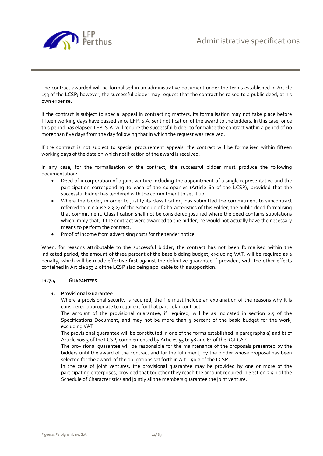

The contract awarded will be formalised in an administrative document under the terms established in Article 153 of the LCSP; however, the successful bidder may request that the contract be raised to a public deed, at his own expense.

If the contract is subject to special appeal in contracting matters, its formalisation may not take place before fifteen working days have passed since LFP, S.A. sent notification of the award to the bidders. In this case, once this period has elapsed LFP, S.A. will require the successful bidder to formalise the contract within a period of no more than five days from the day following that in which the request was received.

If the contract is not subject to special procurement appeals, the contract will be formalised within fifteen working days of the date on which notification of the award is received.

In any case, for the formalisation of the contract, the successful bidder must produce the following documentation:

- Deed of incorporation of a joint venture including the appointment of a single representative and the participation corresponding to each of the companies (Article 60 of the LCSP), provided that the successful bidder has tendered with the commitment to set it up.
- Where the bidder, in order to justify its classification, has submitted the commitment to subcontract referred to in clause 2.3.2) of the Schedule of Characteristics of this Folder, the public deed formalising that commitment. Classification shall not be considered justified where the deed contains stipulations which imply that, if the contract were awarded to the bidder, he would not actually have the necessary means to perform the contract.
- Proof of income from advertising costs for the tender notice.

When, for reasons attributable to the successful bidder, the contract has not been formalised within the indicated period, the amount of three percent of the base bidding budget, excluding VAT, will be required as a penalty, which will be made effective first against the definitive guarantee if provided, with the other effects contained in Article 153.4 of the LCSP also being applicable to this supposition.

#### **11.7.4 GUARANTEES**

#### **1. Provisional Guarantee**

Where a provisional security is required, the file must include an explanation of the reasons why it is considered appropriate to require it for that particular contract.

The amount of the provisional guarantee, if required, will be as indicated in section 2.5 of the Specifications Document, and may not be more than 3 percent of the basic budget for the work, excluding VAT.

The provisional guarantee will be constituted in one of the forms established in paragraphs a) and b) of Article 106.3 of the LCSP, complemented by Articles 55 to 58 and 61 of the RGLCAP.

The provisional guarantee will be responsible for the maintenance of the proposals presented by the bidders until the award of the contract and for the fulfilment, by the bidder whose proposal has been selected for the award, of the obligations set forth in Art. 150.2 of the LCSP.

In the case of joint ventures, the provisional guarantee may be provided by one or more of the participating enterprises, provided that together they reach the amount required in Section 2.5.1 of the Schedule of Characteristics and jointly all the members guarantee the joint venture.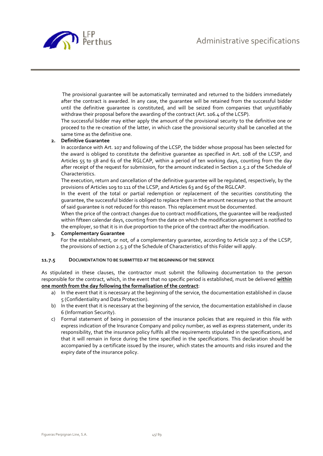

 The provisional guarantee will be automatically terminated and returned to the bidders immediately after the contract is awarded. In any case, the guarantee will be retained from the successful bidder until the definitive guarantee is constituted, and will be seized from companies that unjustifiably withdraw their proposal before the awarding of the contract (Art. 106.4 of the LCSP).

The successful bidder may either apply the amount of the provisional security to the definitive one or proceed to the re-creation of the latter, in which case the provisional security shall be cancelled at the same time as the definitive one.

#### **2. Definitive Guarantee**

In accordance with Art. 107 and following of the LCSP, the bidder whose proposal has been selected for the award is obliged to constitute the definitive guarantee as specified in Art. 108 of the LCSP, and Articles 55 to 58 and 61 of the RGLCAP, within a period of ten working days, counting from the day after receipt of the request for submission, for the amount indicated in Section 2.5.2 of the Schedule of Characteristics.

The execution, return and cancellation of the definitive guarantee will be regulated, respectively, by the provisions of Articles 109 to 111 of the LCSP, and Articles 63 and 65 of the RGLCAP.

In the event of the total or partial redemption or replacement of the securities constituting the guarantee, the successful bidder is obliged to replace them in the amount necessary so that the amount of said guarantee is not reduced for this reason. This replacement must be documented.

When the price of the contract changes due to contract modifications, the guarantee will be readjusted within fifteen calendar days, counting from the date on which the modification agreement is notified to the employer, so that it is in due proportion to the price of the contract after the modification.

#### **3. Complementary Guarantee**

For the establishment, or not, of a complementary quarantee, according to Article 107.2 of the LCSP, the provisions of section 2.5.3 of the Schedule of Characteristics of this Folder will apply.

#### **11.7.5 DOCUMENTATION TO BE SUBMITTED AT THE BEGINNING OF THE SERVICE**

As stipulated in these clauses, the contractor must submit the following documentation to the person responsible for the contract, which, in the event that no specific period is established, must be delivered **within one month from the day following the formalisation of the contract**:

- a) In the event that it is necessary at the beginning of the service, the documentation established in clause 5 (Confidentiality and Data Protection).
- b) In the event that it is necessary at the beginning of the service, the documentation established in clause 6 (Information Security).
- c) Formal statement of being in possession of the insurance policies that are required in this file with express indication of the Insurance Company and policy number, as well as express statement, under its responsibility, that the insurance policy fulfils all the requirements stipulated in the specifications, and that it will remain in force during the time specified in the specifications. This declaration should be accompanied by a certificate issued by the insurer, which states the amounts and risks insured and the expiry date of the insurance policy.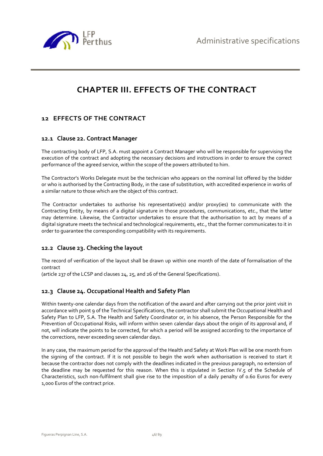

# **CHAPTER III. EFFECTS OF THE CONTRACT**

# **12 EFFECTS OF THE CONTRACT**

## **12.1 Clause 22. Contract Manager**

The contracting body of LFP, S.A. must appoint a Contract Manager who will be responsible for supervising the execution of the contract and adopting the necessary decisions and instructions in order to ensure the correct performance of the agreed service, within the scope of the powers attributed to him.

The Contractor's Works Delegate must be the technician who appears on the nominal list offered by the bidder or who is authorised by the Contracting Body, in the case of substitution, with accredited experience in works of a similar nature to those which are the object of this contract.

The Contractor undertakes to authorise his representative(s) and/or proxy(ies) to communicate with the Contracting Entity, by means of a digital signature in those procedures, communications, etc., that the latter may determine. Likewise, the Contractor undertakes to ensure that the authorisation to act by means of a digital signature meets the technical and technological requirements, etc., that the former communicates to it in order to guarantee the corresponding compatibility with its requirements.

## **12.2 Clause 23. Checking the layout**

The record of verification of the layout shall be drawn up within one month of the date of formalisation of the contract

(article 237 of the LCSP and clauses 24, 25, and 26 of the General Specifications).

# **12.3 Clause 24. Occupational Health and Safety Plan**

Within twenty-one calendar days from the notification of the award and after carrying out the prior joint visit in accordance with point 9 of the Technical Specifications, the contractor shall submit the Occupational Health and Safety Plan to LFP, S.A. The Health and Safety Coordinator or, in his absence, the Person Responsible for the Prevention of Occupational Risks, will inform within seven calendar days about the origin of its approval and, if not, will indicate the points to be corrected, for which a period will be assigned according to the importance of the corrections, never exceeding seven calendar days.

In any case, the maximum period for the approval of the Health and Safety at Work Plan will be one month from the signing of the contract. If it is not possible to begin the work when authorisation is received to start it because the contractor does not comply with the deadlines indicated in the previous paragraph, no extension of the deadline may be requested for this reason. When this is stipulated in Section IV.5 of the Schedule of Characteristics, such non-fulfilment shall give rise to the imposition of a daily penalty of 0.60 Euros for every 1,000 Euros of the contract price.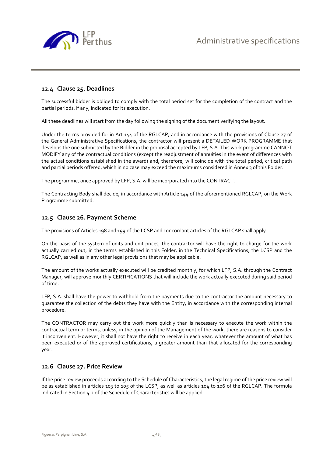

## **12.4 Clause 25. Deadlines**

The successful bidder is obliged to comply with the total period set for the completion of the contract and the partial periods, if any, indicated for its execution.

All these deadlines will start from the day following the signing of the document verifying the layout.

Under the terms provided for in Art 144 of the RGLCAP, and in accordance with the provisions of Clause 27 of the General Administrative Specifications, the contractor will present a DETAILED WORK PROGRAMME that develops the one submitted by the Bidder in the proposal accepted by LFP, S.A. This work programme CANNOT MODIFY any of the contractual conditions (except the readjustment of annuities in the event of differences with the actual conditions established in the award) and, therefore, will coincide with the total period, critical path and partial periods offered, which in no case may exceed the maximums considered in Annex 3 of this Folder.

The programme, once approved by LFP, S.A. will be incorporated into the CONTRACT.

The Contracting Body shall decide, in accordance with Article 144 of the aforementioned RGLCAP, on the Work Programme submitted.

## **12.5 Clause 26. Payment Scheme**

The provisions of Articles 198 and 199 of the LCSP and concordant articles of the RGLCAP shall apply.

On the basis of the system of units and unit prices, the contractor will have the right to charge for the work actually carried out, in the terms established in this Folder, in the Technical Specifications, the LCSP and the RGLCAP, as well as in any other legal provisions that may be applicable.

The amount of the works actually executed will be credited monthly, for which LFP, S.A. through the Contract Manager, will approve monthly CERTIFICATIONS that will include the work actually executed during said period of time.

LFP, S.A. shall have the power to withhold from the payments due to the contractor the amount necessary to guarantee the collection of the debts they have with the Entity, in accordance with the corresponding internal procedure.

The CONTRACTOR may carry out the work more quickly than is necessary to execute the work within the contractual term or terms, unless, in the opinion of the Management of the work, there are reasons to consider it inconvenient. However, it shall not have the right to receive in each year, whatever the amount of what has been executed or of the approved certifications, a greater amount than that allocated for the corresponding year.

#### **12.6 Clause 27. Price Review**

If the price review proceeds according to the Schedule of Characteristics, the legal regime of the price review will be as established in articles 103 to 105 of the LCSP, as well as articles 104 to 106 of the RGLCAP. The formula indicated in Section 4.2 of the Schedule of Characteristics will be applied.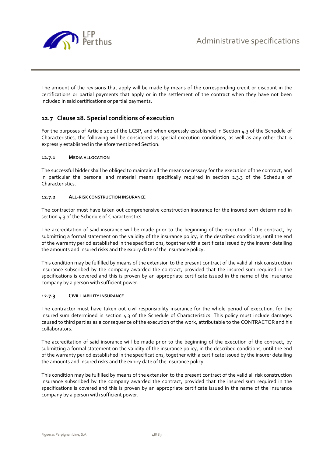

The amount of the revisions that apply will be made by means of the corresponding credit or discount in the certifications or partial payments that apply or in the settlement of the contract when they have not been included in said certifications or partial payments.

## **12.7 Clause 28. Special conditions of execution**

For the purposes of Article 202 of the LCSP, and when expressly established in Section 4.3 of the Schedule of Characteristics, the following will be considered as special execution conditions, as well as any other that is expressly established in the aforementioned Section:

#### **12.7.1 MEDIA ALLOCATION**

The successful bidder shall be obliged to maintain all the means necessary for the execution of the contract, and in particular the personal and material means specifically required in section 2.3.3 of the Schedule of Characteristics.

#### **12.7.2 ALL-RISK CONSTRUCTION INSURANCE**

The contractor must have taken out comprehensive construction insurance for the insured sum determined in section 4.3 of the Schedule of Characteristics.

The accreditation of said insurance will be made prior to the beginning of the execution of the contract, by submitting a formal statement on the validity of the insurance policy, in the described conditions, until the end of the warranty period established in the specifications, together with a certificate issued by the insurer detailing the amounts and insured risks and the expiry date of the insurance policy.

This condition may be fulfilled by means of the extension to the present contract of the valid all risk construction insurance subscribed by the company awarded the contract, provided that the insured sum required in the specifications is covered and this is proven by an appropriate certificate issued in the name of the insurance company by a person with sufficient power.

#### **12.7.3 CIVIL LIABILITY INSURANCE**

The contractor must have taken out civil responsibility insurance for the whole period of execution, for the insured sum determined in section 4.3 of the Schedule of Characteristics. This policy must include damages caused to third parties as a consequence of the execution of the work, attributable to the CONTRACTOR and his collaborators.

The accreditation of said insurance will be made prior to the beginning of the execution of the contract, by submitting a formal statement on the validity of the insurance policy, in the described conditions, until the end of the warranty period established in the specifications, together with a certificate issued by the insurer detailing the amounts and insured risks and the expiry date of the insurance policy.

This condition may be fulfilled by means of the extension to the present contract of the valid all risk construction insurance subscribed by the company awarded the contract, provided that the insured sum required in the specifications is covered and this is proven by an appropriate certificate issued in the name of the insurance company by a person with sufficient power.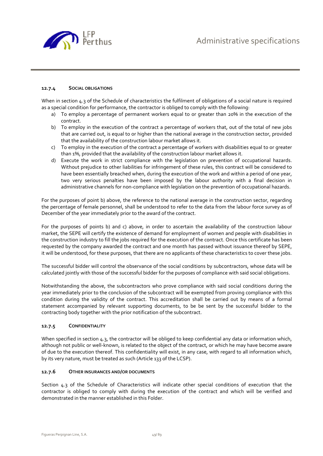

#### **12.7.4 SOCIAL OBLIGATIONS**

When in section 4.3 of the Schedule of characteristics the fulfilment of obligations of a social nature is required as a special condition for performance, the contractor is obliged to comply with the following:

- a) To employ a percentage of permanent workers equal to or greater than 20% in the execution of the contract.
- b) To employ in the execution of the contract a percentage of workers that, out of the total of new jobs that are carried out, is equal to or higher than the national average in the construction sector, provided that the availability of the construction labour market allows it.
- c) To employ in the execution of the contract a percentage of workers with disabilities equal to or greater than 1%, provided that the availability of the construction labour market allows it.
- d) Execute the work in strict compliance with the legislation on prevention of occupational hazards. Without prejudice to other liabilities for infringement of these rules, this contract will be considered to have been essentially breached when, during the execution of the work and within a period of one year, two very serious penalties have been imposed by the labour authority with a final decision in administrative channels for non-compliance with legislation on the prevention of occupational hazards.

For the purposes of point b) above, the reference to the national average in the construction sector, regarding the percentage of female personnel, shall be understood to refer to the data from the labour force survey as of December of the year immediately prior to the award of the contract.

For the purposes of points b) and c) above, in order to ascertain the availability of the construction labour market, the SEPE will certify the existence of demand for employment of women and people with disabilities in the construction industry to fill the jobs required for the execution of the contract. Once this certificate has been requested by the company awarded the contract and one month has passed without issuance thereof by SEPE, it will be understood, for these purposes, that there are no applicants of these characteristics to cover these jobs.

The successful bidder will control the observance of the social conditions by subcontractors, whose data will be calculated jointly with those of the successful bidder for the purposes of compliance with said social obligations.

Notwithstanding the above, the subcontractors who prove compliance with said social conditions during the year immediately prior to the conclusion of the subcontract will be exempted from proving compliance with this condition during the validity of the contract. This accreditation shall be carried out by means of a formal statement accompanied by relevant supporting documents, to be be sent by the successful bidder to the contracting body together with the prior notification of the subcontract.

#### **12.7.5 CONFIDENTIALITY**

When specified in section 4.3, the contractor will be obliged to keep confidential any data or information which, although not public or well-known, is related to the object of the contract, or which he may have become aware of due to the execution thereof. This confidentiality will exist, in any case, with regard to all information which, by its very nature, must be treated as such (Article 133 of the LCSP).

#### **12.7.6 OTHER INSURANCES AND/OR DOCUMENTS**

Section 4.3 of the Schedule of Characteristics will indicate other special conditions of execution that the contractor is obliged to comply with during the execution of the contract and which will be verified and demonstrated in the manner established in this Folder.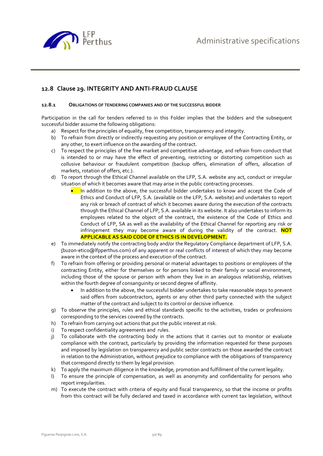

## **12.8 Clause 29. INTEGRITY AND ANTI-FRAUD CLAUSE**

#### **12.8.1 OBLIGATIONS OF TENDERING COMPANIES AND OF THE SUCCESSFUL BIDDER**

Participation in the call for tenders referred to in this Folder implies that the bidders and the subsequent successful bidder assume the following obligations:

- a) Respect for the principles of equality, free competition, transparency and integrity.
- b) To refrain from directly or indirectly requesting any position or employee of the Contracting Entity, or any other, to exert influence on the awarding of the contract.
- c) To respect the principles of the free market and competitive advantage, and refrain from conduct that is intended to or may have the effect of preventing, restricting or distorting competition such as collusive behaviour or fraudulent competition (backup offers, elimination of offers, allocation of markets, rotation of offers, etc.).
- d) To report through the Ethical Channel available on the LFP, S.A. website any act, conduct or irregular situation of which it becomes aware that may arise in the public contracting processes.
	- In addition to the above, the successful bidder undertakes to know and accept the Code of Ethics and Conduct of LFP, S.A. (available on the LFP, S.A. website) and undertakes to report any risk or breach of contract of which it becomes aware during the execution of the contracts through the Ethical Channel of LFP, S.A. available in its website. It also undertakes to inform its employees related to the object of the contract, the existence of the Code of Ethics and Conduct of LFP, SA as well as the availability of the Ethical Channel for reporting any risk or infringement they may become aware of during the validity of the contract. **NOT APPLICABLE AS SAID CODE OF ETHICS IS IN DEVELOPMENT.**
- e) To immediately notify the contracting body and/or the Regulatory Compliance department of LFP, S.A. (buzon-etico@lfpperthus.com) of any apparent or real conflicts of interest of which they may become aware in the context of the process and execution of the contract.
- f) To refrain from offering or providing personal or material advantages to positions or employees of the contracting Entity, either for themselves or for persons linked to their family or social environment, including those of the spouse or person with whom they live in an analogous relationship, relatives within the fourth degree of consanguinity or second degree of affinity.
	- In addition to the above, the successful bidder undertakes to take reasonable steps to prevent said offers from subcontractors, agents or any other third party connected with the subject matter of the contract and subject to its control or decisive influence.
- g) To observe the principles, rules and ethical standards specific to the activities, trades or professions corresponding to the services covered by the contracts.
- h) To refrain from carrying out actions that put the public interest at risk.
- i) To respect confidentiality agreements and rules.
- j) To collaborate with the contracting body in the actions that it carries out to monitor or evaluate compliance with the contract, particularly by providing the information requested for these purposes and imposed by legislation on transparency and public sector contracts on those awarded the contract in relation to the Administration, without prejudice to compliance with the obligations of transparency that correspond directly to them by legal provision.
- k) To apply the maximum diligence in the knowledge, promotion and fulfillment of the current legality.
- l) To ensure the principle of compensation, as well as anonymity and confidentiality for persons who report irregularities.
- m) To execute the contract with criteria of equity and fiscal transparency, so that the income or profits from this contract will be fully declared and taxed in accordance with current tax legislation, without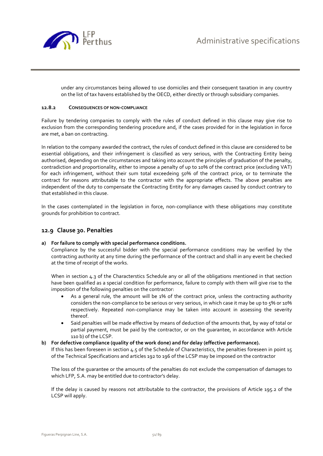

under any circumstances being allowed to use domiciles and their consequent taxation in any country on the list of tax havens established by the OECD, either directly or through subsidiary companies.

#### **12.8.2 CONSEQUENCES OF NON-COMPLIANCE**

Failure by tendering companies to comply with the rules of conduct defined in this clause may give rise to exclusion from the corresponding tendering procedure and, if the cases provided for in the legislation in force are met, a ban on contracting.

In relation to the company awarded the contract, the rules of conduct defined in this clause are considered to be essential obligations, and their infringement is classified as very serious, with the Contracting Entity being authorised, depending on the circumstances and taking into account the principles of graduation of the penalty, contradiction and proportionality, either to impose a penalty of up to 10% of the contract price (excluding VAT) for each infringement, without their sum total exceedeing 50% of the contract price, or to terminate the contract for reasons attributable to the contractor with the appropriate effects. The above penalties are independent of the duty to compensate the Contracting Entity for any damages caused by conduct contrary to that established in this clause.

In the cases contemplated in the legislation in force, non-compliance with these obligations may constitute grounds for prohibition to contract.

#### **12.9 Clause 30. Penalties**

#### **a) For failure to comply with special performance conditions.**

Compliance by the successful bidder with the special performance conditions may be verified by the contracting authority at any time during the performance of the contract and shall in any event be checked at the time of receipt of the works.

When in section 4.3 of the Characterstics Schedule any or all of the obligations mentioned in that section have been qualified as a special condition for performance, failure to comply with them will give rise to the imposition of the following penalties on the contractor:

- As a general rule, the amount will be 1% of the contract price, unless the contracting authority considers the non-compliance to be serious or very serious, in which case it may be up to 5% or 10% respectively. Repeated non-compliance may be taken into account in assessing the severity thereof.
- Said penalties will be made effective by means of deduction of the amounts that, by way of total or partial payment, must be paid by the contractor, or on the guarantee, in accordance with Article 110 b) of the LCSP.

#### **b) For defective compliance (quality of the work done) and for delay (effective performance).**

If this has been foreseen in section 4.5 of the Schedule of Characteristics, the penalties foreseen in point 15 of the Technical Specifications and articles 192 to 196 of the LCSP may be imposed on the contractor

The loss of the guarantee or the amounts of the penalties do not exclude the compensation of damages to which LFP, S.A. may be entitled due to contractor's delay.

If the delay is caused by reasons not attributable to the contractor, the provisions of Article 195.2 of the LCSP will apply.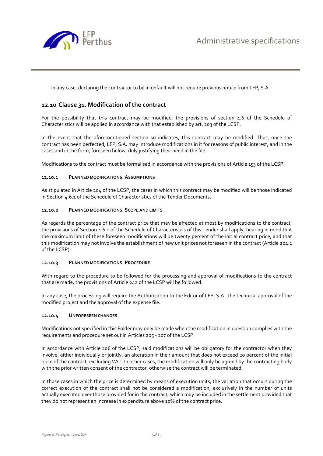

In any case, declaring the contractor to be in default will not require previous notice from LFP, S.A.

## **12.10 Clause 31. Modification of the contract**

For the possibility that this contract may be modified, the provisions of section 4.6 of the Schedule of Characteristics will be applied in accordance with that established by art. 203 of the LCSP.

In the event that the aforementioned section so indicates, this contract may be modified. Thus, once the contract has been perfected, LFP, S.A. may introduce modifications in it for reasons of public interest, and in the cases and in the form, foreseen below, duly justifying their need in the file.

Modifications to the contract must be formalised in accordance with the provisions of Article 153 of the LCSP.

#### **12.10.1 PLANNED MODIFICATIONS. ASSUMPTIONS**

As stipulated in Article 204 of the LCSP, the cases in which this contract may be modified will be those indicated in Section 4.6.1 of the Schedule of Characteristics of the Tender Documents.

#### **12.10.2 PLANNED MODIFICATIONS. SCOPE AND LIMITS**

As regards the percentage of the contract price that may be affected at most by modifications to the contract, the provisions of Section 4.6.1 of the Schedule of Characteristics of this Tender shall apply, bearing in mind that the maximum limit of these foreseen modifications will be twenty percent of the initial contract price, and that this modification may not involve the establishment of new unit prices not foreseen in the contract (Article 204.1 of the LCSP).

#### **12.10.3 PLANNED MODIFICATIONS. PROCEDURE**

With regard to the procedure to be followed for the processing and approval of modifications to the contract that are made, the provisions of Article 242 of the LCSP will be followed.

In any case, the processing will require the Authorization to the Editor of LFP, S.A. The technical approval of the modified project and the approval of the expense file.

#### **12.10.4 UNFORESEEN CHANGES**

Modifications not specified in this Folder may only be made when the modification in question complies with the requirements and procedure set out in Articles 205 - 207 of the LCSP.

In accordance with Article 206 of the LCSP, said modifications will be obligatory for the contractor when they involve, either individually or jointly, an alteration in their amount that does not exceed 20 percent of the initial price of the contract, excluding VAT. In other cases, the modification will only be agreed by the contracting body with the prior written consent of the contractor, otherwise the contract will be terminated.

In those cases in which the price is determined by means of execution units, the variation that occurs during the correct execution of the contract shall not be considered a modification, exclusively in the number of units actually executed over those provided for in the contract, which may be included in the settlement provided that they do not represent an increase in expenditure above 10% of the contract price.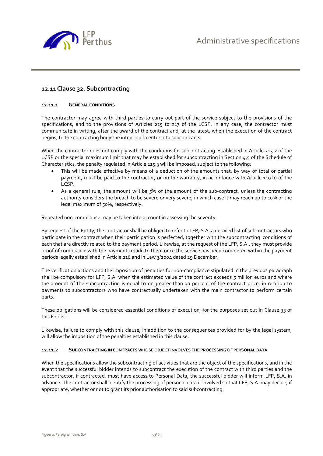

## **12.11Clause 32. Subcontracting**

#### **12.11.1 GENERAL CONDITIONS**

The contractor may agree with third parties to carry out part of the service subject to the provisions of the specifications, and to the provisions of Articles 215 to 217 of the LCSP. In any case, the contractor must communicate in writing, after the award of the contract and, at the latest, when the execution of the contract begins, to the contracting body the intention to enter into subcontracts

When the contractor does not comply with the conditions for subcontracting established in Article 215.2 of the LCSP or the special maximum limit that may be established for subcontracting in Section 4.5 of the Schedule of Characteristics, the penalty regulated in Article 215.3 will be imposed, subject to the following:

- This will be made effective by means of a deduction of the amounts that, by way of total or partial payment, must be paid to the contractor, or on the warranty, in accordance with Article 110.b) of the LCSP.
- As a general rule, the amount will be 5% of the amount of the sub-contract, unless the contracting authority considers the breach to be severe or very severe, in which case it may reach up to 10% or the legal maximum of 50%, respectively.

Repeated non-compliance may be taken into account in assessing the severity.

By request of the Entity, the contractor shall be obliged to refer to LFP, S.A. a detailed list of subcontractors who participate in the contract when their participation is perfected, together with the subcontracting conditions of each that are directly related to the payment period. Likewise, at the request of the LFP, S.A., they must provide proof of compliance with the payments made to them once the service has been completed within the payment periods legally established in Article 216 and in Law 3/2004 dated 29 December.

The verification actions and the imposition of penalties for non-compliance stipulated in the previous paragraph shall be compulsory for LFP, S.A. when the estimated value of the contract exceeds 5 million euros and where the amount of the subcontracting is equal to or greater than 30 percent of the contract price, in relation to payments to subcontractors who have contractually undertaken with the main contractor to perform certain parts.

These obligations will be considered essential conditions of execution, for the purposes set out in Clause 35 of this Folder.

Likewise, failure to comply with this clause, in addition to the consequences provided for by the legal system, will allow the imposition of the penalties established in this clause.

#### **12.11.2 SUBCONTRACTING IN CONTRACTS WHOSE OBJECT INVOLVES THE PROCESSING OF PERSONAL DATA**

When the specifications allow the subcontracting of activities that are the object of the specifications, and in the event that the successful bidder intends to subcontract the execution of the contract with third parties and the subcontractor, if contracted, must have access to Personal Data, the successful bidder will inform LFP, S.A. in advance. The contractor shall identify the processing of personal data it involved so that LFP, S.A. may decide, if appropriate, whether or not to grant its prior authorisation to said subcontracting.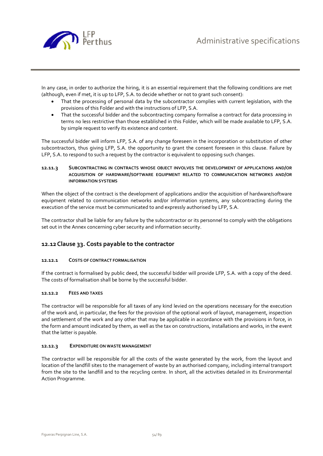

In any case, in order to authorize the hiring, it is an essential requirement that the following conditions are met (although, even if met, it is up to LFP, S.A. to decide whether or not to grant such consent):

- That the processing of personal data by the subcontractor complies with current legislation, with the provisions of this Folder and with the instructions of LFP, S.A.
- That the successful bidder and the subcontracting company formalise a contract for data processing in terms no less restrictive than those established in this Folder, which will be made available to LFP, S.A. by simple request to verify its existence and content.

The successful bidder will inform LFP, S.A. of any change foreseen in the incorporation or substitution of other subcontractors, thus giving LFP, S.A. the opportunity to grant the consent foreseen in this clause. Failure by LFP, S.A. to respond to such a request by the contractor is equivalent to opposing such changes.

#### **12.11.3 SUBCONTRACTING IN CONTRACTS WHOSE OBJECT INVOLVES THE DEVELOPMENT OF APPLICATIONS AND/OR ACQUISITION OF HARDWARE/SOFTWARE EQUIPMENT RELATED TO COMMUNICATION NETWORKS AND/OR INFORMATION SYSTEMS**

When the object of the contract is the development of applications and/or the acquisition of hardware/software equipment related to communication networks and/or information systems, any subcontracting during the execution of the service must be communicated to and expressly authorised by LFP, S.A.

The contractor shall be liable for any failure by the subcontractor or its personnel to comply with the obligations set out in the Annex concerning cyber security and information security.

# **12.12Clause 33. Costs payable to the contractor**

#### **12.12.1 COSTS OF CONTRACT FORMALISATION**

If the contract is formalised by public deed, the successful bidder will provide LFP, S.A. with a copy of the deed. The costs of formalisation shall be borne by the successful bidder.

#### **12.12.2 FEES AND TAXES**

The contractor will be responsible for all taxes of any kind levied on the operations necessary for the execution of the work and, in particular, the fees for the provision of the optional work of layout, management, inspection and settlement of the work and any other that may be applicable in accordance with the provisions in force, in the form and amount indicated by them, as well as the tax on constructions, installations and works, in the event that the latter is payable.

#### **12.12.3 EXPENDITURE ON WASTE MANAGEMENT**

The contractor will be responsible for all the costs of the waste generated by the work, from the layout and location of the landfill sites to the management of waste by an authorised company, including internal transport from the site to the landfill and to the recycling centre. In short, all the activities detailed in its Environmental Action Programme.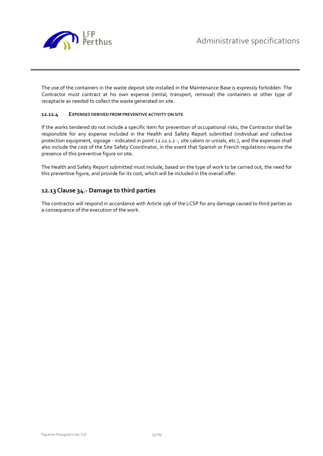

The use of the containers in the waste deposit site installed in the Maintenance Base is expressly forbidden. The Contractor must contract at his own expense (rental, transport, removal) the containers or other type of receptacle as needed to collect the waste generated on site.

#### **12.12.4 EXPENSES DERIVED FROM PREVENTIVE ACTIVITY ON SITE**

If the works tendered do not include a specific item for prevention of occupational risks, the Contractor shall be responsible for any expense included in the Health and Safety Report submitted (individual and collective protection equipment, signage - indicated in point 12.12.1.2 -, site cabins or urinals, etc.), and the expenses shall also include the cost of the Site Safety Coordinator, in the event that Spanish or French regulations require the presence of this preventive figure on site.

The Health and Safety Report submitted must include, based on the type of work to be carried out, the need for this preventive figure, and provide for its cost, which will be included in the overall offer.

## **12.13Clause 34.- Damage to third parties**

The contractor will respond in accordance with Article 196 of the LCSP for any damage caused to third parties as a consequence of the execution of the work.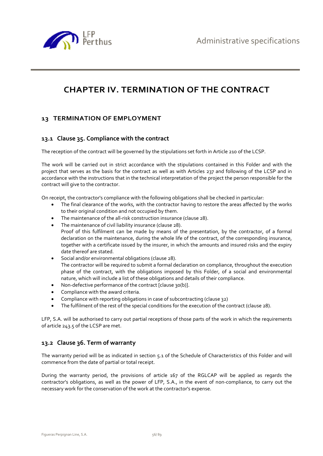

# **CHAPTER IV. TERMINATION OF THE CONTRACT**

# **13 TERMINATION OF EMPLOYMENT**

### **13.1 Clause 35. Compliance with the contract**

The reception of the contract will be governed by the stipulations set forth in Article 210 of the LCSP.

The work will be carried out in strict accordance with the stipulations contained in this Folder and with the project that serves as the basis for the contract as well as with Articles 237 and following of the LCSP and in accordance with the instructions that in the technical interpretation of the project the person responsible for the contract will give to the contractor.

On receipt, the contractor's compliance with the following obligations shall be checked in particular:

- The final clearance of the works, with the contractor having to restore the areas affected by the works to their original condition and not occupied by them.
- The maintenance of the all-risk construction insurance (clause 28).
- The maintenance of civil liability insurance (clause 28). Proof of this fulfilment can be made by means of the presentation, by the contractor, of a formal declaration on the maintenance, during the whole life of the contract, of the corresponding insurance, together with a certificate issued by the insurer, in which the amounts and insured risks and the expiry date thereof are stated.
- Social and/or environmental obligations (clause 28). The contractor will be required to submit a formal declaration on compliance, throughout the execution phase of the contract, with the obligations imposed by this Folder, of a social and environmental nature, which will include a list of these obligations and details of their compliance.
- Non-defective performance of the contract [clause 30(b)].
- Compliance with the award criteria.
- Compliance with reporting obligations in case of subcontracting (clause 32)
- The fulfilment of the rest of the special conditions for the execution of the contract (clause 28).

LFP, S.A. will be authorised to carry out partial receptions of those parts of the work in which the requirements of article 243.5 of the LCSP are met.

#### **13.2 Clause 36. Term of warranty**

The warranty period will be as indicated in section 5.1 of the Schedule of Characteristics of this Folder and will commence from the date of partial or total receipt.

During the warranty period, the provisions of article 167 of the RGLCAP will be applied as regards the contractor's obligations, as well as the power of LFP, S.A., in the event of non-compliance, to carry out the necessary work for the conservation of the work at the contractor's expense.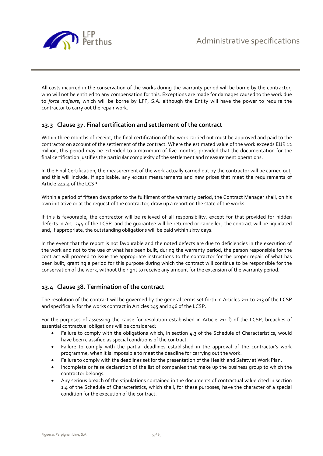

All costs incurred in the conservation of the works during the warranty period will be borne by the contractor, who will not be entitled to any compensation for this. Exceptions are made for damages caused to the work due to *force majeure*, which will be borne by LFP, S.A. although the Entity will have the power to require the contractor to carry out the repair work.

## **13.3 Clause 37. Final certification and settlement of the contract**

Within three months of receipt, the final certification of the work carried out must be approved and paid to the contractor on account of the settlement of the contract. Where the estimated value of the work exceeds EUR 12 million, this period may be extended to a maximum of five months, provided that the documentation for the final certification justifies the particular complexity of the settlement and measurement operations.

In the Final Certification, the measurement of the work actually carried out by the contractor will be carried out, and this will include, if applicable, any excess measurements and new prices that meet the requirements of Article 242.4 of the LCSP.

Within a period of fifteen days prior to the fulfilment of the warranty period, the Contract Manager shall, on his own initiative or at the request of the contractor, draw up a report on the state of the works.

If this is favourable, the contractor will be relieved of all responsibility, except for that provided for hidden defects in Art. 244 of the LCSP, and the guarantee will be returned or cancelled, the contract will be liquidated and, if appropriate, the outstanding obligations will be paid within sixty days.

In the event that the report is not favourable and the noted defects are due to deficiencies in the execution of the work and not to the use of what has been built, during the warranty period, the person responsible for the contract will proceed to issue the appropriate instructions to the contractor for the proper repair of what has been built, granting a period for this purpose during which the contract will continue to be responsible for the conservation of the work, without the right to receive any amount for the extension of the warranty period.

## **13.4 Clause 38. Termination of the contract**

The resolution of the contract will be governed by the general terms set forth in Articles 211 to 213 of the LCSP and specifically for the works contract in Articles 245 and 246 of the LCSP.

For the purposes of assessing the cause for resolution established in Article 211.f) of the LCSP, breaches of essential contractual obligations will be considered:

- Failure to comply with the obligations which, in section 4.3 of the Schedule of Characteristics, would have been classified as special conditions of the contract.
- Failure to comply with the partial deadlines established in the approval of the contractor's work programme, when it is impossible to meet the deadline for carrying out the work.
- Failure to comply with the deadlines set for the presentation of the Health and Safety at Work Plan.
- Incomplete or false declaration of the list of companies that make up the business group to which the contractor belongs.
- Any serious breach of the stipulations contained in the documents of contractual value cited in section 1.4 of the Schedule of Characteristics, which shall, for these purposes, have the character of a special condition for the execution of the contract.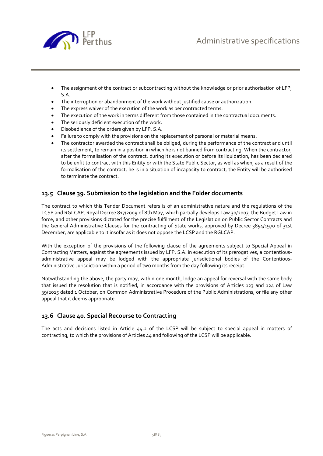



- The assignment of the contract or subcontracting without the knowledge or prior authorisation of LFP, S.A.
- The interruption or abandonment of the work without justified cause or authorization.
- The express waiver of the execution of the work as per contracted terms.
- The execution of the work in terms different from those contained in the contractual documents.
- The seriously deficient execution of the work.
- Disobedience of the orders given by LFP, S.A.
- Failure to comply with the provisions on the replacement of personal or material means.
- The contractor awarded the contract shall be obliged, during the performance of the contract and until its settlement, to remain in a position in which he is not banned from contracting. When the contractor, after the formalisation of the contract, during its execution or before its liquidation, has been declared to be unfit to contract with this Entity or with the State Public Sector, as well as when, as a result of the formalisation of the contract, he is in a situation of incapacity to contract, the Entity will be authorised to terminate the contract.

# **13.5 Clause 39. Submission to the legislation and the Folder documents**

The contract to which this Tender Document refers is of an administrative nature and the regulations of the LCSP and RGLCAP, Royal Decree 817/2009 of 8th May, which partially develops Law 30/2007, the Budget Law in force, and other provisions dictated for the precise fulfilment of the Legislation on Public Sector Contracts and the General Administrative Clauses for the contracting of State works, approved by Decree 3854/1970 of 31st December, are applicable to it insofar as it does not oppose the LCSP and the RGLCAP.

With the exception of the provisions of the following clause of the agreements subject to Special Appeal in Contracting Matters, against the agreements issued by LFP, S.A. in execution of its prerogatives, a contentiousadministrative appeal may be lodged with the appropriate jurisdictional bodies of the Contentious-Administrative Jurisdiction within a period of two months from the day following its receipt.

Notwithstanding the above, the party may, within one month, lodge an appeal for reversal with the same body that issued the resolution that is notified, in accordance with the provisions of Articles 123 and 124 of Law 39/2015 dated 1 October, on Common Administrative Procedure of the Public Administrations, or file any other appeal that it deems appropriate.

# **13.6 Clause 40. Special Recourse to Contracting**

The acts and decisions listed in Article 44.2 of the LCSP will be subject to special appeal in matters of contracting, to which the provisions of Articles 44 and following of the LCSP will be applicable.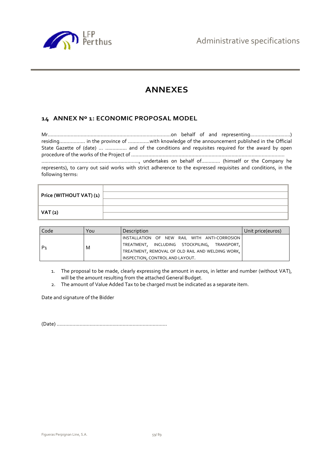

# **ANNEXES**

# **14 ANNEX Nº 1: ECONOMIC PROPOSAL MODEL**

Mr......................................................................................on behalf of and representing............................) residing.................. in the province of ...............with knowledge of the announcement published in the Official State Gazette of (date) ... ............... and of the conditions and requisites required for the award by open procedure of the works of the Project of ...........................................................................................................

...................................................................., undertakes on behalf of............. (himself or the Company he represents), to carry out said works with strict adherence to the expressed requisites and conditions, in the following terms:

| Price (WITHOUT VAT) (1) |  |
|-------------------------|--|
| <b>VAT (2)</b>          |  |

| Code           | You | Description                                       | Unit price(euros) |
|----------------|-----|---------------------------------------------------|-------------------|
|                |     | INSTALLATION OF NEW RAIL WITH ANTI-CORROSION      |                   |
| P <sub>1</sub> | M   | TREATMENT, INCLUDING STOCKPILING,<br>TRANSPORT, I |                   |
|                |     | TREATMENT, REMOVAL OF OLD RAIL AND WELDING WORK,  |                   |
|                |     | INSPECTION, CONTROL AND LAYOUT.                   |                   |

- 1. The proposal to be made, clearly expressing the amount in euros, in letter and number (without VAT), will be the amount resulting from the attached General Budget.
- 2. The amount of Value Added Tax to be charged must be indicated as a separate item.

Date and signature of the Bidder

(Date) .............................................................................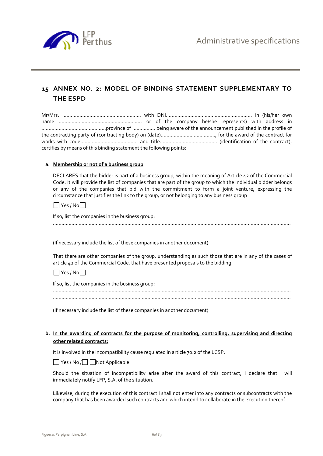

# **15 ANNEX NO. 2: MODEL OF BINDING STATEMENT SUPPLEMENTARY TO THE ESPD**

| certifies by means of this binding statement the following points: |  |  |  |  |  |
|--------------------------------------------------------------------|--|--|--|--|--|

#### **a. Membership or not of a business group**

DECLARES that the bidder is part of a business group, within the meaning of Article 42 of the Commercial Code. It will provide the list of companies that are part of the group to which the individual bidder belongs or any of the companies that bid with the commitment to form a joint venture, expressing the circumstance that justifies the link to the group, or not belonging to any business group

#### $\Box$  Yes / No $\Box$

If so, list the companies in the business group:

......................................................................................................................................................................

(If necessary include the list of these companies in another document)

That there are other companies of the group, understanding as such those that are in any of the cases of article 42 of the Commercial Code, that have presented proposals to the bidding:

 $\Box$  Yes / No $\Box$ 

If so, list the companies in the business group:

...................................................................................................................................................................... ......................................................................................................................................................................

(If necessary include the list of these companies in another document)

### **b. In the awarding of contracts for the purpose of monitoring, controlling, supervising and directing other related contracts:**

It is involved in the incompatibility cause regulated in article 70.2 of the LCSP:

Yes / No / Not Applicable

Should the situation of incompatibility arise after the award of this contract, I declare that I will immediately notify LFP, S.A. of the situation.

Likewise, during the execution of this contract I shall not enter into any contracts or subcontracts with the company that has been awarded such contracts and which intend to collaborate in the execution thereof.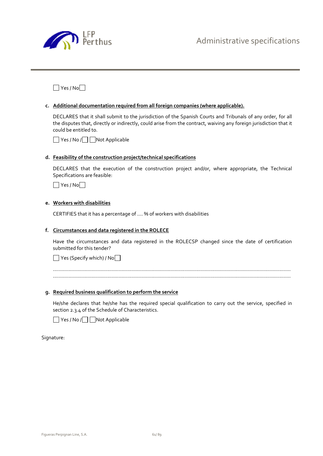

 $\Box$  Yes / No $\Box$ 

#### **c. Additional documentation required from all foreign companies (where applicable).**

DECLARES that it shall submit to the jurisdiction of the Spanish Courts and Tribunals of any order, for all the disputes that, directly or indirectly, could arise from the contract, waiving any foreign jurisdiction that it could be entitled to.

■ Yes / No / Not Applicable

#### **d. Feasibility of the construction project/technical specifications**

DECLARES that the execution of the construction project and/or, where appropriate, the Technical Specifications are feasible:

 $\Box$  Yes / No $\Box$ 

## **e. Workers with disabilities**

CERTIFIES that it has a percentage of .... % of workers with disabilities

#### **f. Circumstances and data registered in the ROLECE**

Have the circumstances and data registered in the ROLECSP changed since the date of certification submitted for this tender?

 $\Box$  Yes (Specify which) / No $\Box$ 

......................................................................................................................................................................

#### **g. Required business qualification to perform the service**

He/she declares that he/she has the required special qualification to carry out the service, specified in section 2.3.4 of the Schedule of Characteristics.

■ Yes / No / ■ Not Applicable

Signature: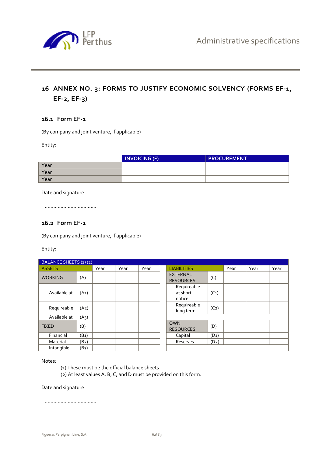

# **16 ANNEX NO. 3: FORMS TO JUSTIFY ECONOMIC SOLVENCY (FORMS EF-1, EF-2, EF-3)**

## **16.1 Form EF-1**

(By company and joint venture, if applicable)

Entity:

|      | <b>INVOICING (F)</b> | <b>PROCUREMENT</b> |
|------|----------------------|--------------------|
| Year |                      |                    |
| Year |                      |                    |
| Year |                      |                    |

Date and signature

....................................

## **16.2 Form EF-2**

(By company and joint venture, if applicable)

Entity:

| BALANCE SHEETS (1) (2) |                   |      |      |      |                                     |                   |      |      |      |
|------------------------|-------------------|------|------|------|-------------------------------------|-------------------|------|------|------|
| <b>ASSETS</b>          |                   | Year | Year | Year | <b>LIABILITIES</b>                  |                   | Year | Year | Year |
| <b>WORKING</b>         | (A)               |      |      |      | <b>EXTERNAL</b><br><b>RESOURCES</b> | (C)               |      |      |      |
| Available at           | (A <sub>1</sub> ) |      |      |      | Requireable<br>at short<br>notice   | $(C_1)$           |      |      |      |
| Requireable            | (A2)              |      |      |      | Requireable<br>long term            | (C <sub>2</sub> ) |      |      |      |
| Available at           | (A3)              |      |      |      |                                     |                   |      |      |      |
| <b>FIXED</b>           | (B)               |      |      |      | <b>OWN</b><br><b>RESOURCES</b>      | (D)               |      |      |      |
| Financial              | (B <sub>1</sub> ) |      |      |      | Capital                             | $(D_1)$           |      |      |      |
| Material               | $(B_2)$           |      |      |      | Reserves                            | $(D_2)$           |      |      |      |
| Intangible             | (B3)              |      |      |      |                                     |                   |      |      |      |

Notes:

- (1) These must be the official balance sheets.
- (2) At least values A, B, C, and D must be provided on this form.

Date and signature

....................................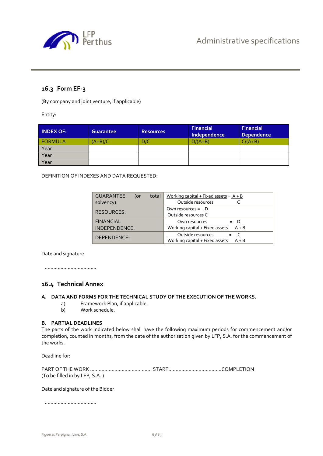

# **16.3 Form EF-3**

(By company and joint venture, if applicable)

Entity:

| <b>INDEX OF:</b> | <b>Guarantee</b> | <b>Resources</b> | <b>Financial</b><br>Independence | <b>Financial</b><br><b>Dependence</b> |
|------------------|------------------|------------------|----------------------------------|---------------------------------------|
| <b>FORMULA</b>   | $(A+B)/C$        | D/C              | $D/(A+B)$                        | $C/(A+B)$                             |
| Year             |                  |                  |                                  |                                       |
| Year             |                  |                  |                                  |                                       |
| Year             |                  |                  |                                  |                                       |

DEFINITION OF INDEXES AND DATA REQUESTED:

| <b>GUARANTEE</b><br>total<br>(or | Working capital + Fixed assets = $A + B$  |
|----------------------------------|-------------------------------------------|
| solvency):                       | Outside resources                         |
| <b>RESOURCES:</b>                | Own resources = $D$                       |
|                                  | Outside resources C                       |
| <b>FINANCIAL</b>                 | Own resources<br>$= D$                    |
| INDEPENDENCE:                    | Working capital + Fixed assets $A + B$    |
| DEPENDENCE:                      | Outside resources                         |
|                                  | Working capital + Fixed assets<br>$A + B$ |

Date and signature

....................................

## **16.4 Technical Annex**

#### **A. DATA AND FORMS FOR THE TECHNICAL STUDY OF THE EXECUTION OF THE WORKS.**

- a) Framework Plan, if applicable.
- b) Work schedule.

#### **B. PARTIAL DEADLINES**

The parts of the work indicated below shall have the following maximum periods for commencement and/or completion, counted in months, from the date of the authorisation given by LFP, S.A. for the commencement of the works.

Deadline for:

| (To be filled in by LFP, S.A.) |  |
|--------------------------------|--|

#### Date and signature of the Bidder

....................................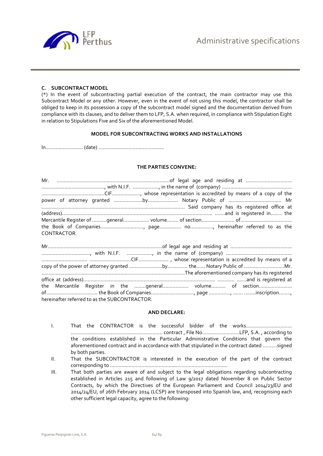

#### **C. SUBCONTRACT MODEL**

(\*) In the event of subcontracting partial execution of the contract, the main contractor may use this Subcontract Model or any other. However, even in the event of not using this model, the contractor shall be obliged to keep in its possession a copy of the subcontract model signed and the documentation derived from compliance with its clauses, and to deliver them to LFP, S.A. when required, in compliance with Stipulation Eight in relation to Stipulations Five and Six of the aforementioned Model.

#### **MODEL FOR SUBCONTRACTING WORKS AND INSTALLATIONS**

In.......................... (date) ..............................................

#### **THE PARTIES CONVENE:**

| CONTRACTOR. |  |
|-------------|--|

|                                               | the Mercantile Register in the general volume of section |
|-----------------------------------------------|----------------------------------------------------------|
|                                               |                                                          |
| hereinafter referred to as the SUBCONTRACTOR. |                                                          |

#### **AND DECLARE:**

- I. That the CONTRACTOR is the successful bidder of the works................................. ................................................................ contract , File No..........................LFP, S.A. , according to the conditions established in the Particular Administrative Conditions that govern the aforementioned contract and in accordance with that stipulated in the contract dated ..........signed by both parties.
- II. That the SUBCONTRACTOR is interested in the execution of the part of the contract corresponding to ..................................................................................
- III. That both parties are aware of and subject to the legal obligations regarding subcontracting established in Articles 215 and following of Law 9/2017 dated November 8 on Public Sector Contracts, by which the Directives of the European Parliament and Council 2014/23/EU and 2014/24/EU, of 26th February 2014 (LCSP) are transposed into Spanish law, and, recognising each other sufficient legal capacity, agree to the following: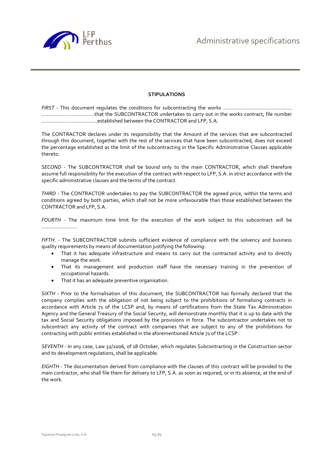

#### **STIPULATIONS**

*FIRST* - This document regulates the conditions for subcontracting the works ................................................ .....................................that the SUBCONTRACTOR undertakes to carry out in the works contract, file number .......................................established between the CONTRACTOR and LFP, S.A.

The CONTRACTOR declares under its responsibility that the Amount of the services that are subcontracted through this document, together with the rest of the services that have been subcontracted, does not exceed the percentage established as the limit of the subcontracting in the Specific Administrative Clauses applicable thereto.

*SECOND* - The SUBCONTRACTOR shall be bound only to the main CONTRACTOR, which shall therefore assume full responsibility for the execution of the contract with respect to LFP, S.A. in strict accordance with the specific administrative clauses and the terms of the contract.

*THIRD* - The CONTRACTOR undertakes to pay the SUBCONTRACTOR the agreed price, within the terms and conditions agreed by both parties, which shall not be more unfavourable than those established between the CONTRACTOR and LFP, S.A.

*FOURTH* - The maximum time limit for the execution of the work subject to this subcontract will be .........................

*FIFTH*. - The SUBCONTRACTOR submits sufficient evidence of compliance with the solvency and business quality requirements by means of documentation justifying the following:

- That it has adequate infrastructure and means to carry out the contracted activity and to directly manage the work.
- That its management and production staff have the necessary training in the prevention of occupational hazards.
- That it has an adequate preventive organisation.

*SIXTH* - Prior to the formalisation of this document, the SUBCONTRACTOR has formally declared that the company complies with the obligation of not being subject to the prohibitions of formalising contracts in accordance with Article 71 of the LCSP and, by means of certifications from the State Tax Administration Agency and the General Treasury of the Social Security, will demonstrate monthly that it is up to date with the tax and Social Security obligations imposed by the provisions in force. The subcontractor undertakes not to subcontract any activity of the contract with companies that are subject to any of the prohibitions for contracting with public entities established in the aforementioned Article 71 of the LCSP.

*SEVENTH* - In any case, Law 32/2006, of 18 October, which regulates Subcontracting in the Construction sector and its development regulations, shall be applicable.

*EIGHTH* - The documentation derived from compliance with the clauses of this contract will be provided to the main contractor, who shall file them for delivery to LFP, S.A. as soon as required, or in its absence, at the end of the work.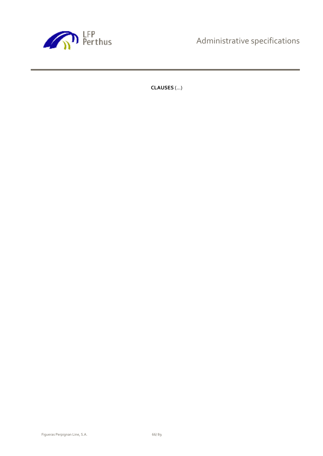

Administrative specifications

**CLAUSES** (...)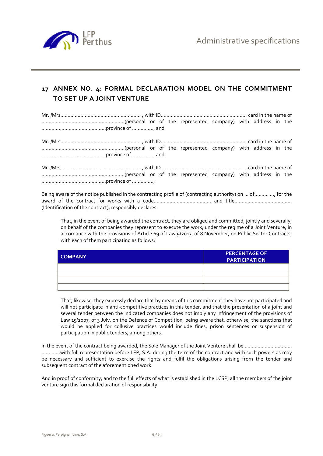

# **17 ANNEX NO. 4: FORMAL DECLARATION MODEL ON THE COMMITMENT TO SET UP A JOINT VENTURE**

Being aware of the notice published in the contracting profile of (contracting authority) on ... of.......... ..., for the award of the contract for works with a code........................................ and title........................................ (Identification of the contract), responsibly declares:

That, in the event of being awarded the contract, they are obliged and committed, jointly and severally, on behalf of the companies they represent to execute the work, under the regime of a Joint Venture, in accordance with the provisions of Article 69 of Law 9/2017, of 8 November, on Public Sector Contracts, with each of them participating as follows:

| <b>COMPANY</b> | <b>PERCENTAGE OF</b><br><b>PARTICIPATION</b> |
|----------------|----------------------------------------------|
|                |                                              |
|                |                                              |
|                |                                              |
|                |                                              |

That, likewise, they expressly declare that by means of this commitment they have not participated and will not participate in anti-competitive practices in this tender, and that the presentation of a joint and several tender between the indicated companies does not imply any infringement of the provisions of Law 15/2007, of 3 July, on the Defence of Competition, being aware that, otherwise, the sanctions that would be applied for collusive practices would include fines, prison sentences or suspension of participation in public tenders, among others.

In the event of the contract being awarded, the Sole Manager of the Joint Venture shall be …………………………… ...... ……with full representation before LFP, S.A. during the term of the contract and with such powers as may be necessary and sufficient to exercise the rights and fulfil the obligations arising from the tender and subsequent contract of the aforementioned work.

And in proof of conformity, and to the full effects of what is established in the LCSP, all the members of the joint venture sign this formal declaration of responsibility.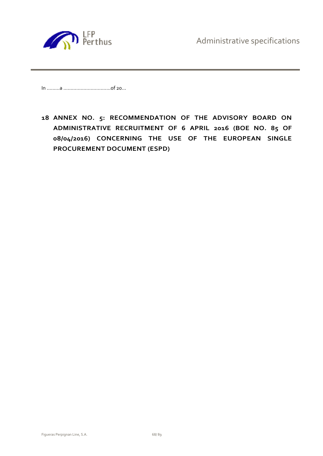

In ………a ……………………………of 20...

**18 ANNEX NO. 5: RECOMMENDATION OF THE ADVISORY BOARD ON ADMINISTRATIVE RECRUITMENT OF 6 APRIL 2016 (BOE NO. 85 OF 08/04/2016) CONCERNING THE USE OF THE EUROPEAN SINGLE PROCUREMENT DOCUMENT (ESPD)**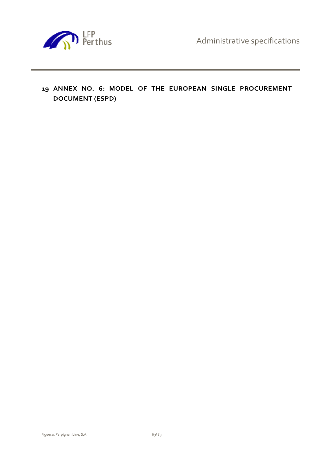Administrative specifications



**19 ANNEX NO. 6: MODEL OF THE EUROPEAN SINGLE PROCUREMENT DOCUMENT (ESPD)**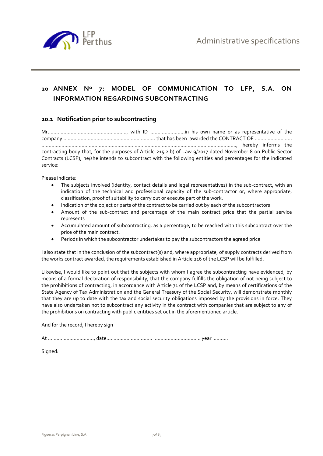

# **20 ANNEX Nº 7: MODEL OF COMMUNICATION TO LFP, S.A. ON INFORMATION REGARDING SUBCONTRACTING**

## **20.1 Notification prior to subcontracting**

Mr......................................................., with ID ........................in his own name or as representative of the company ................................................................ that has been awarded the CONTRACT OF .......................... ........................................................................................................................................, hereby informs the contracting body that, for the purposes of Article 215.2.b) of Law 9/2017 dated November 8 on Public Sector Contracts (LCSP), he/she intends to subcontract with the following entities and percentages for the indicated service:

Please indicate:

- The subjects involved (identity, contact details and legal representatives) in the sub-contract, with an indication of the technical and professional capacity of the sub-contractor or, where appropriate, classification, proof of suitability to carry out or execute part of the work.
- Indication of the object or parts of the contract to be carried out by each of the subcontractors
- Amount of the sub-contract and percentage of the main contract price that the partial service represents
- Accumulated amount of subcontracting, as a percentage, to be reached with this subcontract over the price of the main contract.
- Periods in which the subcontractor undertakes to pay the subcontractors the agreed price

I also state that in the conclusion of the subcontract(s) and, where appropriate, of supply contracts derived from the works contract awarded, the requirements established in Article 216 of the LCSP will be fulfilled.

Likewise, I would like to point out that the subjects with whom I agree the subcontracting have evidenced, by means of a formal declaration of responsibility, that the company fulfills the obligation of not being subject to the prohibitions of contracting, in accordance with Article 71 of the LCSP and, by means of certifications of the State Agency of Tax Administration and the General Treasury of the Social Security, will demonstrate monthly that they are up to date with the tax and social security obligations imposed by the provisions in force. They have also undertaken not to subcontract any activity in the contract with companies that are subject to any of the prohibitions on contracting with public entities set out in the aforementioned article.

And for the record, I hereby sign

At ................................, date................................ ................................. year ..........

Signed: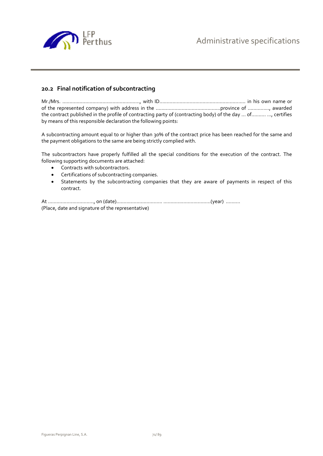

## **20.2 Final notification of subcontracting**

Mr./Mrs. ......................................................, with ID............................................................ in his own name or of the represented company) with address in the .............................................province of ..............., awarded the contract published in the profile of contracting party of (contracting body) of the day ... of.......... ..., certifies by means of this responsible declaration the following points:

A subcontracting amount equal to or higher than 30% of the contract price has been reached for the same and the payment obligations to the same are being strictly complied with.

The subcontractors have properly fulfilled all the special conditions for the execution of the contract. The following supporting documents are attached:

- Contracts with subcontractors.
- **•** Certifications of subcontracting companies.
- Statements by the subcontracting companies that they are aware of payments in respect of this contract.

At ................................, on (date)................................ .................................(year) .......... (Place, date and signature of the representative)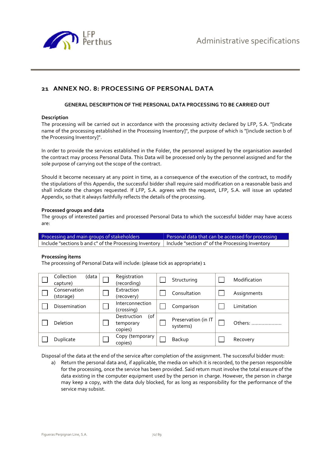

# **21 ANNEX NO. 8: PROCESSING OF PERSONAL DATA**

### **GENERAL DESCRIPTION OF THE PERSONAL DATA PROCESSING TO BE CARRIED OUT**

#### **Description**

The processing will be carried out in accordance with the processing activity declared by LFP, S.A. "[indicate name of the processing established in the Processing Inventory]", the purpose of which is "[include section b of the Processing Inventory]".

In order to provide the services established in the Folder, the personnel assigned by the organisation awarded the contract may process Personal Data. This Data will be processed only by the personnel assigned and for the sole purpose of carrying out the scope of the contract.

Should it become necessary at any point in time, as a consequence of the execution of the contract, to modify the stipulations of this Appendix, the successful bidder shall require said modification on a reasonable basis and shall indicate the changes requested. If LFP, S.A. agrees with the request, LFP, S.A. will issue an updated Appendix, so that it always faithfully reflects the details of the processing.

#### **Processed groups and data**

The groups of interested parties and processed Personal Data to which the successful bidder may have access are:

Processing and main groups of stakeholders **Personal data that can be accessed for processing** Include "sections b and c" of the Processing Inventory | Include "section d" of the Processing Inventory

#### **Processing items**

The processing of Personal Data will include: (please tick as appropriate) 1

| Collection<br>(data<br>capture) | Registration<br>(recording)                   | Structuring                     | Modification |
|---------------------------------|-----------------------------------------------|---------------------------------|--------------|
| Conservation<br>(storage)       | Extraction<br>(recovery)                      | Consultation                    | Assignments  |
| Dissemination                   | Interconnection<br>(crossing)                 | Comparison                      | Limitation   |
| <b>Deletion</b>                 | $($ of<br>Destruction<br>temporary<br>copies) | Preservation (in IT<br>systems) | Others:      |
| Duplicate                       | Copy (temporary<br>copies)                    | Backup                          | Recovery     |

Disposal of the data at the end of the service after completion of the assignment. The successful bidder must:

a) Return the personal data and, if applicable, the media on which it is recorded, to the person responsible for the processing, once the service has been provided. Said return must involve the total erasure of the data existing in the computer equipment used by the person in charge. However, the person in charge may keep a copy, with the data duly blocked, for as long as responsibility for the performance of the service may subsist.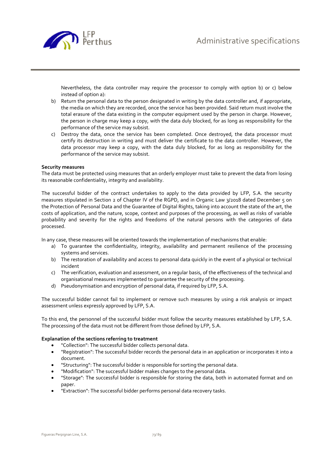

Nevertheless, the data controller may require the processor to comply with option b) or c) below instead of option a):

- b) Return the personal data to the person designated in writing by the data controller and, if appropriate, the media on which they are recorded, once the service has been provided. Said return must involve the total erasure of the data existing in the computer equipment used by the person in charge. However, the person in charge may keep a copy, with the data duly blocked, for as long as responsibility for the performance of the service may subsist.
- c) Destroy the data, once the service has been completed. Once destroyed, the data processor must certify its destruction in writing and must deliver the certificate to the data controller. However, the data processor may keep a copy, with the data duly blocked, for as long as responsibility for the performance of the service may subsist.

## **Security measures**

The data must be protected using measures that an orderly employer must take to prevent the data from losing its reasonable confidentiality, integrity and availability.

The successful bidder of the contract undertakes to apply to the data provided by LFP, S.A. the security measures stipulated in Section 2 of Chapter IV of the RGPD, and in Organic Law 3/2018 dated December 5 on the Protection of Personal Data and the Guarantee of Digital Rights, taking into account the state of the art, the costs of application, and the nature, scope, context and purposes of the processing, as well as risks of variable probability and severity for the rights and freedoms of the natural persons with the categories of data processed.

In any case, these measures will be oriented towards the implementation of mechanisms that enable:

- a) To guarantee the confidentiality, integrity, availability and permanent resilience of the processing systems and services.
- b) The restoration of availability and access to personal data quickly in the event of a physical or technical incident
- c) The verification, evaluation and assessment, on a regular basis, of the effectiveness of the technical and organisational measures implemented to guarantee the security of the processing.
- d) Pseudonymisation and encryption of personal data, if required by LFP, S.A.

The successful bidder cannot fail to implement or remove such measures by using a risk analysis or impact assessment unless expressly approved by LFP, S.A.

To this end, the personnel of the successful bidder must follow the security measures established by LFP, S.A. The processing of the data must not be different from those defined by LFP, S.A.

## **Explanation of the sections referring to treatment**

- "Collection": The successful bidder collects personal data.
- "Registration": The successful bidder records the personal data in an application or incorporates it into a document.
- "Structuring": The successful bidder is responsible for sorting the personal data.
- "Modification": The successful bidder makes changes to the personal data.
- "Storage": The successful bidder is responsible for storing the data, both in automated format and on paper.
- "Extraction": The successful bidder performs personal data recovery tasks.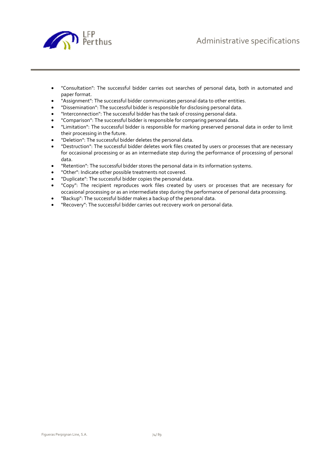

- "Consultation": The successful bidder carries out searches of personal data, both in automated and paper format.
- "Assignment": The successful bidder communicates personal data to other entities.
- "Dissemination": The successful bidder is responsible for disclosing personal data.
- "Interconnection": The successful bidder has the task of crossing personal data.
- "Comparison": The successful bidder is responsible for comparing personal data.
- "Limitation": The successful bidder is responsible for marking preserved personal data in order to limit their processing in the future.
- "Deletion": The successful bidder deletes the personal data.
- "Destruction": The successful bidder deletes work files created by users or processes that are necessary for occasional processing or as an intermediate step during the performance of processing of personal data.
- "Retention": The successful bidder stores the personal data in its information systems.
- "Other": Indicate other possible treatments not covered.
- "Duplicate": The successful bidder copies the personal data.
- "Copy": The recipient reproduces work files created by users or processes that are necessary for occasional processing or as an intermediate step during the performance of personal data processing.
- "Backup": The successful bidder makes a backup of the personal data.
- "Recovery": The successful bidder carries out recovery work on personal data.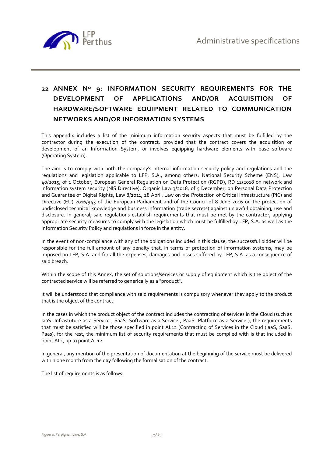

# **22 ANNEX Nº 9: INFORMATION SECURITY REQUIREMENTS FOR THE DEVELOPMENT OF APPLICATIONS AND/OR ACQUISITION OF HARDWARE/SOFTWARE EQUIPMENT RELATED TO COMMUNICATION NETWORKS AND/OR INFORMATION SYSTEMS**

This appendix includes a list of the minimum information security aspects that must be fulfilled by the contractor during the execution of the contract, provided that the contract covers the acquisition or development of an Information System, or involves equipping hardware elements with base software (Operating System).

The aim is to comply with both the company's internal information security policy and regulations and the regulations and legislation applicable to LFP, S.A., among others: National Security Scheme (ENS), Law 40/2015, of 1 October, European General Regulation on Data Protection (RGPD), RD 12/2018 on network and information system security (NIS Directive), Organic Law 3/2018, of 5 December, on Personal Data Protection and Guarantee of Digital Rights, Law 8/2011, 28 April, Law on the Protection of Critical Infrastructure (PIC) and Directive (EU) 2016/943 of the European Parliament and of the Council of 8 June 2016 on the protection of undisclosed technical knowledge and business information (trade secrets) against unlawful obtaining, use and disclosure. In general, said regulations establish requirements that must be met by the contractor, applying appropriate security measures to comply with the legislation which must be fulfilled by LFP, S.A. as well as the Information Security Policy and regulations in force in the entity.

In the event of non-compliance with any of the obligations included in this clause, the successful bidder will be responsible for the full amount of any penalty that, in terms of protection of information systems, may be imposed on LFP, S.A. and for all the expenses, damages and losses suffered by LFP, S.A. as a consequence of said breach.

Within the scope of this Annex, the set of solutions/services or supply of equipment which is the object of the contracted service will be referred to generically as a "product".

It will be understood that compliance with said requirements is compulsory whenever they apply to the product that is the object of the contract.

In the cases in which the product object of the contract includes the contracting of services in the Cloud (such as IaaS -Infrastuture as a Service-, SaaS -Software as a Service-, PaaS -Platform as a Service-), the requirements that must be satisfied will be those specified in point AI.12 (Contracting of Services in the Cloud (IaaS, SaaS, Paas), for the rest, the minimum list of security requirements that must be complied with is that included in point AI.1, up to point AI.12.

In general, any mention of the presentation of documentation at the beginning of the service must be delivered within one month from the day following the formalisation of the contract.

The list of requirements is as follows: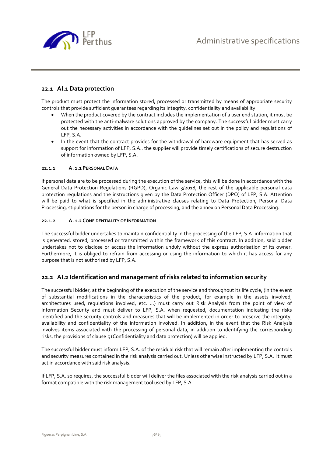

## **22.1 AI.1 Data protection**

The product must protect the information stored, processed or transmitted by means of appropriate security controls that provide sufficient guarantees regarding its integrity, confidentiality and availability.

- When the product covered by the contract includes the implementation of a user end station, it must be protected with the anti-malware solutions approved by the company. The successful bidder must carry out the necessary activities in accordance with the guidelines set out in the policy and regulations of LFP, S.A.
- In the event that the contract provides for the withdrawal of hardware equipment that has served as support for information of LFP, S.A.. the supplier will provide timely certifications of secure destruction of information owned by LFP, S.A.

## **22.1.1 A .1.1 PERSONAL DATA**

If personal data are to be processed during the execution of the service, this will be done in accordance with the General Data Protection Regulations (RGPD), Organic Law 3/2018, the rest of the applicable personal data protection regulations and the instructions given by the Data Protection Officer (DPO) of LFP, S.A. Attention will be paid to what is specified in the administrative clauses relating to Data Protection, Personal Data Processing, stipulations for the person in charge of processing, and the annex on Personal Data Processing.

## **22.1.2 A .1.2 CONFIDENTIALITY OF INFORMATION**

The successful bidder undertakes to maintain confidentiality in the processing of the LFP, S.A. information that is generated, stored, processed or transmitted within the framework of this contract. In addition, said bidder undertakes not to disclose or access the information unduly without the express authorisation of its owner. Furthermore, it is obliged to refrain from accessing or using the information to which it has access for any purpose that is not authorised by LFP, S.A.

## **22.2 AI.2 Identification and management of risks related to information security**

The successful bidder, at the beginning of the execution of the service and throughout its life cycle, (in the event of substantial modifications in the characteristics of the product, for example in the assets involved, architectures used, regulations involved, etc. ...) must carry out Risk Analysis from the point of view of Information Security and must deliver to LFP, S.A. when requested, documentation indicating the risks identified and the security controls and measures that will be implemented in order to preserve the integrity, availability and confidentiality of the information involved. In addition, in the event that the Risk Analysis involves items associated with the processing of personal data, in addition to identifying the corresponding risks, the provisions of clause 5 (Confidentiality and data protection) will be applied.

The successful bidder must inform LFP, S.A. of the residual risk that will remain after implementing the controls and security measures contained in the risk analysis carried out. Unless otherwise instructed by LFP, S.A. it must act in accordance with said risk analysis.

If LFP, S.A. so requires, the successful bidder will deliver the files associated with the risk analysis carried out in a format compatible with the risk management tool used by LFP, S.A.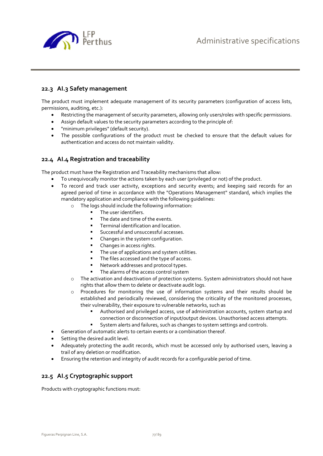

## **22.3 AI.3 Safety management**

The product must implement adequate management of its security parameters (configuration of access lists, permissions, auditing, etc.):

- Restricting the management of security parameters, allowing only users/roles with specific permissions.
- Assign default values to the security parameters according to the principle of:
- "minimum privileges" (default security).
- The possible configurations of the product must be checked to ensure that the default values for authentication and access do not maintain validity.

## **22.4 AI.4 Registration and traceability**

The product must have the Registration and Traceability mechanisms that allow:

- To unequivocally monitor the actions taken by each user (privileged or not) of the product.
- To record and track user activity, exceptions and security events; and keeping said records for an agreed period of time in accordance with the "Operations Management" standard, which implies the mandatory application and compliance with the following guidelines:
	- o The logs should include the following information:
		- **The user identifiers.**
		- The date and time of the events.
		- **Terminal identification and location.**
		- **Successful and unsuccessful accesses.**
		- Changes in the system configuration.
		- **Changes in access rights.**
		- **The use of applications and system utilities.**
		- The files accessed and the type of access.
		- **Network addresses and protocol types.**
		- The alarms of the access control system
	- o The activation and deactivation of protection systems. System administrators should not have rights that allow them to delete or deactivate audit logs.
	- o Procedures for monitoring the use of information systems and their results should be established and periodically reviewed, considering the criticality of the monitored processes, their vulnerability, their exposure to vulnerable networks, such as
		- Authorised and privileged access, use of administration accounts, system startup and connection or disconnection of input/output devices. Unauthorised access attempts.
		- System alerts and failures, such as changes to system settings and controls.
	- Generation of automatic alerts to certain events or a combination thereof.
- Setting the desired audit level.
- Adequately protecting the audit records, which must be accessed only by authorised users, leaving a trail of any deletion or modification.
- Ensuring the retention and integrity of audit records for a configurable period of time.

## **22.5 AI.5 Cryptographic support**

Products with cryptographic functions must: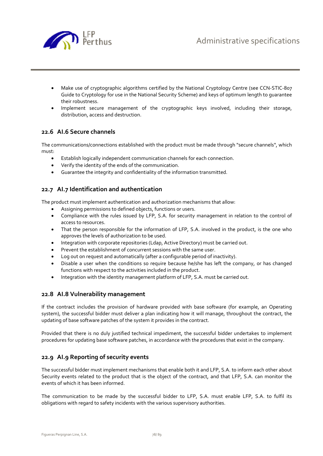

- Make use of cryptographic algorithms certified by the National Cryptology Centre (see CCN-STIC-807 Guide to Cryptology for use in the National Security Scheme) and keys of optimum length to guarantee their robustness.
- Implement secure management of the cryptographic keys involved, including their storage, distribution, access and destruction.

## **22.6 AI.6 Secure channels**

The communications/connections established with the product must be made through "secure channels", which must:

- Establish logically independent communication channels for each connection.
- Verify the identity of the ends of the communication.
- Guarantee the integrity and confidentiality of the information transmitted.

## **22.7 AI.7 Identification and authentication**

The product must implement authentication and authorization mechanisms that allow:

- Assigning permissions to defined objects, functions or users.
- Compliance with the rules issued by LFP, S.A. for security management in relation to the control of access to resources.
- That the person responsible for the information of LFP, S.A. involved in the product, is the one who approves the levels of authorization to be used.
- Integration with corporate repositories (Ldap, Active Directory) must be carried out.
- Prevent the establishment of concurrent sessions with the same user.
- Log out on request and automatically (after a configurable period of inactivity).
- Disable a user when the conditions so require because he/she has left the company, or has changed functions with respect to the activities included in the product.
- Integration with the identity management platform of LFP, S.A. must be carried out.

## **22.8 AI.8 Vulnerability management**

If the contract includes the provision of hardware provided with base software (for example, an Operating system), the successful bidder must deliver a plan indicating how it will manage, throughout the contract, the updating of base software patches of the system it provides in the contract.

Provided that there is no duly justified technical impediment, the successful bidder undertakes to implement procedures for updating base software patches, in accordance with the procedures that exist in the company.

## **22.9 AI.9 Reporting of security events**

The successful bidder must implement mechanisms that enable both it and LFP, S.A. to inform each other about Security events related to the product that is the object of the contract, and that LFP, S.A. can monitor the events of which it has been informed.

The communication to be made by the successful bidder to LFP, S.A. must enable LFP, S.A. to fulfil its obligations with regard to safety incidents with the various supervisory authorities.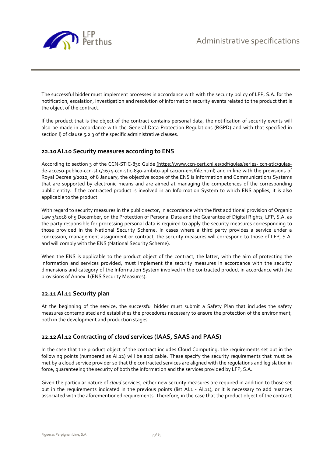

The successful bidder must implement processes in accordance with with the security policy of LFP, S.A. for the notification, escalation, investigation and resolution of information security events related to the product that is the object of the contract.

If the product that is the object of the contract contains personal data, the notification of security events will also be made in accordance with the General Data Protection Regulations (RGPD) and with that specified in section l) of clause 5.2.3 of the specific administrative clauses.

## **22.10AI.10 Security measures according to ENS**

According to section 3 of the CCN-STIC-830 Guide (https://www.ccn-cert.cni.es/pdf/guias/series- ccn-stic/guiasde-acceso-publico-ccn-stic/1674-ccn-stic-830-ambito-aplicacion-ens/file.html) and in line with the provisions of Royal Decree 3/2010, of 8 January, the objective scope of the ENS is Information and Communications Systems that are supported by electronic means and are aimed at managing the competences of the corresponding public entity. If the contracted product is involved in an Information System to which ENS applies, it is also applicable to the product.

With regard to security measures in the public sector, in accordance with the first additional provision of Organic Law 3/2018 of 5 December, on the Protection of Personal Data and the Guarantee of Digital Rights, LFP, S.A. as the party responsible for processing personal data is required to apply the security measures corresponding to those provided in the National Security Scheme. In cases where a third party provides a service under a concession, management assignment or contract, the security measures will correspond to those of LFP, S.A. and will comply with the ENS (National Security Scheme).

When the ENS is applicable to the product object of the contract, the latter, with the aim of protecting the information and services provided, must implement the security measures in accordance with the security dimensions and category of the Information System involved in the contracted product in accordance with the provisions of Annex II (ENS Security Measures).

## **22.11AI.11 Security plan**

At the beginning of the service, the successful bidder must submit a Safety Plan that includes the safety measures contemplated and establishes the procedures necessary to ensure the protection of the environment, both in the development and production stages.

## **22.12AI.12 Contracting of** *cloud* **services (IAAS, SAAS and PAAS)**

In the case that the product object of the contract includes Cloud Computing, the requirements set out in the following points (numbered as AI.12) will be applicable. These specify the security requirements that must be met by a cloud service provider so that the contracted services are aligned with the regulations and legislation in force, guaranteeing the security of both the information and the services provided by LFP, S.A.

Given the particular nature of *cloud* services, either new security measures are required in addition to those set out in the requirements indicated in the previous points (list AI.1 - AI.11), or it is necessary to add nuances associated with the aforementioned requirements. Therefore, in the case that the product object of the contract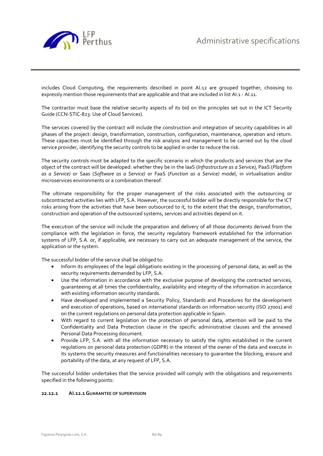

includes Cloud Computing, the requirements described in point AI.12 are grouped together, choosing to expressly mention those requirements that are applicable and that are included in list AI.1 - AI.11.

The contractor must base the relative security aspects of its bid on the principles set out in the ICT Security Guide (CCN-STIC-823: Use of Cloud Services).

The services covered by the contract will include the construction and integration of security capabilities in all phases of the project: design, transformation, construction, configuration, maintenance, operation and return. These capacities must be identified through the risk analysis and management to be carried out by the *cloud*  service provider, identifying the security controls to be applied in order to reduce the risk.

The security controls must be adapted to the specific scenario in which the products and services that are the object of the contract will be developed: whether they be in the IaaS (*Infrastructure as a Service),* PaaS (*Platform as a Service)* or Saas (*Software as a Service)* or FaaS (*Function as a Service)* model, in virtualisation and/or microservices environments or a combination thereof.

The ultimate responsibility for the proper management of the risks associated with the outsourcing or subcontracted activities lies with LFP, S.A. However, the successful bidder will be directly responsible for the ICT risks arising from the activities that have been outsourced to it, to the extent that the design, transformation, construction and operation of the outsourced systems, services and activities depend on it.

The execution of the service will include the preparation and delivery of all those documents derived from the compliance with the legislation in force, the security regulatory framework established for the information systems of LFP, S.A. or, if applicable, are necessary to carry out an adequate management of the service, the application or the system.

The successful bidder of the service shall be obliged to:

- Inform its employees of the legal obligations existing in the processing of personal data, as well as the security requirements demanded by LFP, S.A.
- Use the information in accordance with the exclusive purpose of developing the contracted services, guaranteeing at all times the confidentiality, availability and integrity of the information in accordance with existing information security standards.
- Have developed and implemented a Security Policy, Standards and Procedures for the development and execution of operations, based on international standards on information security (ISO 27001) and on the current regulations on personal data protection applicable in Spain.
- With regard to current legislation on the protection of personal data, attention will be paid to the Confidentiality and Data Protection clause in the specific administrative clauses and the annexed Personal Data Processing document.
- Provide LFP, S.A. with all the information necessary to satisfy the rights established in the current regulations on personal data protection (GDPR) in the interest of the owner of the data and execute in its systems the security measures and functionalities necessary to guarantee the blocking, erasure and portability of the data, at any request of LFP, S.A.

The successful bidder undertakes that the service provided will comply with the obligations and requirements specified in the following points:

## **22.12.1 AI.12.1 GUARANTEE OF SUPERVISION**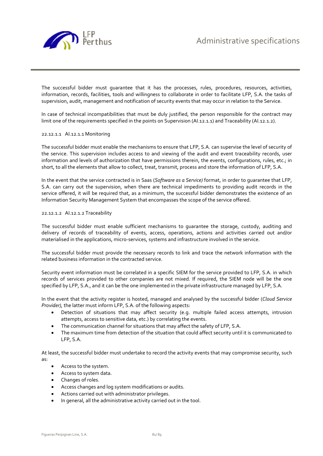

The successful bidder must guarantee that it has the processes, rules, procedures, resources, activities, information, records, facilities, tools and willingness to collaborate in order to facilitate LFP, S.A. the tasks of supervision, audit, management and notification of security events that may occur in relation to the Service.

In case of technical incompatibilities that must be duly justified, the person responsible for the contract may limit one of the requirements specified in the points on Supervision (Al.12.1.1) and Traceability (Al.12.1.2).

#### 22.12.1.1 AI.12.1.1 Monitoring

The successful bidder must enable the mechanisms to ensure that LFP, S.A. can supervise the level of security of the service. This supervision includes access to and viewing of the audit and event traceability records, user information and levels of authorization that have permissions therein, the events, configurations, rules, etc.; in short, to all the elements that allow to collect, treat, transmit, process and store the information of LFP, S.A.

In the event that the service contracted is in Saas (*Software as a Service)* format, in order to guarantee that LFP, S.A. can carry out the supervision, when there are technical impediments to providing audit records in the service offered, it will be required that, as a minimum, the successful bidder demonstrates the existence of an Information Security Management System that encompasses the scope of the service offered.

#### 22.12.1.2 AI.12.1.2 Traceability

The successful bidder must enable sufficient mechanisms to guarantee the storage, custody, auditing and delivery of records of traceability of events, access, operations, actions and activities carried out and/or materialised in the applications, micro-services, systems and infrastructure involved in the service.

The successful bidder must provide the necessary records to link and trace the network information with the related business information in the contracted service.

Security event information must be correlated in a specific SIEM for the service provided to LFP, S.A. in which records of services provided to other companies are not mixed. If required, the SIEM node will be the one specified by LFP, S.A., and it can be the one implemented in the private infrastructure managed by LFP, S.A.

In the event that the activity register is hosted, managed and analysed by the successful bidder (*Cloud Service Provider),* the latter must inform LFP, S.A. of the following aspects:

- Detection of situations that may affect security (e.g. multiple failed access attempts, intrusion attempts, access to sensitive data, etc.) by correlating the events.
- The communication channel for situations that may affect the safety of LFP, S.A.
- The maximum time from detection of the situation that could affect security until it is communicated to LFP, S.A.

At least, the successful bidder must undertake to record the activity events that may compromise security, such as:

- Access to the system.
- Access to system data.
- Changes of roles.
- Access changes and log system modifications or audits.
- Actions carried out with administrator privileges.
- In general, all the administrative activity carried out in the tool.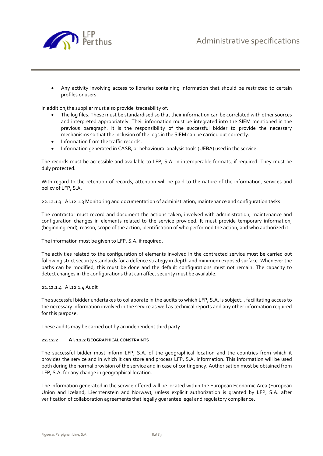

 Any activity involving access to libraries containing information that should be restricted to certain profiles or users.

In addition,the supplier must also provide traceability of:

- The log files. These must be standardised so that their information can be correlated with other sources and interpreted appropriately. Their information must be integrated into the SIEM mentioned in the previous paragraph. It is the responsibility of the successful bidder to provide the necessary mechanisms so that the inclusion of the logs in the SIEM can be carried out correctly.
- Information from the traffic records.
- Information generated in CASB, or behavioural analysis tools (UEBA) used in the service.

The records must be accessible and available to LFP, S.A. in interoperable formats, if required. They must be duly protected.

With regard to the retention of records, attention will be paid to the nature of the information, services and policy of LFP, S.A.

22.12.1.3 AI.12.1.3 Monitoring and documentation of administration, maintenance and configuration tasks

The contractor must record and document the actions taken, involved with administration, maintenance and configuration changes in elements related to the service provided. It must provide temporary information, (beginning-end), reason, scope of the action, identification of who performed the action, and who authorized it.

The information must be given to LFP, S.A. if required.

The activities related to the configuration of elements involved in the contracted service must be carried out following strict security standards for a defence strategy in depth and minimum exposed surface. Whenever the paths can be modified, this must be done and the default configurations must not remain. The capacity to detect changes in the configurations that can affect security must be available.

22.12.1.4 AI.12.1.4 Audit

The successful bidder undertakes to collaborate in the audits to which LFP, S.A. is subject. , facilitating access to the necessary information involved in the service as well as technical reports and any other information required for this purpose.

These audits may be carried out by an independent third party.

## **22.12.2 AI. 12.2GEOGRAPHICAL CONSTRAINTS**

The successful bidder must inform LFP, S.A. of the geographical location and the countries from which it provides the service and in which it can store and process LFP, S.A. information. This information will be used both during the normal provision of the service and in case of contingency. Authorisation must be obtained from LFP, S.A. for any change in geographical location.

The information generated in the service offered will be located within the European Economic Area (European Union and Iceland, Liechtenstein and Norway), unless explicit authorization is granted by LFP, S.A. after verification of collaboration agreements that legally guarantee legal and regulatory compliance.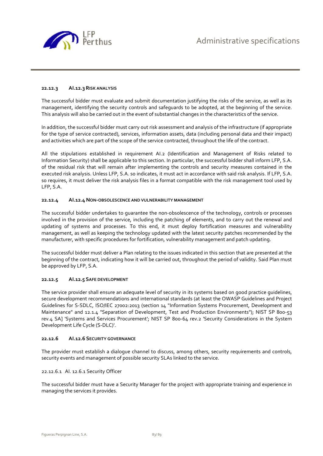

## **22.12.3 AI.12.3 RISK ANALYSIS**

The successful bidder must evaluate and submit documentation justifying the risks of the service, as well as its management, identifying the security controls and safeguards to be adopted, at the beginning of the service. This analysis will also be carried out in the event of substantial changes in the characteristics of the service.

In addition, the successful bidder must carry out risk assessment and analysis of the infrastructure (if appropriate for the type of service contracted), services, information assets, data (including personal data and their impact) and activities which are part of the scope of the service contracted, throughout the life of the contract.

All the stipulations established in requirement AI.2 (Identification and Management of Risks related to Information Security) shall be applicable to this section. In particular, the successful bidder shall inform LFP, S.A. of the residual risk that will remain after implementing the controls and security measures contained in the executed risk analysis. Unless LFP, S.A. so indicates, it must act in accordance with said risk analysis. If LFP, S.A. so requires, it must deliver the risk analysis files in a format compatible with the risk management tool used by LFP, S.A.

## **22.12.4 AI.12.4 NON-OBSOLESCENCE AND VULNERABILITY MANAGEMENT**

The successful bidder undertakes to guarantee the non-obsolescence of the technology, controls or processes involved in the provision of the service, including the patching of elements, and to carry out the renewal and updating of systems and processes. To this end, it must deploy fortification measures and vulnerability management, as well as keeping the technology updated with the latest security patches recommended by the manufacturer, with specific procedures for fortification, vulnerability management and patch updating.

The successful bidder must deliver a Plan relating to the issues indicated in this section that are presented at the beginning of the contract, indicating how it will be carried out, throughout the period of validity. Said Plan must be approved by LFP, S.A.

## **22.12.5 AI.12.5 SAFE DEVELOPMENT**

The service provider shall ensure an adequate level of security in its systems based on good practice guidelines, secure development recommendations and international standards (at least the OWASP Guidelines and Project Guidelines for S-SDLC, ISO/IEC 27002:2013 (section 14 "Information Systems Procurement, Development and Maintenance" and 12.1.4 "Separation of Development, Test and Production Environments"); NIST SP 800-53 rev.4 SA] 'Systems and Services Procurement'; NIST SP 800-64 rev.2 'Security Considerations in the System Development Life Cycle (S-DLC)'.

## **22.12.6 AI.12.6 SECURITY GOVERNANCE**

The provider must establish a dialogue channel to discuss, among others, security requirements and controls, security events and management of possible security SLAs linked to the service.

## 22.12.6.1 AI. 12.6.1 Security Officer

The successful bidder must have a Security Manager for the project with appropriate training and experience in managing the services it provides.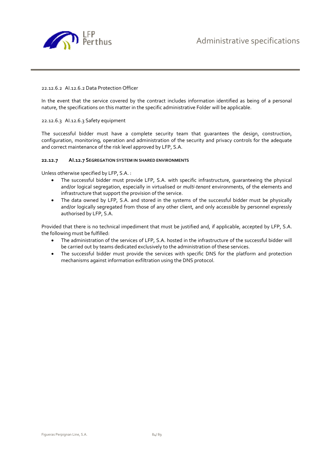

## 22.12.6.2 AI.12.6.2 Data Protection Officer

In the event that the service covered by the contract includes information identified as being of a personal nature, the specifications on this matter in the specific administrative Folder will be applicable.

## 22.12.6.3 AI.12.6.3 Safety equipment

The successful bidder must have a complete security team that guarantees the design, construction, configuration, monitoring, operation and administration of the security and privacy controls for the adequate and correct maintenance of the risk level approved by LFP, S.A.

## **22.12.7 AI.12.7 SEGREGATION SYSTEM IN SHARED ENVIRONMENTS**

Unless otherwise specified by LFP, S.A. :

- The successful bidder must provide LFP, S.A. with specific infrastructure, guaranteeing the physical and/or logical segregation, especially in virtualised or *multi-tenant* environments, of the elements and infrastructure that support the provision of the service.
- The data owned by LFP, S.A. and stored in the systems of the successful bidder must be physically and/or logically segregated from those of any other client, and only accessible by personnel expressly authorised by LFP, S.A.

Provided that there is no technical impediment that must be justified and, if applicable, accepted by LFP, S.A. the following must be fulfilled:

- The administration of the services of LFP, S.A. hosted in the infrastructure of the successful bidder will be carried out by teams dedicated exclusively to the administration of these services.
- The successful bidder must provide the services with specific DNS for the platform and protection mechanisms against information exfiltration using the DNS protocol.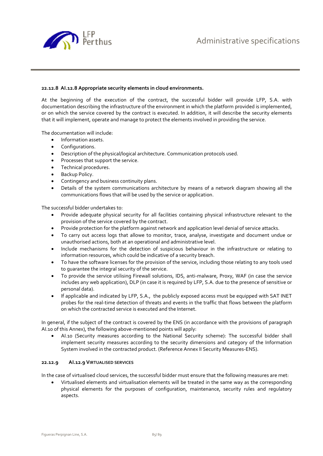

## **22.12.8 AI.12.8 Appropriate security elements in cloud environments.**

At the beginning of the execution of the contract, the successful bidder will provide LFP, S.A. with documentation describing the infrastructure of the environment in which the platform provided is implemented, or on which the service covered by the contract is executed. In addition, it will describe the security elements that it will implement, operate and manage to protect the elements involved in providing the service.

The documentation will include:

- Information assets.
- Configurations.
- Description of the physical/logical architecture. Communication protocols used.
- Processes that support the service.
- Technical procedures.
- Backup Policy.
- Contingency and business continuity plans.
- Details of the system communications architecture by means of a network diagram showing all the communications flows that will be used by the service or application.

The successful bidder undertakes to:

- Provide adequate physical security for all facilities containing physical infrastructure relevant to the provision of the service covered by the contract.
- Provide protection for the platform against network and application level denial of service attacks.
- To carry out access logs that allowe to monitor, trace, analyse, investigate and document undue or unauthorised actions, both at an operational and administrative level.
- Include mechanisms for the detection of suspicious behaviour in the infrastructure or relating to information resources, which could be indicative of a security breach.
- To have the software licenses for the provision of the service, including those relating to any tools used to guarantee the integral security of the service.
- To provide the service utilising Firewall solutions, IDS, anti-malware, Proxy, WAF (in case the service includes any web application), DLP (in case it is required by LFP, S.A. due to the presence of sensitive or personal data).
- If applicable and indicated by LFP, S.A., the publicly exposed access must be equipped with SAT INET probes for the real-time detection of threats and events in the traffic that flows between the platform on which the contracted service is executed and the Internet.

In general, if the subject of the contract is covered by the ENS (in accordance with the provisions of paragraph AI.10 of this Annex), the following above-mentioned points will apply:

 AI.10 (Security measures according to the National Security scheme): The successful bidder shall implement security measures according to the security dimensions and category of the Information System involved in the contracted product. (Reference Annex II Security Measures-ENS).

## **22.12.9 AI.12.9 VIRTUALISED SERVICES**

In the case of virtualised cloud services, the successful bidder must ensure that the following measures are met:

 Virtualised elements and virtualisation elements will be treated in the same way as the corresponding physical elements for the purposes of configuration, maintenance, security rules and regulatory aspects.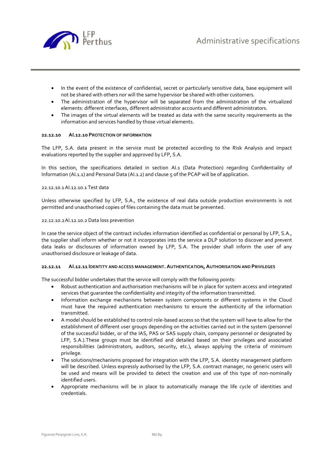

- In the event of the existence of confidential, secret or particularly sensitive data, base equipment will not be shared with others nor will the same hypervisor be shared with other customers.
- The administration of the hypervisor will be separated from the administration of the virtualized elements: different interfaces, different administrator accounts and different administrators.
- The images of the virtual elements will be treated as data with the same security requirements as the information and services handled by those virtual elements.

## **22.12.10 AI.12.10 PROTECTION OF INFORMATION**

The LFP, S.A. data present in the service must be protected according to the Risk Analysis and impact evaluations reported by the supplier and approved by LFP, S.A.

In this section, the specifications detailed in section AI.1 (Data Protection) regarding Confidentiality of Information (AI.1.1) and Personal Data (AI.1.2) and clause 5 of the PCAP will be of application.

## 22.12.10.1AI.12.10.1 Test data

Unless otherwise specified by LFP, S.A., the existence of real data outside production environments is not permitted and unauthorised copies of files containing the data must be prevented.

#### 22.12.10.2AI.12.10.2 Data loss prevention

In case the service object of the contract includes information identified as confidential or personal by LFP, S.A., the supplier shall inform whether or not it incorporates into the service a DLP solution to discover and prevent data leaks or disclosures of information owned by LFP, S.A. The provider shall inform the user of any unauthorised disclosure or leakage of data.

#### **22.12.11 AI.12.11 IDENTITY AND ACCESS MANAGEMENT. AUTHENTICATION, AUTHORISATION AND PRIVILEGES**

The successful bidder undertakes that the service will comply with the following points:

- Robust authentication and authorisation mechanisms will be in place for system access and integrated services that guarantee the confidentiality and integrity of the information transmitted.
- Information exchange mechanisms between system components or different systems in the Cloud must have the required authentication mechanisms to ensure the authenticity of the information transmitted.
- A model should be established to control role-based access so that the system will have to allow for the establishment of different user groups depending on the activities carried out in the system (personnel of the successful bidder, or of the IAS, PAS or SAS supply chain, company personnel or designated by LFP, S.A.).These groups must be identified and detailed based on their privileges and associated responsibilities (administrators, auditors, security, etc.), always applying the criteria of minimum privilege.
- The solutions/mechanisms proposed for integration with the LFP, S.A. identity management platform will be described. Unless expressly authorised by the LFP, S.A. contract manager, no generic users will be used and means will be provided to detect the creation and use of this type of non-nominally identified users.
- Appropriate mechanisms will be in place to automatically manage the life cycle of identities and credentials.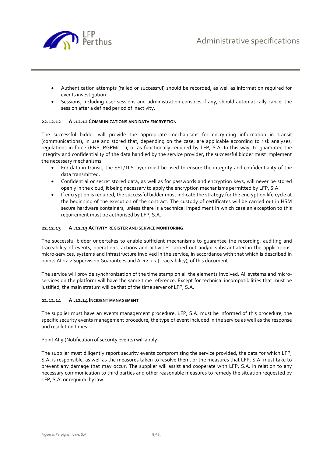



- Authentication attempts (failed or successful) should be recorded, as well as information required for events investigation.
- Sessions, including user sessions and administration consoles if any, should automatically cancel the session after a defined period of inactivity.

## **22.12.12 AI.12.12 COMMUNICATIONS AND DATA ENCRYPTION**

The successful bidder will provide the appropriate mechanisms for encrypting information in transit (communications), in use and stored that, depending on the case, are applicable according to risk analyses, regulations in force (ENS, RGPMr. ..), or as functionally required by LFP, S.A. In this way, to guarantee the integrity and confidentiality of the data handled by the service provider, the successful bidder must implement the necessary mechanisms:

- For data in transit, the SSL/TLS layer must be used to ensure the integrity and confidentiality of the data transmitted.
- Confidential or secret stored data, as well as for passwords and encryption keys, will never be stored openly in the cloud, it being necessary to apply the encryption mechanisms permitted by LFP, S.A.
- If encryption is required, the successful bidder must indicate the strategy for the encryption life cycle at the beginning of the execution of the contract. The custody of certificates will be carried out in HSM secure hardware containers, unless there is a technical impediment in which case an exception to this requirement must be authorised by LFP, S.A.

## **22.12.13 AI.12.13ACTIVITY REGISTER AND SERVICE MONITORING**

The successful bidder undertakes to enable sufficient mechanisms to guarantee the recording, auditing and traceability of events, operations, actions and activities carried out and/or substantiated in the applications, micro-services, systems and infrastructure involved in the service, in accordance with that which is described in points AI.12.2 Supervision Guarantees and AI.12.2.2 (Traceability), of this document.

The service will provide synchronization of the time stamp on all the elements involved. All systems and microservices on the platform will have the same time reference. Except for technical incompatibilities that must be justified, the main stratum will be that of the time server of LFP, S.A.

## **22.12.14 AI.12.14 INCIDENT MANAGEMENT**

The supplier must have an events management procedure. LFP, S.A. must be informed of this procedure, the specific security events management procedure, the type of event included in the service as well as the response and resolution times.

Point AI.9 (Notification of security events) will apply.

The supplier must diligently report security events compromising the service provided, the data for which LFP, S.A. is responsible, as well as the measures taken to resolve them, or the measures that LFP, S.A. must take to prevent any damage that may occur. The supplier will assist and cooperate with LFP, S.A. in relation to any necessary communication to third parties and other reasonable measures to remedy the situation requested by LFP, S.A. or required by law.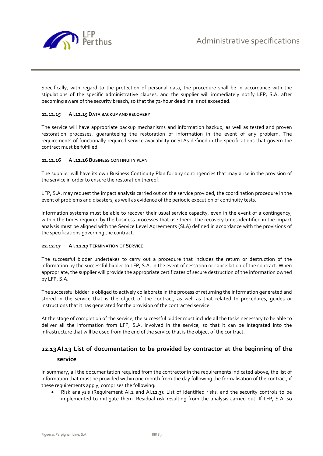

Specifically, with regard to the protection of personal data, the procedure shall be in accordance with the stipulations of the specific administrative clauses, and the supplier will immediately notify LFP, S.A. after becoming aware of the security breach, so that the 72-hour deadline is not exceeded.

## **22.12.15 AI.12.15 DATA BACKUP AND RECOVERY**

The service will have appropriate backup mechanisms and information backup, as well as tested and proven restoration processes, guaranteeing the restoration of information in the event of any problem. The requirements of functionally required service availability or SLAs defined in the specifications that govern the contract must be fulfilled.

## **22.12.16 AI.12.16 BUSINESS CONTINUITY PLAN**

The supplier will have its own Business Continuity Plan for any contingencies that may arise in the provision of the service in order to ensure the restoration thereof.

LFP, S.A. may request the impact analysis carried out on the service provided, the coordination procedure in the event of problems and disasters, as well as evidence of the periodic execution of continuity tests.

Information systems must be able to recover their usual service capacity, even in the event of a contingency, within the times required by the business processes that use them. The recovery times identified in the impact analysis must be aligned with the Service Level Agreements (SLA) defined in accordance with the provisions of the specifications governing the contract.

## **22.12.17 AI. 12.17 TERMINATION OF SERVICE**

The successful bidder undertakes to carry out a procedure that includes the return or destruction of the information by the successful bidder to LFP, S.A. in the event of cessation or cancellation of the contract. When appropriate, the supplier will provide the appropriate certificates of secure destruction of the information owned by LFP, S.A.

The successful bidder is obliged to actively collaborate in the process of returning the information generated and stored in the service that is the object of the contract, as well as that related to procedures, guides or instructions that it has generated for the provision of the contracted service.

At the stage of completion of the service, the successful bidder must include all the tasks necessary to be able to deliver all the information from LFP, S.A. involved in the service, so that it can be integrated into the infrastructure that will be used from the end of the service that is the object of the contract.

## **22.13AI.13 List of documentation to be provided by contractor at the beginning of the service**

In summary, all the documentation required from the contractor in the requirements indicated above, the list of information that must be provided within one month from the day following the formalisation of the contract, if these requirements apply, comprises the following:

 Risk analysis (Requirement AI.2 and AI.12.3): List of identified risks, and the security controls to be implemented to mitigate them. Residual risk resulting from the analysis carried out. If LFP, S.A. so